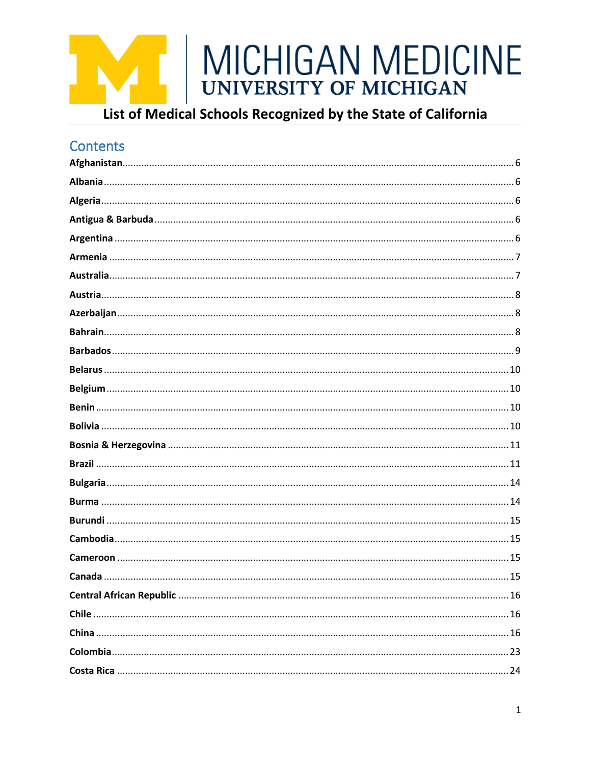

### List of Medical Schools Recognized by the State of California

### Contents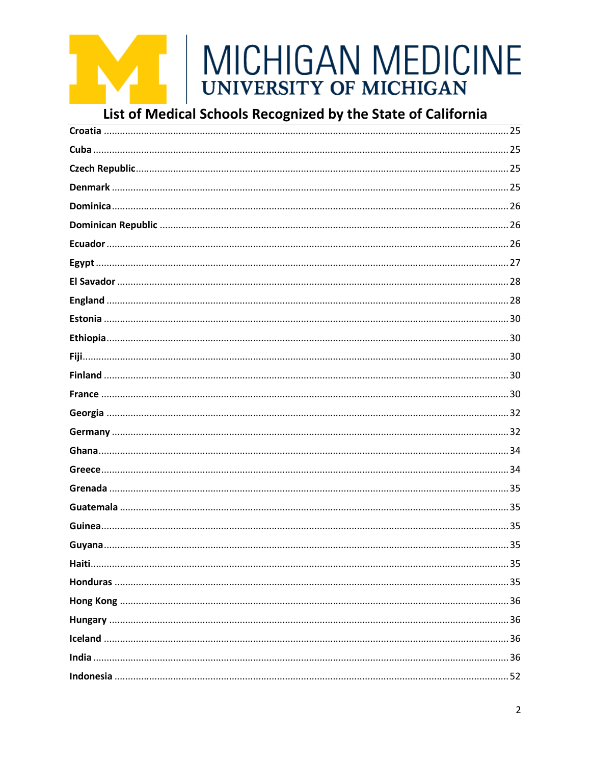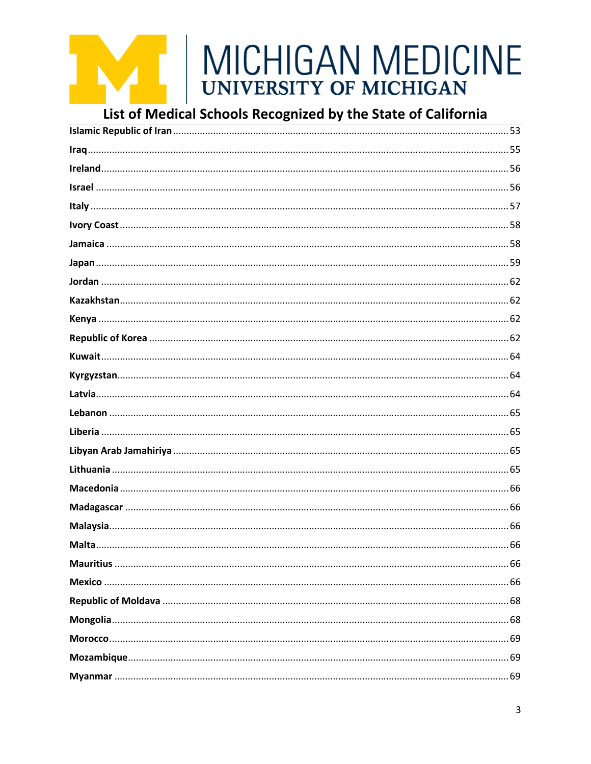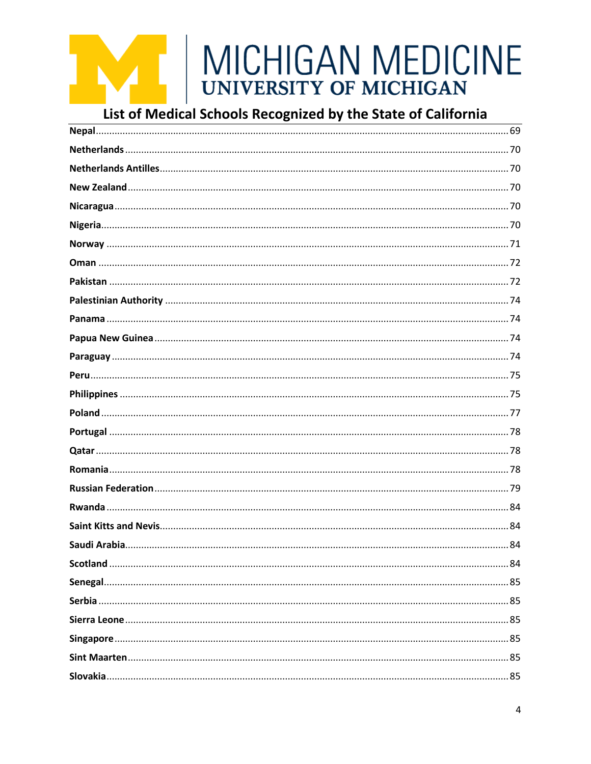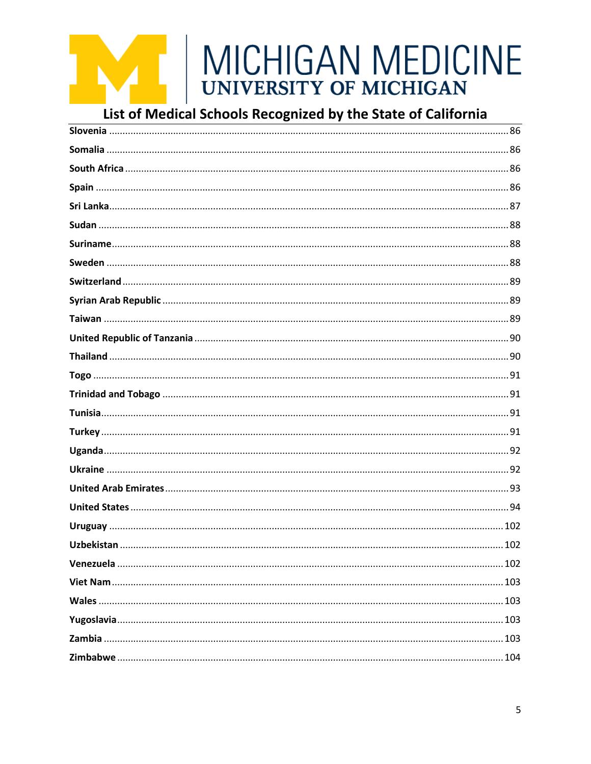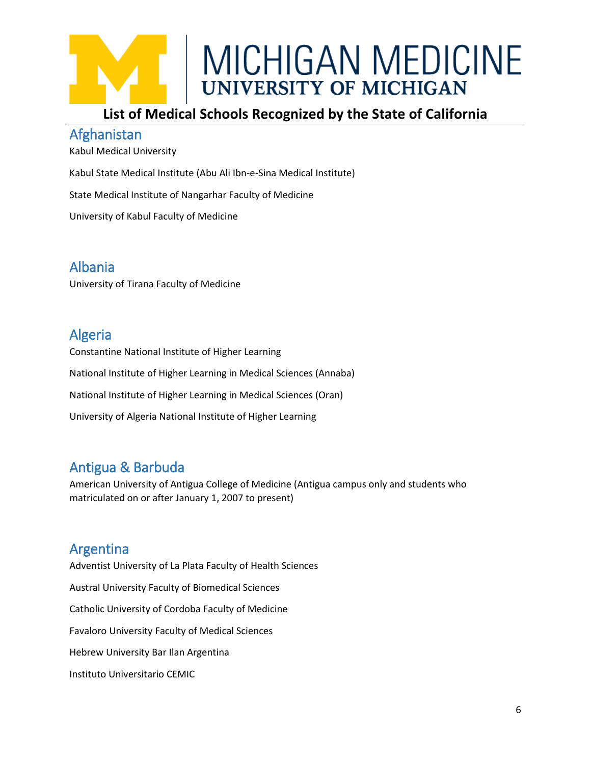### **List of Medical Schools Recognized by the State of California**

### <span id="page-5-0"></span>Afghanistan

Kabul Medical University

Kabul State Medical Institute (Abu Ali Ibn-e-Sina Medical Institute)

State Medical Institute of Nangarhar Faculty of Medicine

University of Kabul Faculty of Medicine

### <span id="page-5-1"></span>Albania

University of Tirana Faculty of Medicine

### <span id="page-5-2"></span>Algeria

Constantine National Institute of Higher Learning National Institute of Higher Learning in Medical Sciences (Annaba) National Institute of Higher Learning in Medical Sciences (Oran) University of Algeria National Institute of Higher Learning

### <span id="page-5-3"></span>Antigua & Barbuda

American University of Antigua College of Medicine (Antigua campus only and students who matriculated on or after January 1, 2007 to present)

### <span id="page-5-4"></span>Argentina

Adventist University of La Plata Faculty of Health Sciences Austral University Faculty of Biomedical Sciences Catholic University of Cordoba Faculty of Medicine Favaloro University Faculty of Medical Sciences Hebrew University Bar Ilan Argentina Instituto Universitario CEMIC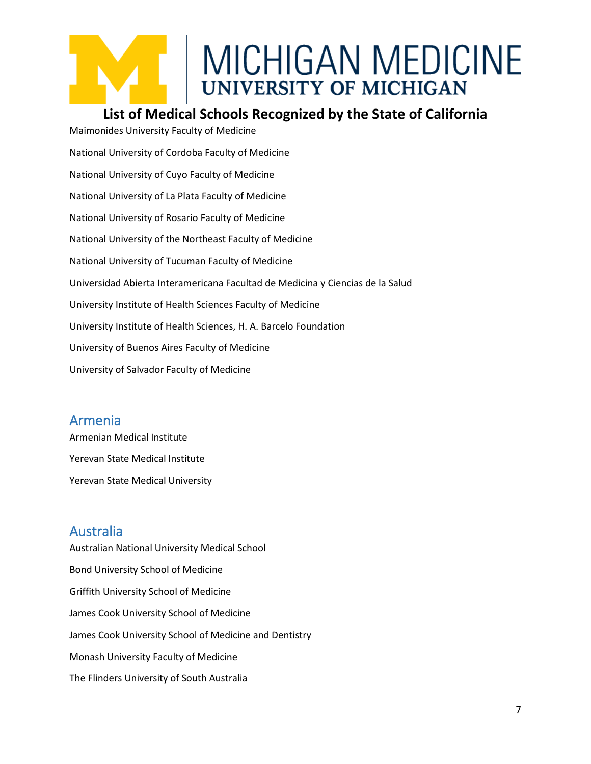### **List of Medical Schools Recognized by the State of California**

Maimonides University Faculty of Medicine National University of Cordoba Faculty of Medicine National University of Cuyo Faculty of Medicine National University of La Plata Faculty of Medicine National University of Rosario Faculty of Medicine National University of the Northeast Faculty of Medicine National University of Tucuman Faculty of Medicine Universidad Abierta Interamericana Facultad de Medicina y Ciencias de la Salud University Institute of Health Sciences Faculty of Medicine University Institute of Health Sciences, H. A. Barcelo Foundation University of Buenos Aires Faculty of Medicine University of Salvador Faculty of Medicine

### <span id="page-6-0"></span>Armenia

Armenian Medical Institute Yerevan State Medical Institute Yerevan State Medical University

### <span id="page-6-1"></span>Australia

Australian National University Medical School Bond University School of Medicine Griffith University School of Medicine James Cook University School of Medicine James Cook University School of Medicine and Dentistry Monash University Faculty of Medicine The Flinders University of South Australia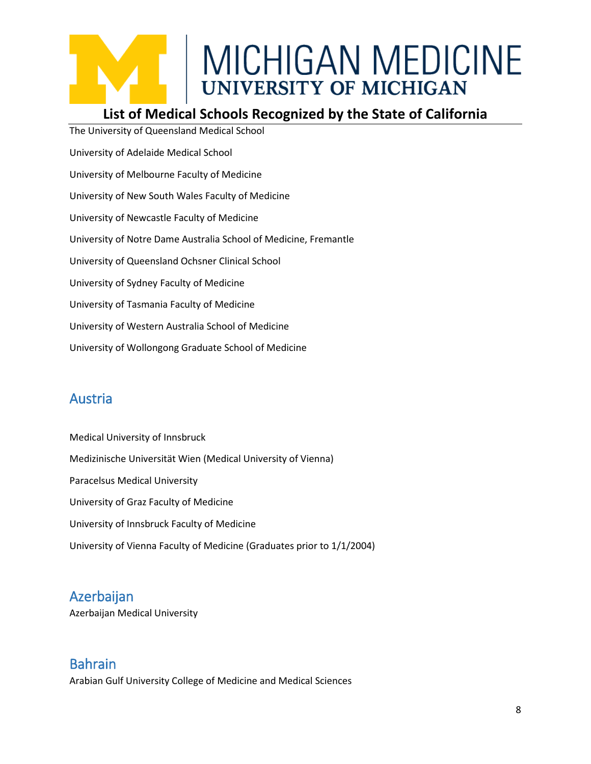### **List of Medical Schools Recognized by the State of California**

The University of Queensland Medical School University of Adelaide Medical School University of Melbourne Faculty of Medicine University of New South Wales Faculty of Medicine University of Newcastle Faculty of Medicine University of Notre Dame Australia School of Medicine, Fremantle University of Queensland Ochsner Clinical School University of Sydney Faculty of Medicine University of Tasmania Faculty of Medicine University of Western Australia School of Medicine University of Wollongong Graduate School of Medicine

### <span id="page-7-0"></span>Austria

Medical University of Innsbruck Medizinische Universität Wien (Medical University of Vienna) Paracelsus Medical University University of Graz Faculty of Medicine University of Innsbruck Faculty of Medicine University of Vienna Faculty of Medicine (Graduates prior to 1/1/2004)

### <span id="page-7-1"></span>Azerbaijan

Azerbaijan Medical University

### <span id="page-7-2"></span>Bahrain

Arabian Gulf University College of Medicine and Medical Sciences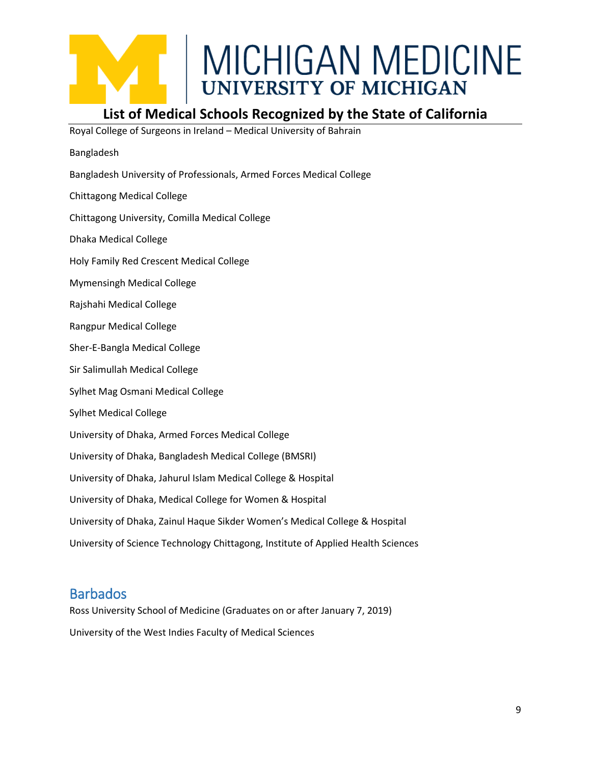

### **List of Medical Schools Recognized by the State of California**

Royal College of Surgeons in Ireland – Medical University of Bahrain

- Bangladesh
- Bangladesh University of Professionals, Armed Forces Medical College
- Chittagong Medical College
- Chittagong University, Comilla Medical College
- Dhaka Medical College
- Holy Family Red Crescent Medical College
- Mymensingh Medical College
- Rajshahi Medical College
- Rangpur Medical College
- Sher-E-Bangla Medical College
- Sir Salimullah Medical College
- Sylhet Mag Osmani Medical College
- Sylhet Medical College
- University of Dhaka, Armed Forces Medical College
- University of Dhaka, Bangladesh Medical College (BMSRI)
- University of Dhaka, Jahurul Islam Medical College & Hospital
- University of Dhaka, Medical College for Women & Hospital
- University of Dhaka, Zainul Haque Sikder Women's Medical College & Hospital
- University of Science Technology Chittagong, Institute of Applied Health Sciences

### <span id="page-8-0"></span>**Barbados**

Ross University School of Medicine (Graduates on or after January 7, 2019) University of the West Indies Faculty of Medical Sciences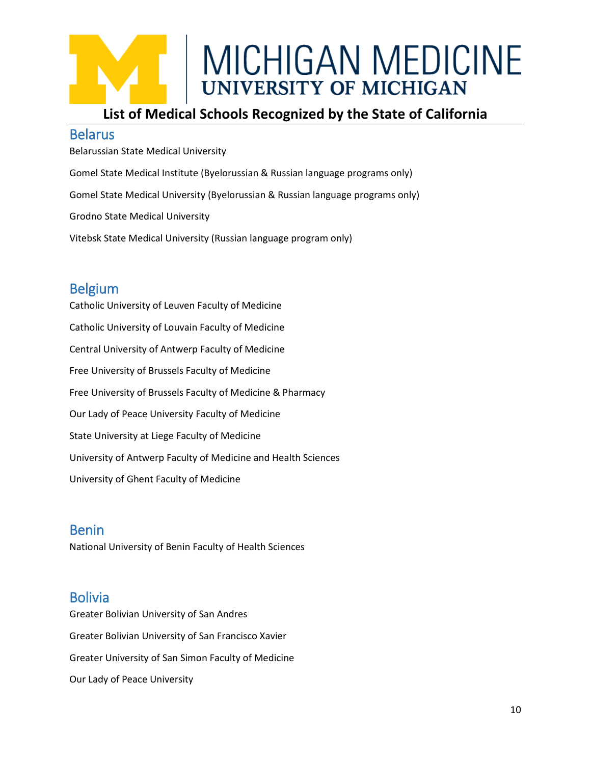### **List of Medical Schools Recognized by the State of California**

#### <span id="page-9-0"></span>Belarus

Belarussian State Medical University Gomel State Medical Institute (Byelorussian & Russian language programs only) Gomel State Medical University (Byelorussian & Russian language programs only) Grodno State Medical University Vitebsk State Medical University (Russian language program only)

### <span id="page-9-1"></span>Belgium

Catholic University of Leuven Faculty of Medicine Catholic University of Louvain Faculty of Medicine Central University of Antwerp Faculty of Medicine Free University of Brussels Faculty of Medicine Free University of Brussels Faculty of Medicine & Pharmacy Our Lady of Peace University Faculty of Medicine State University at Liege Faculty of Medicine University of Antwerp Faculty of Medicine and Health Sciences University of Ghent Faculty of Medicine

### <span id="page-9-2"></span>Benin

National University of Benin Faculty of Health Sciences

### <span id="page-9-3"></span>Bolivia

Greater Bolivian University of San Andres Greater Bolivian University of San Francisco Xavier Greater University of San Simon Faculty of Medicine Our Lady of Peace University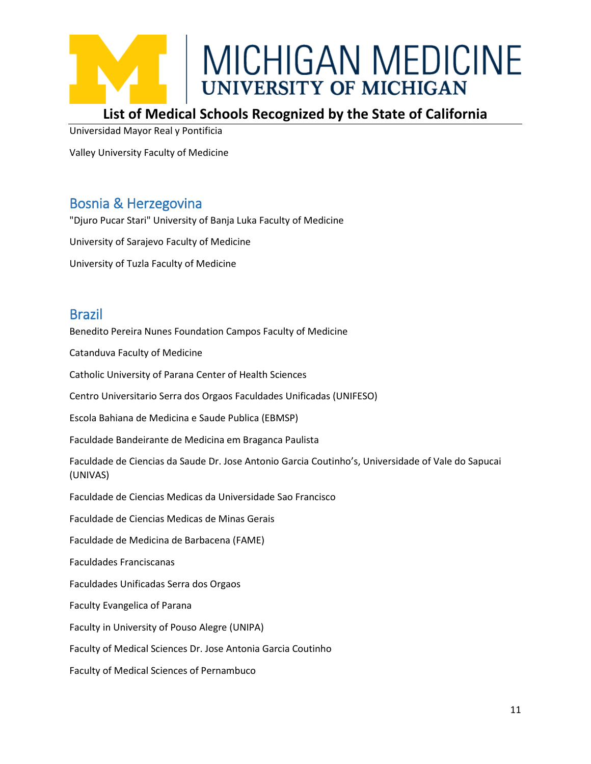

### **List of Medical Schools Recognized by the State of California**

Universidad Mayor Real y Pontificia

Valley University Faculty of Medicine

### <span id="page-10-0"></span>Bosnia & Herzegovina

"Djuro Pucar Stari" University of Banja Luka Faculty of Medicine University of Sarajevo Faculty of Medicine University of Tuzla Faculty of Medicine

### <span id="page-10-1"></span>Brazil

Benedito Pereira Nunes Foundation Campos Faculty of Medicine

Catanduva Faculty of Medicine

Catholic University of Parana Center of Health Sciences

Centro Universitario Serra dos Orgaos Faculdades Unificadas (UNIFESO)

Escola Bahiana de Medicina e Saude Publica (EBMSP)

Faculdade Bandeirante de Medicina em Braganca Paulista

Faculdade de Ciencias da Saude Dr. Jose Antonio Garcia Coutinho's, Universidade of Vale do Sapucai (UNIVAS)

Faculdade de Ciencias Medicas da Universidade Sao Francisco

Faculdade de Ciencias Medicas de Minas Gerais

Faculdade de Medicina de Barbacena (FAME)

Faculdades Franciscanas

Faculdades Unificadas Serra dos Orgaos

Faculty Evangelica of Parana

Faculty in University of Pouso Alegre (UNIPA)

Faculty of Medical Sciences Dr. Jose Antonia Garcia Coutinho

Faculty of Medical Sciences of Pernambuco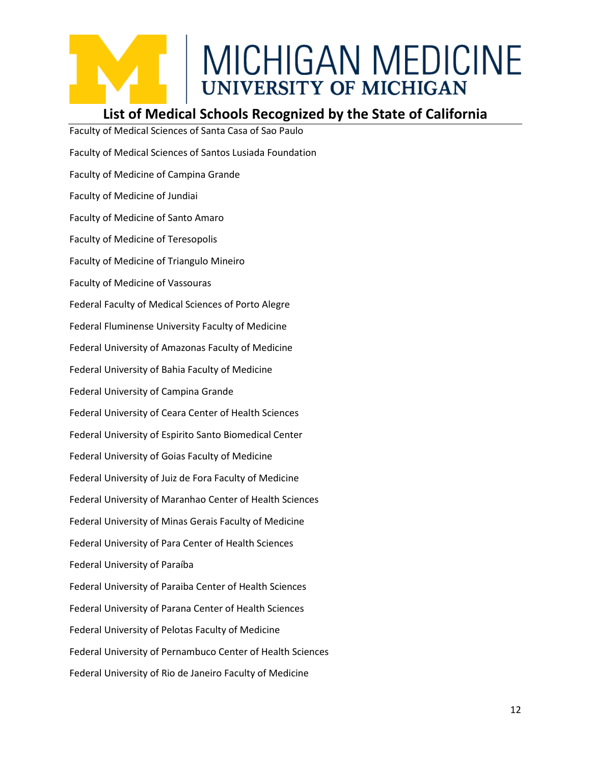### **List of Medical Schools Recognized by the State of California**

Faculty of Medical Sciences of Santa Casa of Sao Paulo Faculty of Medical Sciences of Santos Lusiada Foundation Faculty of Medicine of Campina Grande Faculty of Medicine of Jundiai Faculty of Medicine of Santo Amaro Faculty of Medicine of Teresopolis Faculty of Medicine of Triangulo Mineiro Faculty of Medicine of Vassouras Federal Faculty of Medical Sciences of Porto Alegre Federal Fluminense University Faculty of Medicine Federal University of Amazonas Faculty of Medicine Federal University of Bahia Faculty of Medicine Federal University of Campina Grande Federal University of Ceara Center of Health Sciences Federal University of Espirito Santo Biomedical Center Federal University of Goias Faculty of Medicine Federal University of Juiz de Fora Faculty of Medicine Federal University of Maranhao Center of Health Sciences Federal University of Minas Gerais Faculty of Medicine Federal University of Para Center of Health Sciences Federal University of Paraíba Federal University of Paraiba Center of Health Sciences Federal University of Parana Center of Health Sciences Federal University of Pelotas Faculty of Medicine Federal University of Pernambuco Center of Health Sciences Federal University of Rio de Janeiro Faculty of Medicine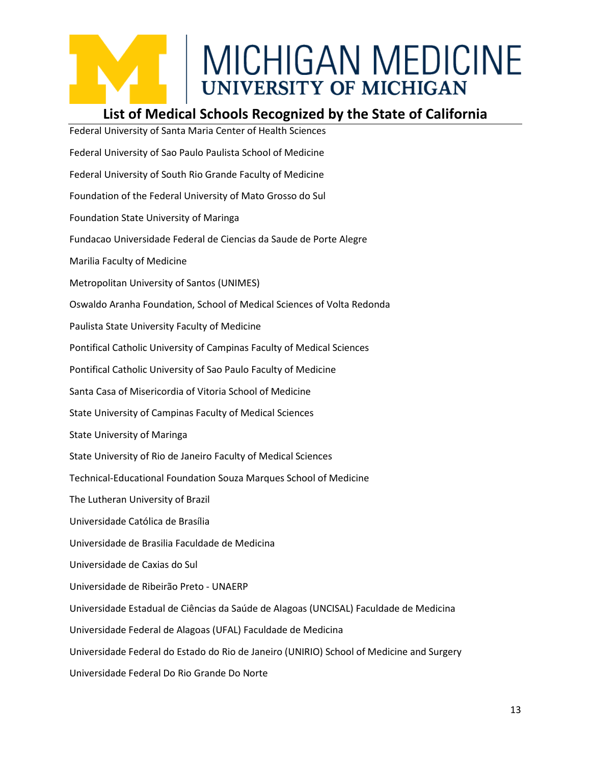### **List of Medical Schools Recognized by the State of California**

Federal University of Santa Maria Center of Health Sciences Federal University of Sao Paulo Paulista School of Medicine Federal University of South Rio Grande Faculty of Medicine Foundation of the Federal University of Mato Grosso do Sul Foundation State University of Maringa Fundacao Universidade Federal de Ciencias da Saude de Porte Alegre Marilia Faculty of Medicine Metropolitan University of Santos (UNIMES) Oswaldo Aranha Foundation, School of Medical Sciences of Volta Redonda Paulista State University Faculty of Medicine Pontifical Catholic University of Campinas Faculty of Medical Sciences Pontifical Catholic University of Sao Paulo Faculty of Medicine Santa Casa of Misericordia of Vitoria School of Medicine State University of Campinas Faculty of Medical Sciences State University of Maringa State University of Rio de Janeiro Faculty of Medical Sciences Technical-Educational Foundation Souza Marques School of Medicine The Lutheran University of Brazil Universidade Católica de Brasília Universidade de Brasilia Faculdade de Medicina Universidade de Caxias do Sul Universidade de Ribeirão Preto - UNAERP Universidade Estadual de Ciências da Saúde de Alagoas (UNCISAL) Faculdade de Medicina Universidade Federal de Alagoas (UFAL) Faculdade de Medicina Universidade Federal do Estado do Rio de Janeiro (UNIRIO) School of Medicine and Surgery Universidade Federal Do Rio Grande Do Norte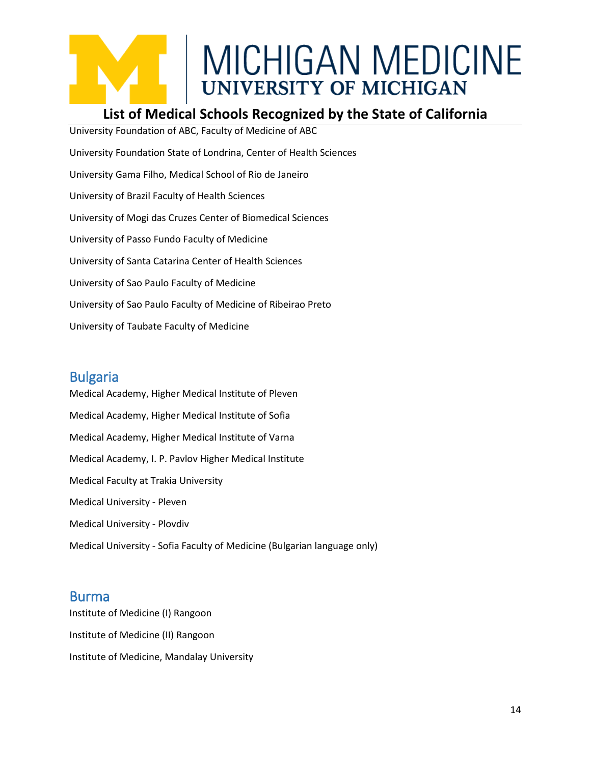### **List of Medical Schools Recognized by the State of California**

University Foundation of ABC, Faculty of Medicine of ABC University Foundation State of Londrina, Center of Health Sciences University Gama Filho, Medical School of Rio de Janeiro University of Brazil Faculty of Health Sciences University of Mogi das Cruzes Center of Biomedical Sciences University of Passo Fundo Faculty of Medicine University of Santa Catarina Center of Health Sciences University of Sao Paulo Faculty of Medicine University of Sao Paulo Faculty of Medicine of Ribeirao Preto University of Taubate Faculty of Medicine

### <span id="page-13-0"></span>Bulgaria

Medical Academy, Higher Medical Institute of Pleven Medical Academy, Higher Medical Institute of Sofia Medical Academy, Higher Medical Institute of Varna Medical Academy, I. P. Pavlov Higher Medical Institute Medical Faculty at Trakia University Medical University - Pleven Medical University - Plovdiv Medical University - Sofia Faculty of Medicine (Bulgarian language only)

### <span id="page-13-1"></span>Burma

Institute of Medicine (I) Rangoon Institute of Medicine (II) Rangoon Institute of Medicine, Mandalay University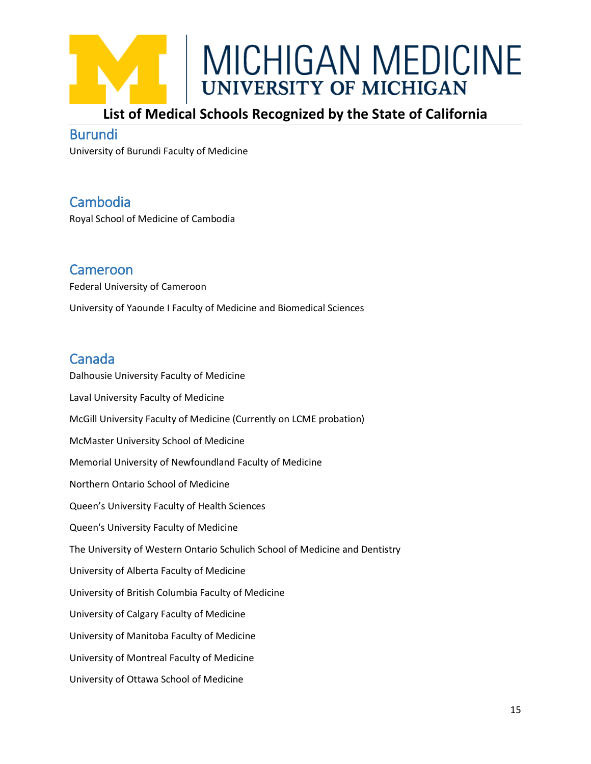

### **List of Medical Schools Recognized by the State of California**

#### <span id="page-14-0"></span>Burundi

University of Burundi Faculty of Medicine

### <span id="page-14-1"></span>Cambodia

Royal School of Medicine of Cambodia

### <span id="page-14-2"></span>Cameroon

Federal University of Cameroon University of Yaounde I Faculty of Medicine and Biomedical Sciences

### <span id="page-14-3"></span>Canada

Dalhousie University Faculty of Medicine Laval University Faculty of Medicine McGill University Faculty of Medicine (Currently on LCME probation) McMaster University School of Medicine Memorial University of Newfoundland Faculty of Medicine Northern Ontario School of Medicine Queen's University Faculty of Health Sciences Queen's University Faculty of Medicine The University of Western Ontario Schulich School of Medicine and Dentistry University of Alberta Faculty of Medicine University of British Columbia Faculty of Medicine University of Calgary Faculty of Medicine University of Manitoba Faculty of Medicine University of Montreal Faculty of Medicine University of Ottawa School of Medicine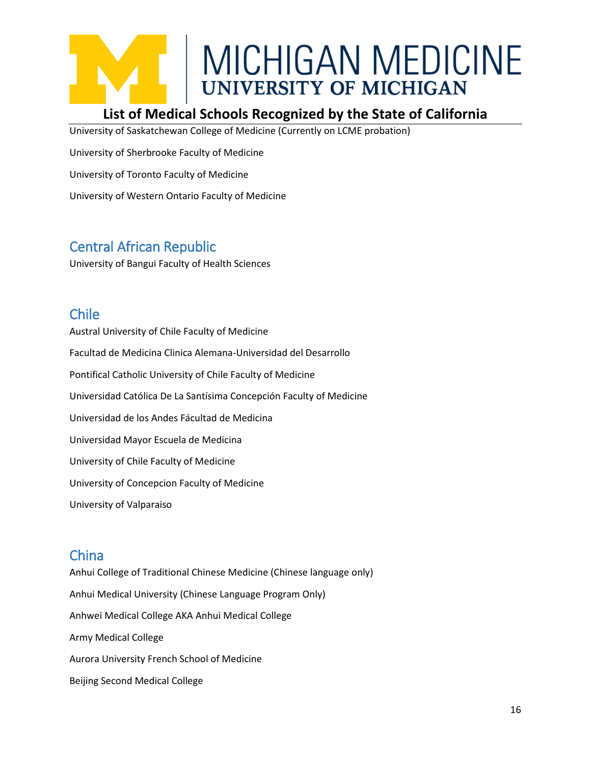### **List of Medical Schools Recognized by the State of California**

University of Saskatchewan College of Medicine (Currently on LCME probation)

University of Sherbrooke Faculty of Medicine

University of Toronto Faculty of Medicine

University of Western Ontario Faculty of Medicine

### <span id="page-15-0"></span>Central African Republic

University of Bangui Faculty of Health Sciences

### <span id="page-15-1"></span>Chile

Austral University of Chile Faculty of Medicine Facultad de Medicina Clinica Alemana-Universidad del Desarrollo Pontifical Catholic University of Chile Faculty of Medicine Universidad Católica De La Santísima Concepción Faculty of Medicine Universidad de los Andes Fácultad de Medicina Universidad Mayor Escuela de Medicina University of Chile Faculty of Medicine University of Concepcion Faculty of Medicine University of Valparaiso

### <span id="page-15-2"></span>China

Anhui College of Traditional Chinese Medicine (Chinese language only) Anhui Medical University (Chinese Language Program Only) Anhwei Medical College AKA Anhui Medical College Army Medical College Aurora University French School of Medicine Beijing Second Medical College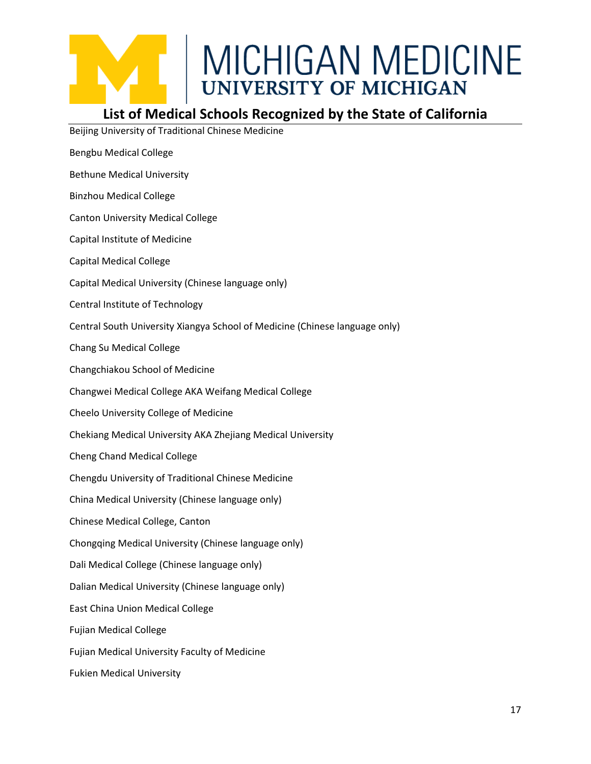

### **List of Medical Schools Recognized by the State of California**

Beijing University of Traditional Chinese Medicine Bengbu Medical College Bethune Medical University Binzhou Medical College Canton University Medical College Capital Institute of Medicine Capital Medical College Capital Medical University (Chinese language only) Central Institute of Technology Central South University Xiangya School of Medicine (Chinese language only) Chang Su Medical College Changchiakou School of Medicine Changwei Medical College AKA Weifang Medical College Cheelo University College of Medicine Chekiang Medical University AKA Zhejiang Medical University Cheng Chand Medical College Chengdu University of Traditional Chinese Medicine China Medical University (Chinese language only) Chinese Medical College, Canton Chongqing Medical University (Chinese language only) Dali Medical College (Chinese language only) Dalian Medical University (Chinese language only) East China Union Medical College Fujian Medical College Fujian Medical University Faculty of Medicine Fukien Medical University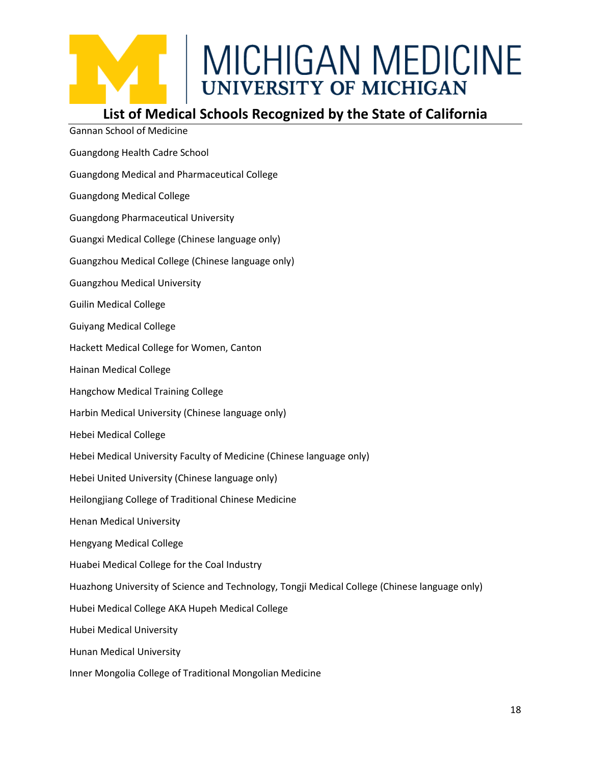

### **List of Medical Schools Recognized by the State of California**

Gannan School of Medicine Guangdong Health Cadre School Guangdong Medical and Pharmaceutical College Guangdong Medical College Guangdong Pharmaceutical University Guangxi Medical College (Chinese language only) Guangzhou Medical College (Chinese language only) Guangzhou Medical University Guilin Medical College Guiyang Medical College Hackett Medical College for Women, Canton Hainan Medical College Hangchow Medical Training College Harbin Medical University (Chinese language only) Hebei Medical College Hebei Medical University Faculty of Medicine (Chinese language only) Hebei United University (Chinese language only) Heilongjiang College of Traditional Chinese Medicine Henan Medical University Hengyang Medical College Huabei Medical College for the Coal Industry Huazhong University of Science and Technology, Tongji Medical College (Chinese language only) Hubei Medical College AKA Hupeh Medical College Hubei Medical University Hunan Medical University Inner Mongolia College of Traditional Mongolian Medicine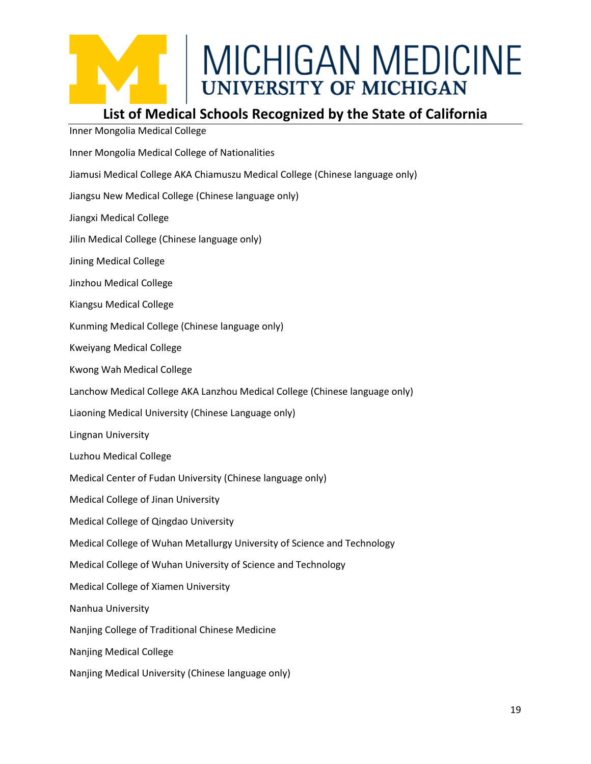### **List of Medical Schools Recognized by the State of California**

Inner Mongolia Medical College

Inner Mongolia Medical College of Nationalities Jiamusi Medical College AKA Chiamuszu Medical College (Chinese language only) Jiangsu New Medical College (Chinese language only) Jiangxi Medical College Jilin Medical College (Chinese language only) Jining Medical College Jinzhou Medical College Kiangsu Medical College Kunming Medical College (Chinese language only) Kweiyang Medical College Kwong Wah Medical College Lanchow Medical College AKA Lanzhou Medical College (Chinese language only) Liaoning Medical University (Chinese Language only) Lingnan University Luzhou Medical College Medical Center of Fudan University (Chinese language only) Medical College of Jinan University Medical College of Qingdao University Medical College of Wuhan Metallurgy University of Science and Technology Medical College of Wuhan University of Science and Technology Medical College of Xiamen University Nanhua University Nanjing College of Traditional Chinese Medicine Nanjing Medical College Nanjing Medical University (Chinese language only)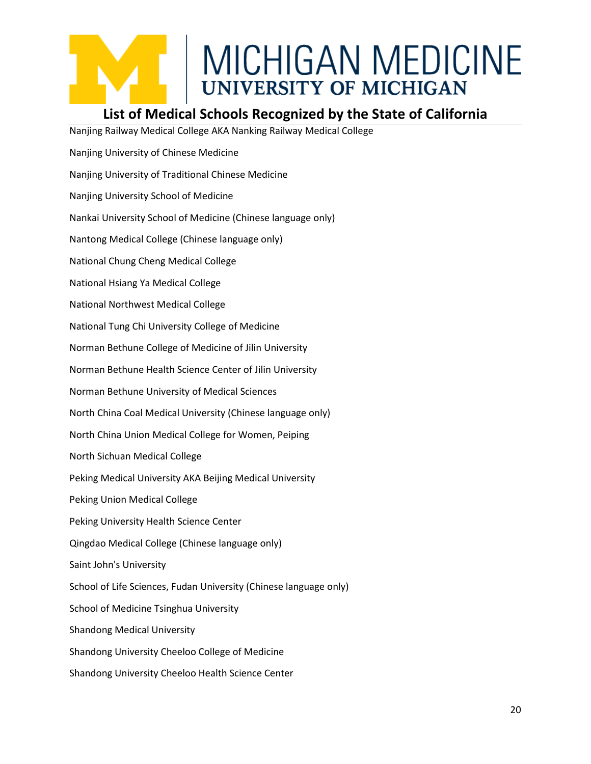### **List of Medical Schools Recognized by the State of California**

Nanjing Railway Medical College AKA Nanking Railway Medical College Nanjing University of Chinese Medicine Nanjing University of Traditional Chinese Medicine Nanjing University School of Medicine Nankai University School of Medicine (Chinese language only) Nantong Medical College (Chinese language only) National Chung Cheng Medical College National Hsiang Ya Medical College National Northwest Medical College National Tung Chi University College of Medicine Norman Bethune College of Medicine of Jilin University Norman Bethune Health Science Center of Jilin University Norman Bethune University of Medical Sciences North China Coal Medical University (Chinese language only) North China Union Medical College for Women, Peiping North Sichuan Medical College Peking Medical University AKA Beijing Medical University Peking Union Medical College Peking University Health Science Center Qingdao Medical College (Chinese language only) Saint John's University School of Life Sciences, Fudan University (Chinese language only) School of Medicine Tsinghua University Shandong Medical University Shandong University Cheeloo College of Medicine Shandong University Cheeloo Health Science Center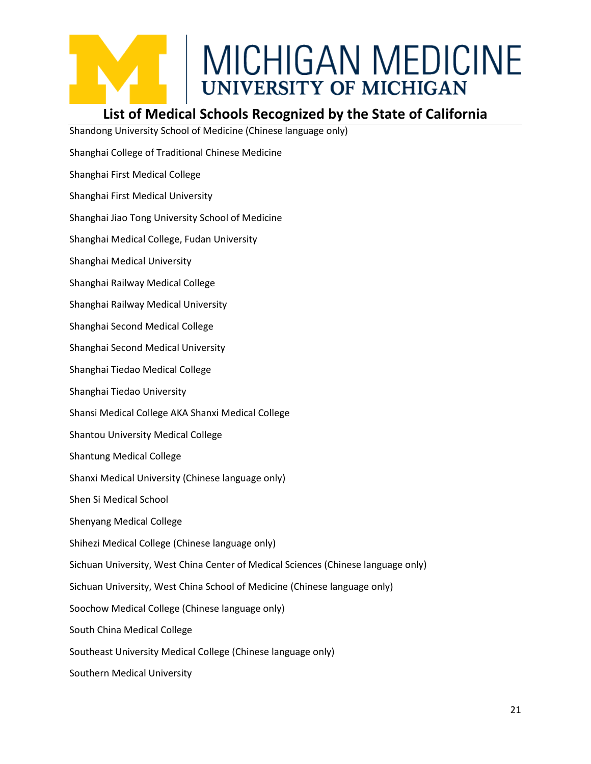

### **List of Medical Schools Recognized by the State of California**

Shandong University School of Medicine (Chinese language only)

- Shanghai College of Traditional Chinese Medicine
- Shanghai First Medical College
- Shanghai First Medical University
- Shanghai Jiao Tong University School of Medicine
- Shanghai Medical College, Fudan University
- Shanghai Medical University
- Shanghai Railway Medical College
- Shanghai Railway Medical University
- Shanghai Second Medical College
- Shanghai Second Medical University
- Shanghai Tiedao Medical College
- Shanghai Tiedao University
- Shansi Medical College AKA Shanxi Medical College
- Shantou University Medical College
- Shantung Medical College
- Shanxi Medical University (Chinese language only)
- Shen Si Medical School
- Shenyang Medical College
- Shihezi Medical College (Chinese language only)
- Sichuan University, West China Center of Medical Sciences (Chinese language only)
- Sichuan University, West China School of Medicine (Chinese language only)
- Soochow Medical College (Chinese language only)
- South China Medical College
- Southeast University Medical College (Chinese language only)
- Southern Medical University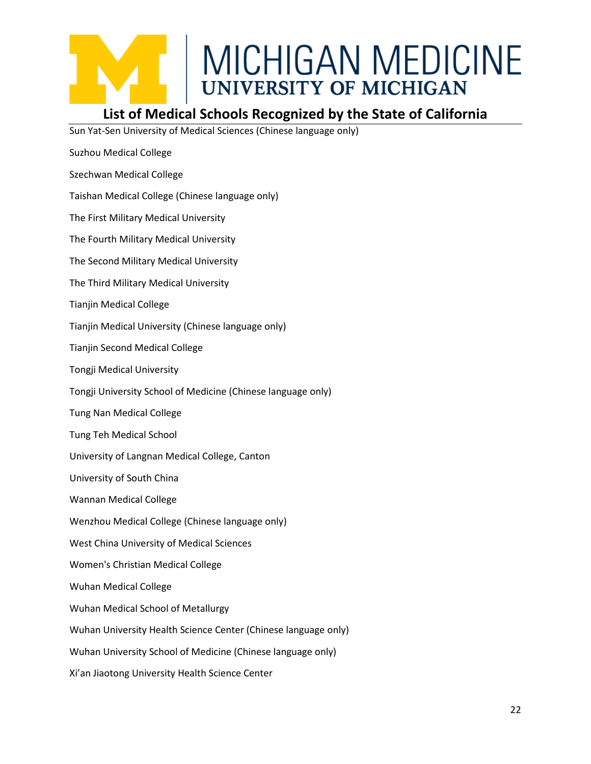

### **List of Medical Schools Recognized by the State of California**

Sun Yat-Sen University of Medical Sciences (Chinese language only)

- Suzhou Medical College
- Szechwan Medical College
- Taishan Medical College (Chinese language only)
- The First Military Medical University
- The Fourth Military Medical University
- The Second Military Medical University
- The Third Military Medical University
- Tianjin Medical College
- Tianjin Medical University (Chinese language only)
- Tianjin Second Medical College
- Tongji Medical University
- Tongji University School of Medicine (Chinese language only)
- Tung Nan Medical College
- Tung Teh Medical School
- University of Langnan Medical College, Canton
- University of South China
- Wannan Medical College
- Wenzhou Medical College (Chinese language only)
- West China University of Medical Sciences
- Women's Christian Medical College
- Wuhan Medical College
- Wuhan Medical School of Metallurgy
- Wuhan University Health Science Center (Chinese language only)
- Wuhan University School of Medicine (Chinese language only)
- Xi'an Jiaotong University Health Science Center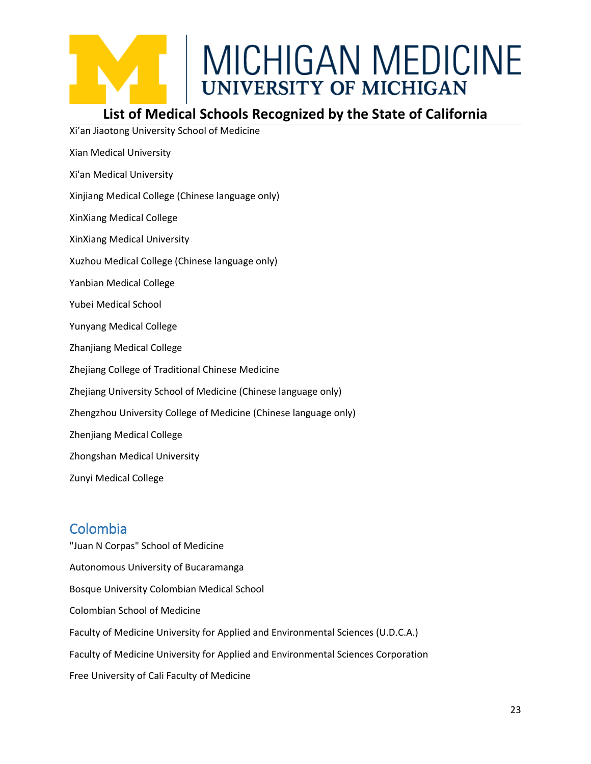

### **List of Medical Schools Recognized by the State of California**

Xi'an Jiaotong University School of Medicine

- Xian Medical University
- Xi'an Medical University
- Xinjiang Medical College (Chinese language only)
- XinXiang Medical College
- XinXiang Medical University
- Xuzhou Medical College (Chinese language only)
- Yanbian Medical College
- Yubei Medical School
- Yunyang Medical College
- Zhanjiang Medical College
- Zhejiang College of Traditional Chinese Medicine
- Zhejiang University School of Medicine (Chinese language only)
- Zhengzhou University College of Medicine (Chinese language only)
- Zhenjiang Medical College
- Zhongshan Medical University
- Zunyi Medical College

### <span id="page-22-0"></span>Colombia

"Juan N Corpas" School of Medicine Autonomous University of Bucaramanga Bosque University Colombian Medical School Colombian School of Medicine Faculty of Medicine University for Applied and Environmental Sciences (U.D.C.A.) Faculty of Medicine University for Applied and Environmental Sciences Corporation Free University of Cali Faculty of Medicine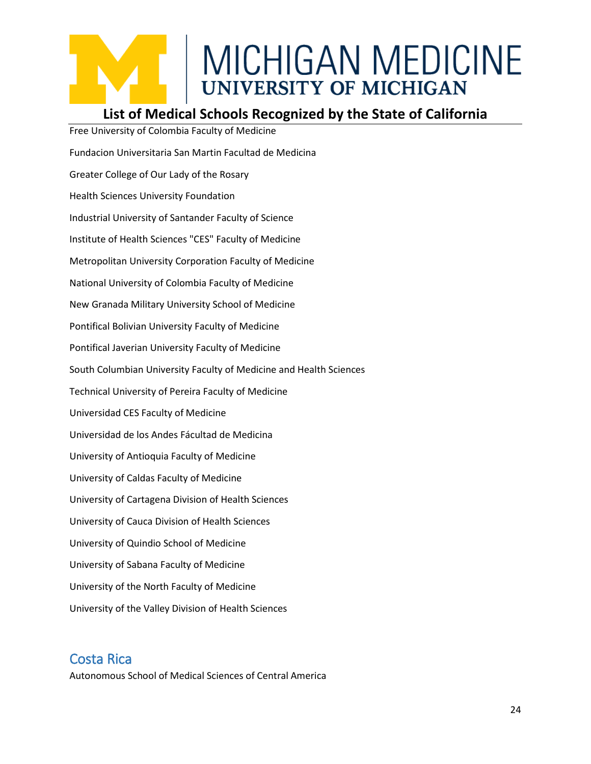### **List of Medical Schools Recognized by the State of California**

Free University of Colombia Faculty of Medicine Fundacion Universitaria San Martin Facultad de Medicina Greater College of Our Lady of the Rosary Health Sciences University Foundation Industrial University of Santander Faculty of Science Institute of Health Sciences "CES" Faculty of Medicine Metropolitan University Corporation Faculty of Medicine National University of Colombia Faculty of Medicine New Granada Military University School of Medicine Pontifical Bolivian University Faculty of Medicine Pontifical Javerian University Faculty of Medicine South Columbian University Faculty of Medicine and Health Sciences Technical University of Pereira Faculty of Medicine Universidad CES Faculty of Medicine Universidad de los Andes Fácultad de Medicina University of Antioquia Faculty of Medicine University of Caldas Faculty of Medicine University of Cartagena Division of Health Sciences University of Cauca Division of Health Sciences University of Quindio School of Medicine University of Sabana Faculty of Medicine University of the North Faculty of Medicine University of the Valley Division of Health Sciences

### <span id="page-23-0"></span>Costa Rica

Autonomous School of Medical Sciences of Central America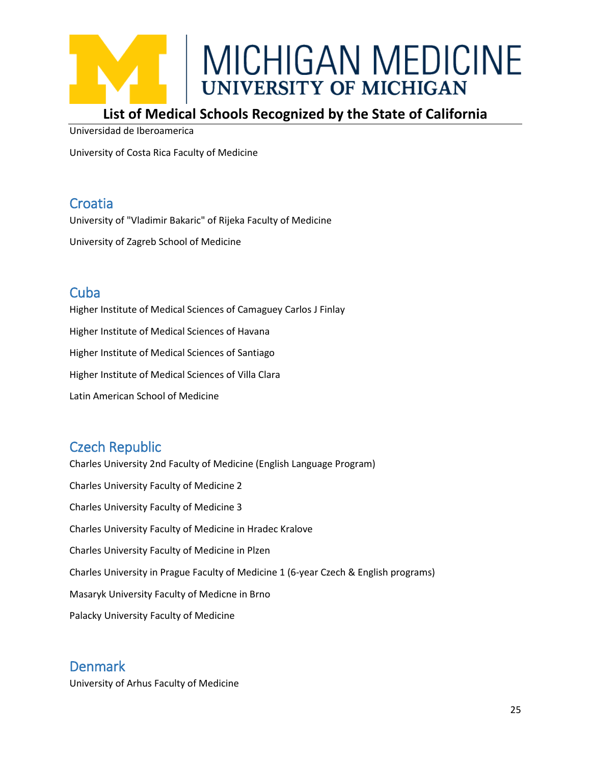

### **List of Medical Schools Recognized by the State of California**

Universidad de Iberoamerica

University of Costa Rica Faculty of Medicine

### <span id="page-24-0"></span>**Croatia**

University of "Vladimir Bakaric" of Rijeka Faculty of Medicine

University of Zagreb School of Medicine

### <span id="page-24-1"></span>**Cuba**

Higher Institute of Medical Sciences of Camaguey Carlos J Finlay Higher Institute of Medical Sciences of Havana Higher Institute of Medical Sciences of Santiago Higher Institute of Medical Sciences of Villa Clara Latin American School of Medicine

### <span id="page-24-2"></span>Czech Republic

Charles University 2nd Faculty of Medicine (English Language Program) Charles University Faculty of Medicine 2 Charles University Faculty of Medicine 3 Charles University Faculty of Medicine in Hradec Kralove Charles University Faculty of Medicine in Plzen Charles University in Prague Faculty of Medicine 1 (6-year Czech & English programs) Masaryk University Faculty of Medicne in Brno Palacky University Faculty of Medicine

### <span id="page-24-3"></span>Denmark

University of Arhus Faculty of Medicine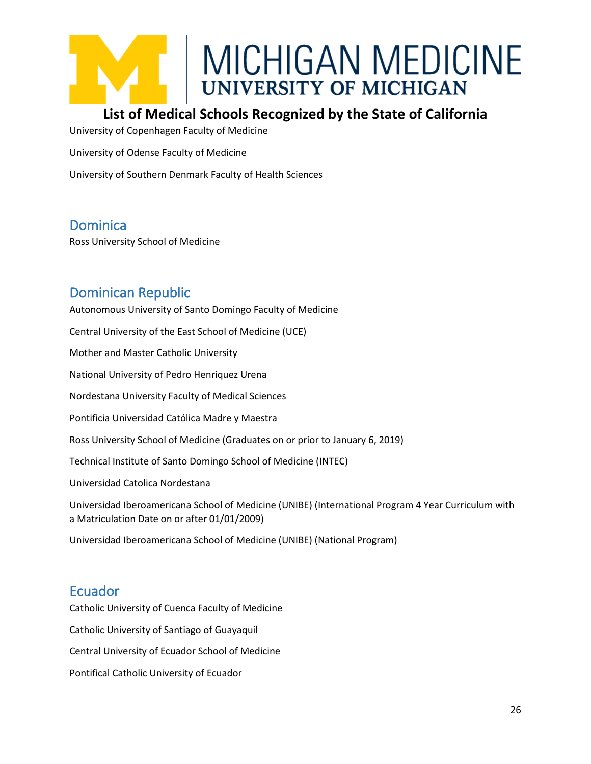### **List of Medical Schools Recognized by the State of California**

University of Copenhagen Faculty of Medicine

University of Odense Faculty of Medicine

University of Southern Denmark Faculty of Health Sciences

### <span id="page-25-0"></span>Dominica

Ross University School of Medicine

### <span id="page-25-1"></span>Dominican Republic

Autonomous University of Santo Domingo Faculty of Medicine Central University of the East School of Medicine (UCE) Mother and Master Catholic University National University of Pedro Henriquez Urena Nordestana University Faculty of Medical Sciences Pontificia Universidad Católica Madre y Maestra Ross University School of Medicine (Graduates on or prior to January 6, 2019) Technical Institute of Santo Domingo School of Medicine (INTEC) Universidad Catolica Nordestana Universidad Iberoamericana School of Medicine (UNIBE) (International Program 4 Year Curriculum with a Matriculation Date on or after 01/01/2009) Universidad Iberoamericana School of Medicine (UNIBE) (National Program)

### <span id="page-25-2"></span>Ecuador

Catholic University of Cuenca Faculty of Medicine Catholic University of Santiago of Guayaquil Central University of Ecuador School of Medicine Pontifical Catholic University of Ecuador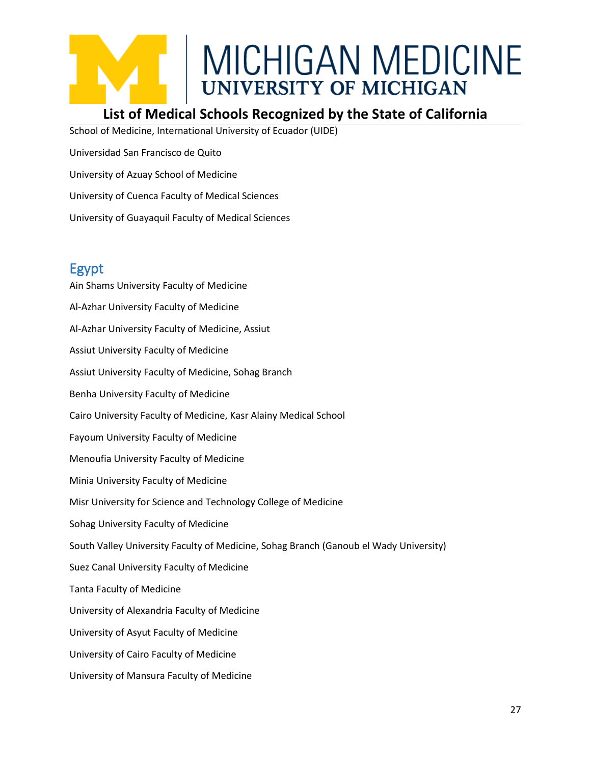### **List of Medical Schools Recognized by the State of California**

School of Medicine, International University of Ecuador (UIDE)

Universidad San Francisco de Quito

University of Azuay School of Medicine

University of Cuenca Faculty of Medical Sciences

University of Guayaquil Faculty of Medical Sciences

### <span id="page-26-0"></span>Egypt

Ain Shams University Faculty of Medicine Al-Azhar University Faculty of Medicine Al-Azhar University Faculty of Medicine, Assiut Assiut University Faculty of Medicine Assiut University Faculty of Medicine, Sohag Branch Benha University Faculty of Medicine Cairo University Faculty of Medicine, Kasr Alainy Medical School Fayoum University Faculty of Medicine Menoufia University Faculty of Medicine Minia University Faculty of Medicine Misr University for Science and Technology College of Medicine Sohag University Faculty of Medicine South Valley University Faculty of Medicine, Sohag Branch (Ganoub el Wady University) Suez Canal University Faculty of Medicine Tanta Faculty of Medicine University of Alexandria Faculty of Medicine University of Asyut Faculty of Medicine University of Cairo Faculty of Medicine University of Mansura Faculty of Medicine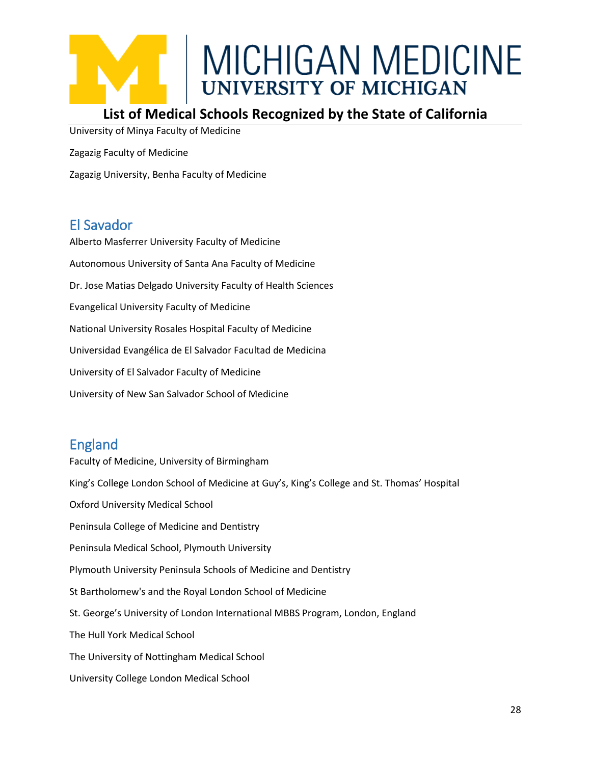

### **List of Medical Schools Recognized by the State of California**

University of Minya Faculty of Medicine

Zagazig Faculty of Medicine

Zagazig University, Benha Faculty of Medicine

### <span id="page-27-0"></span>El Savador

Alberto Masferrer University Faculty of Medicine Autonomous University of Santa Ana Faculty of Medicine Dr. Jose Matias Delgado University Faculty of Health Sciences Evangelical University Faculty of Medicine National University Rosales Hospital Faculty of Medicine Universidad Evangélica de El Salvador Facultad de Medicina University of El Salvador Faculty of Medicine University of New San Salvador School of Medicine

### <span id="page-27-1"></span>England

Faculty of Medicine, University of Birmingham King's College London School of Medicine at Guy's, King's College and St. Thomas' Hospital Oxford University Medical School Peninsula College of Medicine and Dentistry Peninsula Medical School, Plymouth University Plymouth University Peninsula Schools of Medicine and Dentistry St Bartholomew's and the Royal London School of Medicine St. George's University of London International MBBS Program, London, England The Hull York Medical School The University of Nottingham Medical School University College London Medical School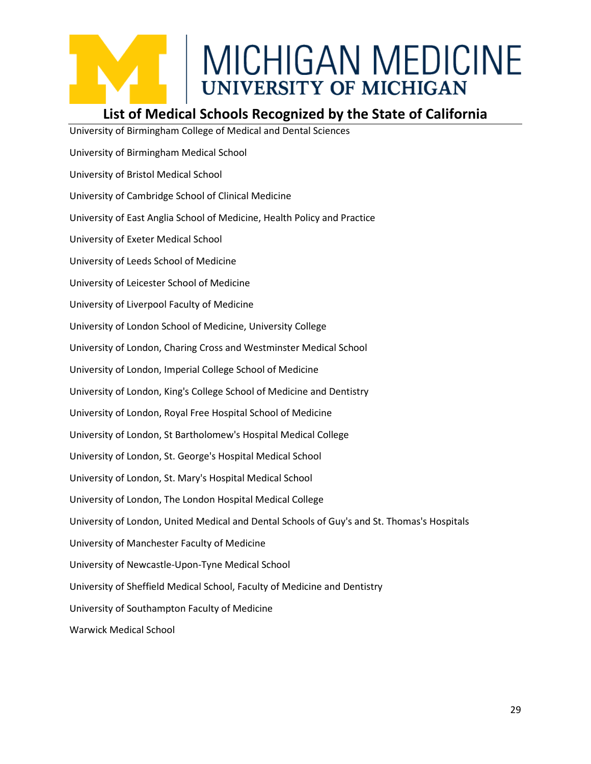### **List of Medical Schools Recognized by the State of California**

University of Birmingham College of Medical and Dental Sciences University of Birmingham Medical School University of Bristol Medical School University of Cambridge School of Clinical Medicine University of East Anglia School of Medicine, Health Policy and Practice University of Exeter Medical School University of Leeds School of Medicine University of Leicester School of Medicine University of Liverpool Faculty of Medicine University of London School of Medicine, University College University of London, Charing Cross and Westminster Medical School University of London, Imperial College School of Medicine University of London, King's College School of Medicine and Dentistry University of London, Royal Free Hospital School of Medicine University of London, St Bartholomew's Hospital Medical College University of London, St. George's Hospital Medical School University of London, St. Mary's Hospital Medical School University of London, The London Hospital Medical College University of London, United Medical and Dental Schools of Guy's and St. Thomas's Hospitals University of Manchester Faculty of Medicine University of Newcastle-Upon-Tyne Medical School University of Sheffield Medical School, Faculty of Medicine and Dentistry University of Southampton Faculty of Medicine Warwick Medical School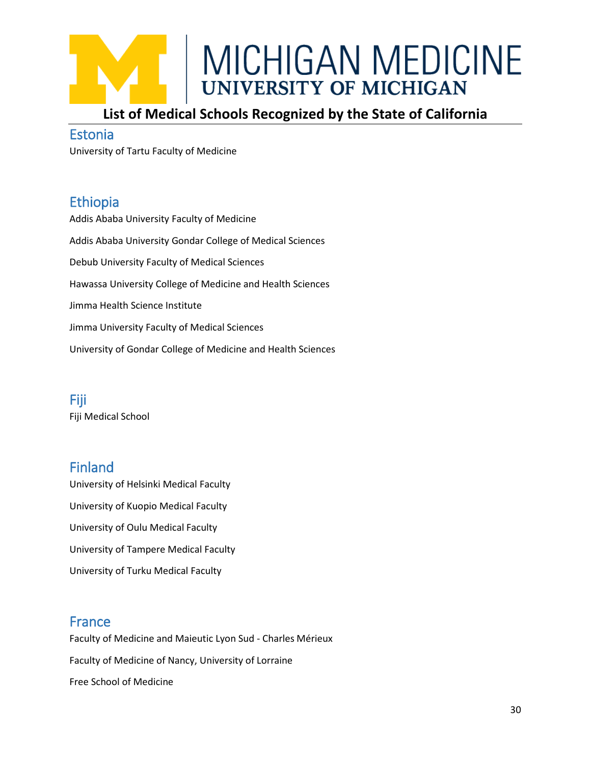

### **List of Medical Schools Recognized by the State of California**

#### <span id="page-29-0"></span>Estonia

University of Tartu Faculty of Medicine

### <span id="page-29-1"></span>Ethiopia

Addis Ababa University Faculty of Medicine Addis Ababa University Gondar College of Medical Sciences Debub University Faculty of Medical Sciences Hawassa University College of Medicine and Health Sciences Jimma Health Science Institute Jimma University Faculty of Medical Sciences University of Gondar College of Medicine and Health Sciences

#### <span id="page-29-2"></span>Fiji Fiji Medical School

### <span id="page-29-3"></span>Finland

University of Helsinki Medical Faculty University of Kuopio Medical Faculty University of Oulu Medical Faculty University of Tampere Medical Faculty University of Turku Medical Faculty

### <span id="page-29-4"></span>France

Faculty of Medicine and Maieutic Lyon Sud - Charles Mérieux Faculty of Medicine of Nancy, University of Lorraine Free School of Medicine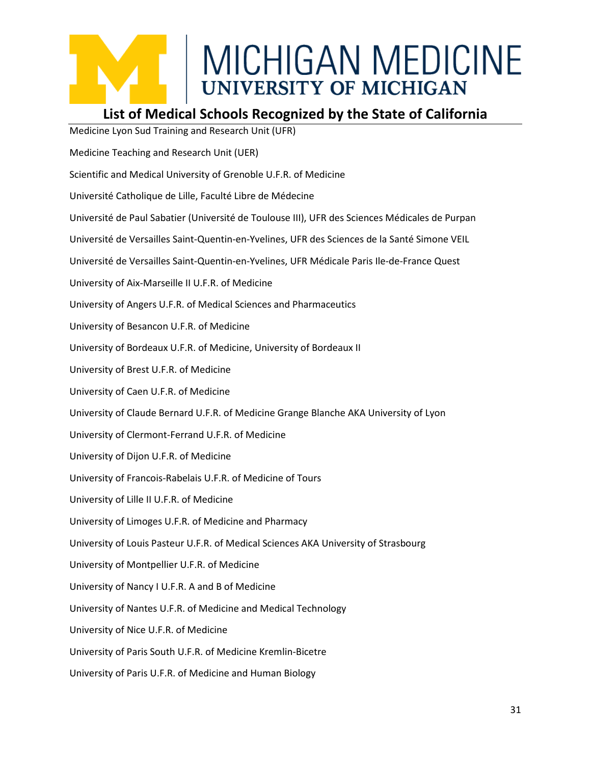### **List of Medical Schools Recognized by the State of California**

Medicine Lyon Sud Training and Research Unit (UFR)

Medicine Teaching and Research Unit (UER)

Scientific and Medical University of Grenoble U.F.R. of Medicine

Université Catholique de Lille, Faculté Libre de Médecine

Université de Paul Sabatier (Université de Toulouse III), UFR des Sciences Médicales de Purpan

Université de Versailles Saint-Quentin-en-Yvelines, UFR des Sciences de la Santé Simone VEIL

Université de Versailles Saint-Quentin-en-Yvelines, UFR Médicale Paris Ile-de-France Quest

University of Aix-Marseille II U.F.R. of Medicine

University of Angers U.F.R. of Medical Sciences and Pharmaceutics

University of Besancon U.F.R. of Medicine

University of Bordeaux U.F.R. of Medicine, University of Bordeaux II

University of Brest U.F.R. of Medicine

University of Caen U.F.R. of Medicine

University of Claude Bernard U.F.R. of Medicine Grange Blanche AKA University of Lyon

University of Clermont-Ferrand U.F.R. of Medicine

University of Dijon U.F.R. of Medicine

University of Francois-Rabelais U.F.R. of Medicine of Tours

University of Lille II U.F.R. of Medicine

University of Limoges U.F.R. of Medicine and Pharmacy

University of Louis Pasteur U.F.R. of Medical Sciences AKA University of Strasbourg

University of Montpellier U.F.R. of Medicine

University of Nancy I U.F.R. A and B of Medicine

University of Nantes U.F.R. of Medicine and Medical Technology

University of Nice U.F.R. of Medicine

University of Paris South U.F.R. of Medicine Kremlin-Bicetre

University of Paris U.F.R. of Medicine and Human Biology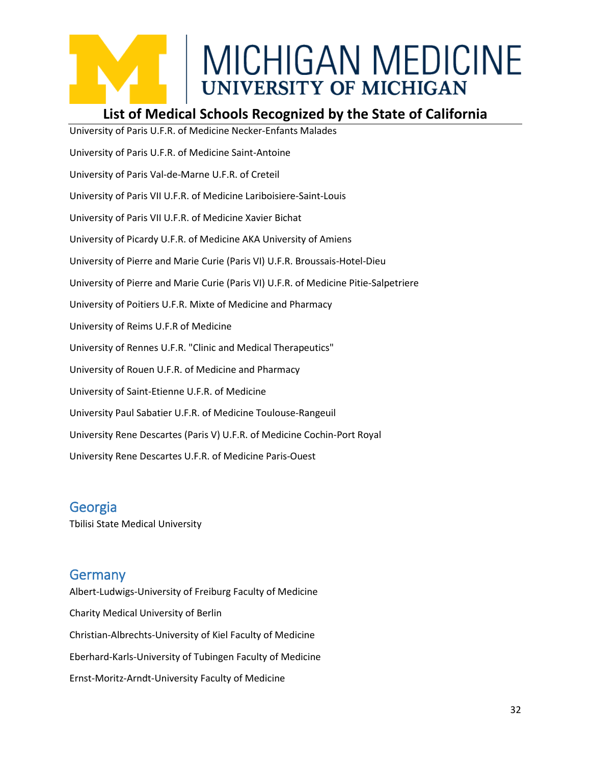### **List of Medical Schools Recognized by the State of California**

University of Paris U.F.R. of Medicine Necker-Enfants Malades University of Paris U.F.R. of Medicine Saint-Antoine University of Paris Val-de-Marne U.F.R. of Creteil University of Paris VII U.F.R. of Medicine Lariboisiere-Saint-Louis University of Paris VII U.F.R. of Medicine Xavier Bichat University of Picardy U.F.R. of Medicine AKA University of Amiens University of Pierre and Marie Curie (Paris VI) U.F.R. Broussais-Hotel-Dieu University of Pierre and Marie Curie (Paris VI) U.F.R. of Medicine Pitie-Salpetriere University of Poitiers U.F.R. Mixte of Medicine and Pharmacy University of Reims U.F.R of Medicine University of Rennes U.F.R. "Clinic and Medical Therapeutics" University of Rouen U.F.R. of Medicine and Pharmacy University of Saint-Etienne U.F.R. of Medicine University Paul Sabatier U.F.R. of Medicine Toulouse-Rangeuil University Rene Descartes (Paris V) U.F.R. of Medicine Cochin-Port Royal University Rene Descartes U.F.R. of Medicine Paris-Ouest

<span id="page-31-0"></span>Georgia

Tbilisi State Medical University

### <span id="page-31-1"></span>Germany

Albert-Ludwigs-University of Freiburg Faculty of Medicine Charity Medical University of Berlin Christian-Albrechts-University of Kiel Faculty of Medicine Eberhard-Karls-University of Tubingen Faculty of Medicine Ernst-Moritz-Arndt-University Faculty of Medicine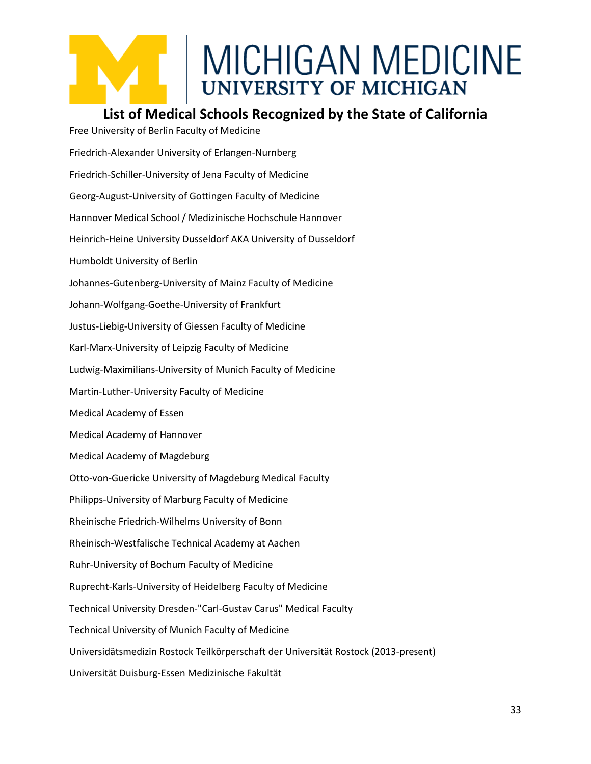### **List of Medical Schools Recognized by the State of California**

Free University of Berlin Faculty of Medicine Friedrich-Alexander University of Erlangen-Nurnberg Friedrich-Schiller-University of Jena Faculty of Medicine Georg-August-University of Gottingen Faculty of Medicine Hannover Medical School / Medizinische Hochschule Hannover Heinrich-Heine University Dusseldorf AKA University of Dusseldorf Humboldt University of Berlin Johannes-Gutenberg-University of Mainz Faculty of Medicine Johann-Wolfgang-Goethe-University of Frankfurt Justus-Liebig-University of Giessen Faculty of Medicine Karl-Marx-University of Leipzig Faculty of Medicine Ludwig-Maximilians-University of Munich Faculty of Medicine Martin-Luther-University Faculty of Medicine Medical Academy of Essen Medical Academy of Hannover Medical Academy of Magdeburg Otto-von-Guericke University of Magdeburg Medical Faculty Philipps-University of Marburg Faculty of Medicine Rheinische Friedrich-Wilhelms University of Bonn Rheinisch-Westfalische Technical Academy at Aachen Ruhr-University of Bochum Faculty of Medicine Ruprecht-Karls-University of Heidelberg Faculty of Medicine Technical University Dresden-"Carl-Gustav Carus" Medical Faculty Technical University of Munich Faculty of Medicine Universidätsmedizin Rostock Teilkörperschaft der Universität Rostock (2013-present) Universität Duisburg-Essen Medizinische Fakultät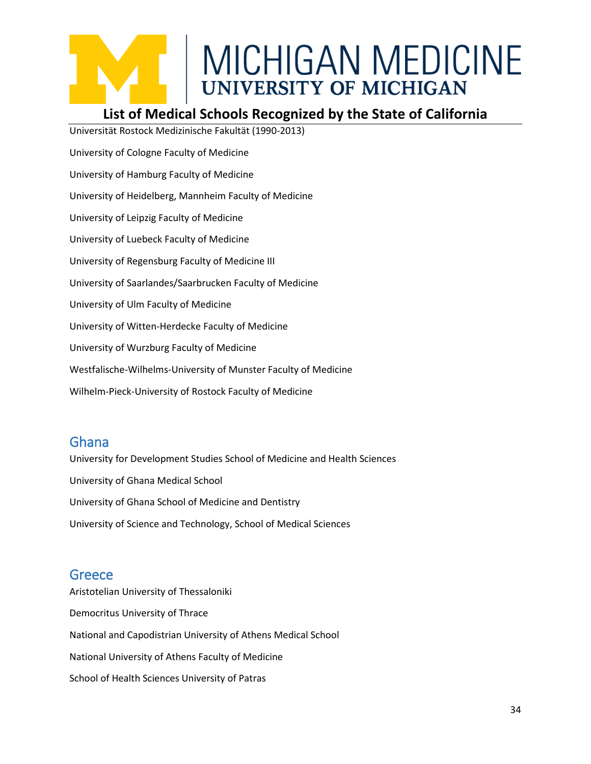### **List of Medical Schools Recognized by the State of California**

Universität Rostock Medizinische Fakultät (1990-2013) University of Cologne Faculty of Medicine University of Hamburg Faculty of Medicine University of Heidelberg, Mannheim Faculty of Medicine University of Leipzig Faculty of Medicine University of Luebeck Faculty of Medicine University of Regensburg Faculty of Medicine III University of Saarlandes/Saarbrucken Faculty of Medicine University of Ulm Faculty of Medicine University of Witten-Herdecke Faculty of Medicine University of Wurzburg Faculty of Medicine Westfalische-Wilhelms-University of Munster Faculty of Medicine Wilhelm-Pieck-University of Rostock Faculty of Medicine

### <span id="page-33-0"></span>Ghana

University for Development Studies School of Medicine and Health Sciences University of Ghana Medical School University of Ghana School of Medicine and Dentistry University of Science and Technology, School of Medical Sciences

### <span id="page-33-1"></span>**Greece**

Aristotelian University of Thessaloniki Democritus University of Thrace National and Capodistrian University of Athens Medical School National University of Athens Faculty of Medicine School of Health Sciences University of Patras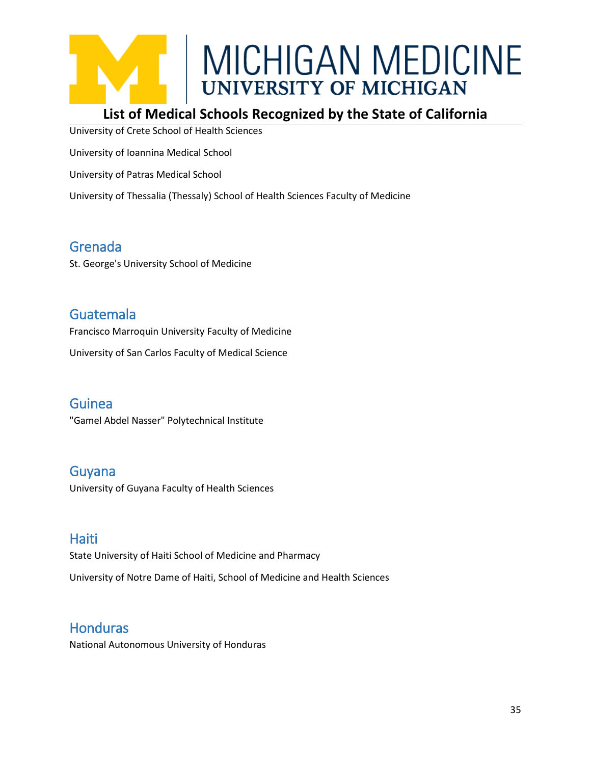

### **List of Medical Schools Recognized by the State of California**

University of Crete School of Health Sciences

University of Ioannina Medical School

University of Patras Medical School

University of Thessalia (Thessaly) School of Health Sciences Faculty of Medicine

### <span id="page-34-0"></span>Grenada

St. George's University School of Medicine

### <span id="page-34-1"></span>Guatemala

Francisco Marroquin University Faculty of Medicine

University of San Carlos Faculty of Medical Science

#### <span id="page-34-2"></span>Guinea

"Gamel Abdel Nasser" Polytechnical Institute

### <span id="page-34-3"></span>Guyana

University of Guyana Faculty of Health Sciences

### <span id="page-34-4"></span>**Haiti**

State University of Haiti School of Medicine and Pharmacy

University of Notre Dame of Haiti, School of Medicine and Health Sciences

### <span id="page-34-5"></span>**Honduras**

National Autonomous University of Honduras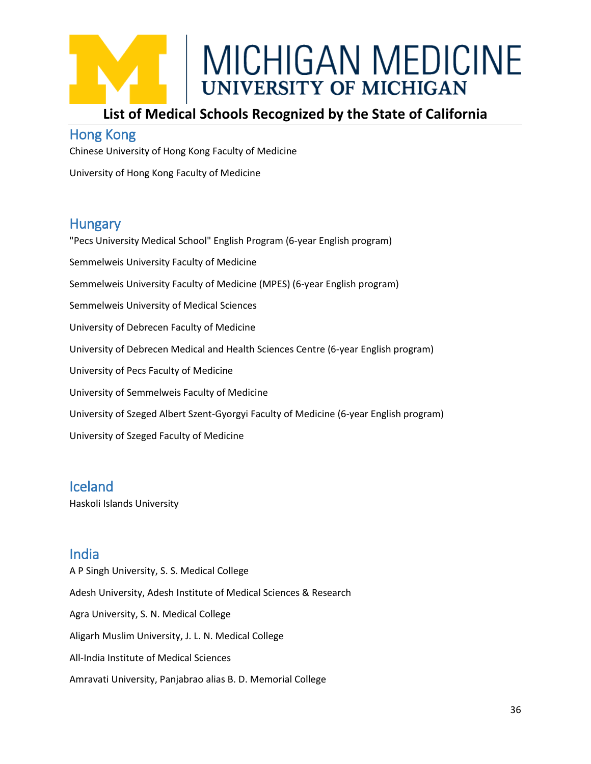### **List of Medical Schools Recognized by the State of California**

### <span id="page-35-0"></span>Hong Kong

Chinese University of Hong Kong Faculty of Medicine

University of Hong Kong Faculty of Medicine

### <span id="page-35-1"></span>**Hungary**

"Pecs University Medical School" English Program (6-year English program) Semmelweis University Faculty of Medicine Semmelweis University Faculty of Medicine (MPES) (6-year English program) Semmelweis University of Medical Sciences University of Debrecen Faculty of Medicine University of Debrecen Medical and Health Sciences Centre (6-year English program) University of Pecs Faculty of Medicine University of Semmelweis Faculty of Medicine University of Szeged Albert Szent-Gyorgyi Faculty of Medicine (6-year English program) University of Szeged Faculty of Medicine

### <span id="page-35-2"></span>Iceland

Haskoli Islands University

### <span id="page-35-3"></span>India

A P Singh University, S. S. Medical College Adesh University, Adesh Institute of Medical Sciences & Research Agra University, S. N. Medical College Aligarh Muslim University, J. L. N. Medical College All-India Institute of Medical Sciences Amravati University, Panjabrao alias B. D. Memorial College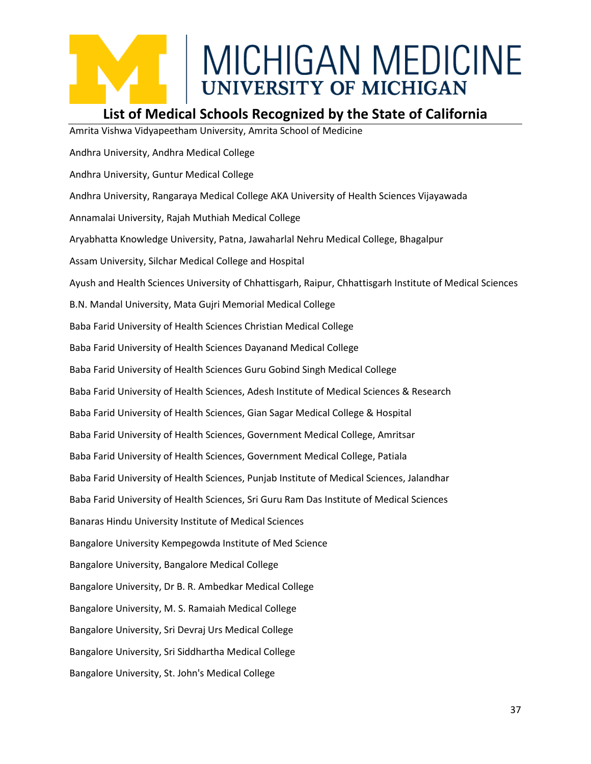

#### **List of Medical Schools Recognized by the State of California**

Amrita Vishwa Vidyapeetham University, Amrita School of Medicine Andhra University, Andhra Medical College Andhra University, Guntur Medical College Andhra University, Rangaraya Medical College AKA University of Health Sciences Vijayawada Annamalai University, Rajah Muthiah Medical College Aryabhatta Knowledge University, Patna, Jawaharlal Nehru Medical College, Bhagalpur Assam University, Silchar Medical College and Hospital Ayush and Health Sciences University of Chhattisgarh, Raipur, Chhattisgarh Institute of Medical Sciences B.N. Mandal University, Mata Gujri Memorial Medical College Baba Farid University of Health Sciences Christian Medical College Baba Farid University of Health Sciences Dayanand Medical College Baba Farid University of Health Sciences Guru Gobind Singh Medical College Baba Farid University of Health Sciences, Adesh Institute of Medical Sciences & Research Baba Farid University of Health Sciences, Gian Sagar Medical College & Hospital Baba Farid University of Health Sciences, Government Medical College, Amritsar Baba Farid University of Health Sciences, Government Medical College, Patiala Baba Farid University of Health Sciences, Punjab Institute of Medical Sciences, Jalandhar Baba Farid University of Health Sciences, Sri Guru Ram Das Institute of Medical Sciences Banaras Hindu University Institute of Medical Sciences Bangalore University Kempegowda Institute of Med Science Bangalore University, Bangalore Medical College Bangalore University, Dr B. R. Ambedkar Medical College Bangalore University, M. S. Ramaiah Medical College Bangalore University, Sri Devraj Urs Medical College Bangalore University, Sri Siddhartha Medical College Bangalore University, St. John's Medical College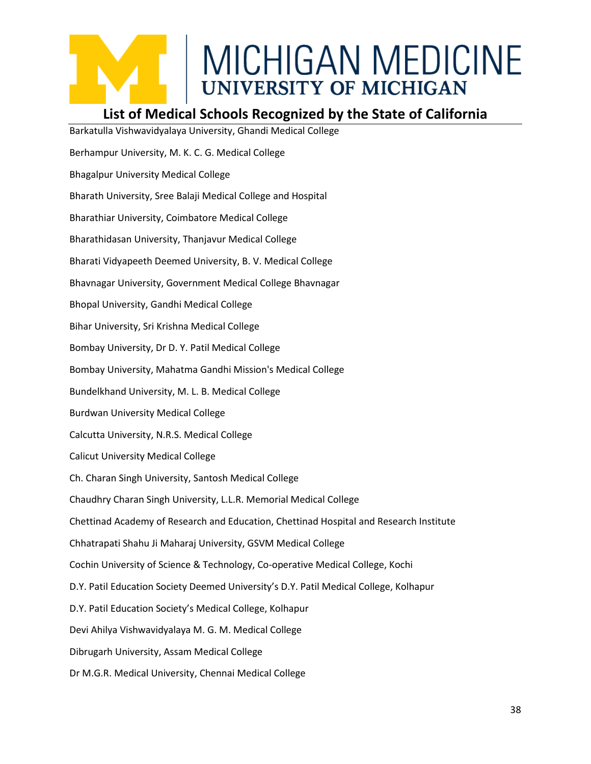### **List of Medical Schools Recognized by the State of California**

Barkatulla Vishwavidyalaya University, Ghandi Medical College Berhampur University, M. K. C. G. Medical College Bhagalpur University Medical College Bharath University, Sree Balaji Medical College and Hospital Bharathiar University, Coimbatore Medical College Bharathidasan University, Thanjavur Medical College Bharati Vidyapeeth Deemed University, B. V. Medical College Bhavnagar University, Government Medical College Bhavnagar Bhopal University, Gandhi Medical College Bihar University, Sri Krishna Medical College Bombay University, Dr D. Y. Patil Medical College Bombay University, Mahatma Gandhi Mission's Medical College Bundelkhand University, M. L. B. Medical College Burdwan University Medical College Calcutta University, N.R.S. Medical College Calicut University Medical College Ch. Charan Singh University, Santosh Medical College Chaudhry Charan Singh University, L.L.R. Memorial Medical College Chettinad Academy of Research and Education, Chettinad Hospital and Research Institute Chhatrapati Shahu Ji Maharaj University, GSVM Medical College Cochin University of Science & Technology, Co-operative Medical College, Kochi D.Y. Patil Education Society Deemed University's D.Y. Patil Medical College, Kolhapur D.Y. Patil Education Society's Medical College, Kolhapur Devi Ahilya Vishwavidyalaya M. G. M. Medical College Dibrugarh University, Assam Medical College Dr M.G.R. Medical University, Chennai Medical College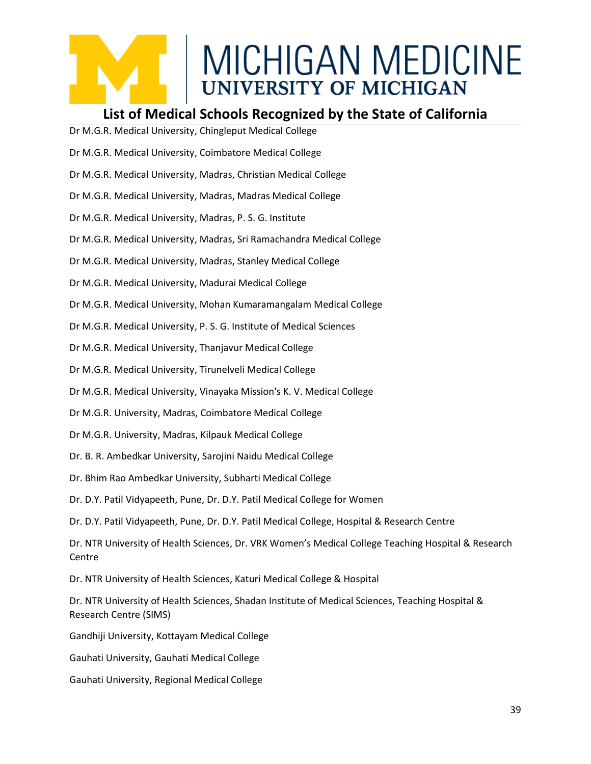#### **List of Medical Schools Recognized by the State of California**

- Dr M.G.R. Medical University, Chingleput Medical College
- Dr M.G.R. Medical University, Coimbatore Medical College
- Dr M.G.R. Medical University, Madras, Christian Medical College
- Dr M.G.R. Medical University, Madras, Madras Medical College
- Dr M.G.R. Medical University, Madras, P. S. G. Institute
- Dr M.G.R. Medical University, Madras, Sri Ramachandra Medical College
- Dr M.G.R. Medical University, Madras, Stanley Medical College
- Dr M.G.R. Medical University, Madurai Medical College
- Dr M.G.R. Medical University, Mohan Kumaramangalam Medical College
- Dr M.G.R. Medical University, P. S. G. Institute of Medical Sciences
- Dr M.G.R. Medical University, Thanjavur Medical College
- Dr M.G.R. Medical University, Tirunelveli Medical College
- Dr M.G.R. Medical University, Vinayaka Mission's K. V. Medical College
- Dr M.G.R. University, Madras, Coimbatore Medical College
- Dr M.G.R. University, Madras, Kilpauk Medical College
- Dr. B. R. Ambedkar University, Sarojini Naidu Medical College
- Dr. Bhim Rao Ambedkar University, Subharti Medical College
- Dr. D.Y. Patil Vidyapeeth, Pune, Dr. D.Y. Patil Medical College for Women
- Dr. D.Y. Patil Vidyapeeth, Pune, Dr. D.Y. Patil Medical College, Hospital & Research Centre

Dr. NTR University of Health Sciences, Dr. VRK Women's Medical College Teaching Hospital & Research Centre

- Dr. NTR University of Health Sciences, Katuri Medical College & Hospital
- Dr. NTR University of Health Sciences, Shadan Institute of Medical Sciences, Teaching Hospital & Research Centre (SIMS)
- Gandhiji University, Kottayam Medical College
- Gauhati University, Gauhati Medical College
- Gauhati University, Regional Medical College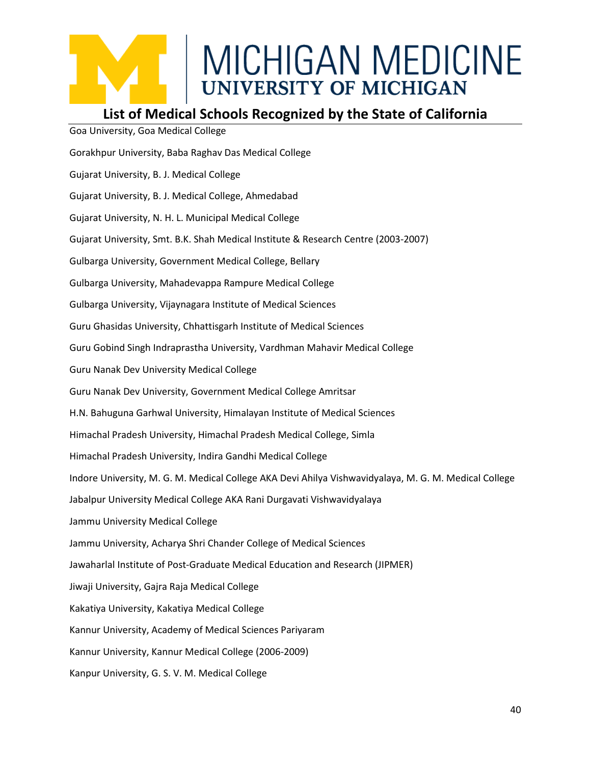

#### **List of Medical Schools Recognized by the State of California**

Goa University, Goa Medical College Gorakhpur University, Baba Raghav Das Medical College Gujarat University, B. J. Medical College Gujarat University, B. J. Medical College, Ahmedabad Gujarat University, N. H. L. Municipal Medical College Gujarat University, Smt. B.K. Shah Medical Institute & Research Centre (2003-2007) Gulbarga University, Government Medical College, Bellary Gulbarga University, Mahadevappa Rampure Medical College Gulbarga University, Vijaynagara Institute of Medical Sciences Guru Ghasidas University, Chhattisgarh Institute of Medical Sciences Guru Gobind Singh Indraprastha University, Vardhman Mahavir Medical College Guru Nanak Dev University Medical College Guru Nanak Dev University, Government Medical College Amritsar H.N. Bahuguna Garhwal University, Himalayan Institute of Medical Sciences Himachal Pradesh University, Himachal Pradesh Medical College, Simla Himachal Pradesh University, Indira Gandhi Medical College Indore University, M. G. M. Medical College AKA Devi Ahilya Vishwavidyalaya, M. G. M. Medical College Jabalpur University Medical College AKA Rani Durgavati Vishwavidyalaya Jammu University Medical College Jammu University, Acharya Shri Chander College of Medical Sciences Jawaharlal Institute of Post-Graduate Medical Education and Research (JIPMER) Jiwaji University, Gajra Raja Medical College Kakatiya University, Kakatiya Medical College Kannur University, Academy of Medical Sciences Pariyaram Kannur University, Kannur Medical College (2006-2009) Kanpur University, G. S. V. M. Medical College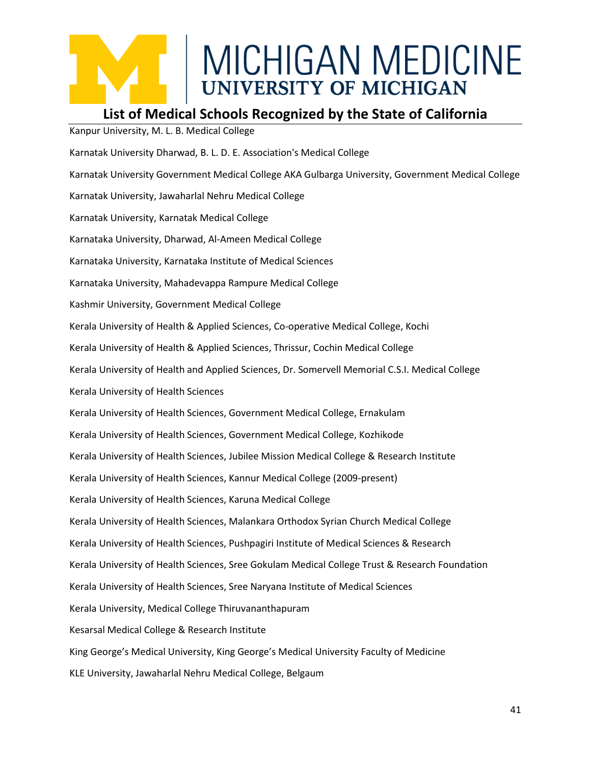### **List of Medical Schools Recognized by the State of California**

Kanpur University, M. L. B. Medical College Karnatak University Dharwad, B. L. D. E. Association's Medical College Karnatak University Government Medical College AKA Gulbarga University, Government Medical College Karnatak University, Jawaharlal Nehru Medical College Karnatak University, Karnatak Medical College Karnataka University, Dharwad, Al-Ameen Medical College Karnataka University, Karnataka Institute of Medical Sciences Karnataka University, Mahadevappa Rampure Medical College Kashmir University, Government Medical College Kerala University of Health & Applied Sciences, Co-operative Medical College, Kochi Kerala University of Health & Applied Sciences, Thrissur, Cochin Medical College Kerala University of Health and Applied Sciences, Dr. Somervell Memorial C.S.I. Medical College Kerala University of Health Sciences Kerala University of Health Sciences, Government Medical College, Ernakulam Kerala University of Health Sciences, Government Medical College, Kozhikode Kerala University of Health Sciences, Jubilee Mission Medical College & Research Institute Kerala University of Health Sciences, Kannur Medical College (2009-present) Kerala University of Health Sciences, Karuna Medical College Kerala University of Health Sciences, Malankara Orthodox Syrian Church Medical College Kerala University of Health Sciences, Pushpagiri Institute of Medical Sciences & Research Kerala University of Health Sciences, Sree Gokulam Medical College Trust & Research Foundation Kerala University of Health Sciences, Sree Naryana Institute of Medical Sciences Kerala University, Medical College Thiruvananthapuram Kesarsal Medical College & Research Institute King George's Medical University, King George's Medical University Faculty of Medicine KLE University, Jawaharlal Nehru Medical College, Belgaum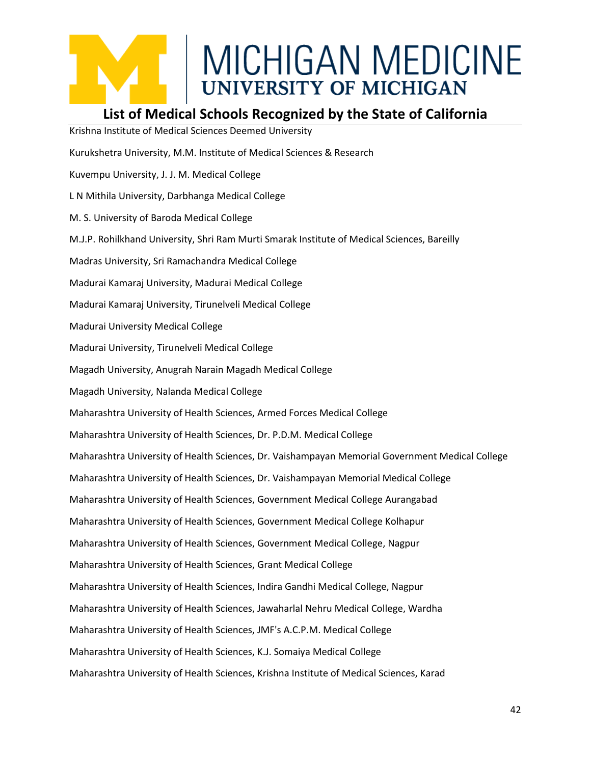### **List of Medical Schools Recognized by the State of California**

Krishna Institute of Medical Sciences Deemed University Kurukshetra University, M.M. Institute of Medical Sciences & Research Kuvempu University, J. J. M. Medical College L N Mithila University, Darbhanga Medical College M. S. University of Baroda Medical College M.J.P. Rohilkhand University, Shri Ram Murti Smarak Institute of Medical Sciences, Bareilly Madras University, Sri Ramachandra Medical College Madurai Kamaraj University, Madurai Medical College Madurai Kamaraj University, Tirunelveli Medical College Madurai University Medical College Madurai University, Tirunelveli Medical College Magadh University, Anugrah Narain Magadh Medical College Magadh University, Nalanda Medical College Maharashtra University of Health Sciences, Armed Forces Medical College Maharashtra University of Health Sciences, Dr. P.D.M. Medical College Maharashtra University of Health Sciences, Dr. Vaishampayan Memorial Government Medical College Maharashtra University of Health Sciences, Dr. Vaishampayan Memorial Medical College Maharashtra University of Health Sciences, Government Medical College Aurangabad Maharashtra University of Health Sciences, Government Medical College Kolhapur Maharashtra University of Health Sciences, Government Medical College, Nagpur Maharashtra University of Health Sciences, Grant Medical College Maharashtra University of Health Sciences, Indira Gandhi Medical College, Nagpur Maharashtra University of Health Sciences, Jawaharlal Nehru Medical College, Wardha Maharashtra University of Health Sciences, JMF's A.C.P.M. Medical College Maharashtra University of Health Sciences, K.J. Somaiya Medical College Maharashtra University of Health Sciences, Krishna Institute of Medical Sciences, Karad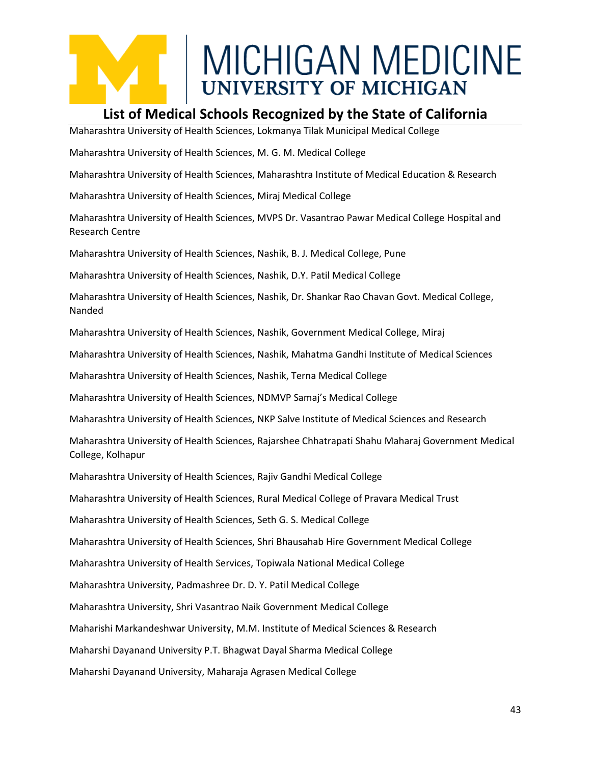#### **List of Medical Schools Recognized by the State of California**

Maharashtra University of Health Sciences, Lokmanya Tilak Municipal Medical College

Maharashtra University of Health Sciences, M. G. M. Medical College

Maharashtra University of Health Sciences, Maharashtra Institute of Medical Education & Research

Maharashtra University of Health Sciences, Miraj Medical College

Maharashtra University of Health Sciences, MVPS Dr. Vasantrao Pawar Medical College Hospital and Research Centre

Maharashtra University of Health Sciences, Nashik, B. J. Medical College, Pune

Maharashtra University of Health Sciences, Nashik, D.Y. Patil Medical College

Maharashtra University of Health Sciences, Nashik, Dr. Shankar Rao Chavan Govt. Medical College, Nanded

Maharashtra University of Health Sciences, Nashik, Government Medical College, Miraj

Maharashtra University of Health Sciences, Nashik, Mahatma Gandhi Institute of Medical Sciences

Maharashtra University of Health Sciences, Nashik, Terna Medical College

Maharashtra University of Health Sciences, NDMVP Samaj's Medical College

Maharashtra University of Health Sciences, NKP Salve Institute of Medical Sciences and Research

Maharashtra University of Health Sciences, Rajarshee Chhatrapati Shahu Maharaj Government Medical College, Kolhapur

Maharashtra University of Health Sciences, Rajiv Gandhi Medical College

Maharashtra University of Health Sciences, Rural Medical College of Pravara Medical Trust

Maharashtra University of Health Sciences, Seth G. S. Medical College

Maharashtra University of Health Sciences, Shri Bhausahab Hire Government Medical College

Maharashtra University of Health Services, Topiwala National Medical College

Maharashtra University, Padmashree Dr. D. Y. Patil Medical College

Maharashtra University, Shri Vasantrao Naik Government Medical College

Maharishi Markandeshwar University, M.M. Institute of Medical Sciences & Research

Maharshi Dayanand University P.T. Bhagwat Dayal Sharma Medical College

Maharshi Dayanand University, Maharaja Agrasen Medical College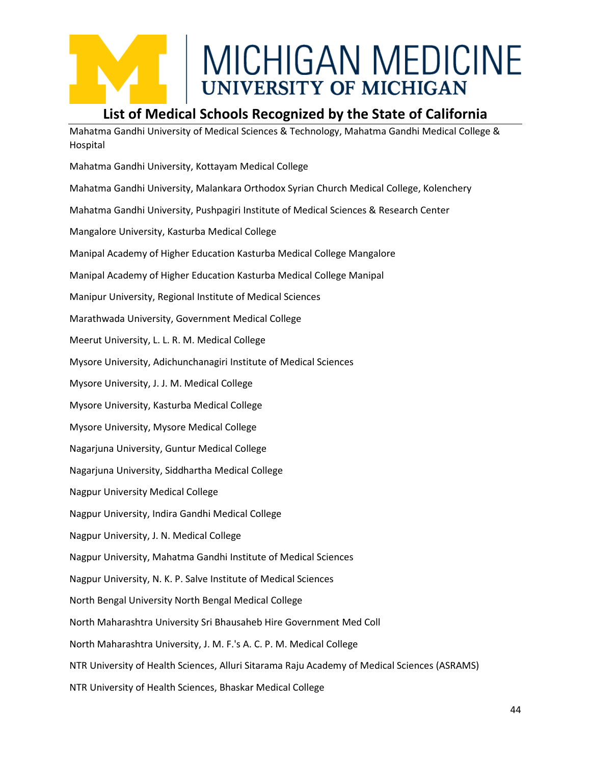#### **List of Medical Schools Recognized by the State of California**

Mahatma Gandhi University of Medical Sciences & Technology, Mahatma Gandhi Medical College & Hospital

Mahatma Gandhi University, Kottayam Medical College Mahatma Gandhi University, Malankara Orthodox Syrian Church Medical College, Kolenchery Mahatma Gandhi University, Pushpagiri Institute of Medical Sciences & Research Center Mangalore University, Kasturba Medical College Manipal Academy of Higher Education Kasturba Medical College Mangalore Manipal Academy of Higher Education Kasturba Medical College Manipal Manipur University, Regional Institute of Medical Sciences Marathwada University, Government Medical College Meerut University, L. L. R. M. Medical College Mysore University, Adichunchanagiri Institute of Medical Sciences Mysore University, J. J. M. Medical College Mysore University, Kasturba Medical College Mysore University, Mysore Medical College Nagarjuna University, Guntur Medical College Nagarjuna University, Siddhartha Medical College Nagpur University Medical College Nagpur University, Indira Gandhi Medical College Nagpur University, J. N. Medical College Nagpur University, Mahatma Gandhi Institute of Medical Sciences Nagpur University, N. K. P. Salve Institute of Medical Sciences North Bengal University North Bengal Medical College North Maharashtra University Sri Bhausaheb Hire Government Med Coll North Maharashtra University, J. M. F.'s A. C. P. M. Medical College NTR University of Health Sciences, Alluri Sitarama Raju Academy of Medical Sciences (ASRAMS) NTR University of Health Sciences, Bhaskar Medical College

44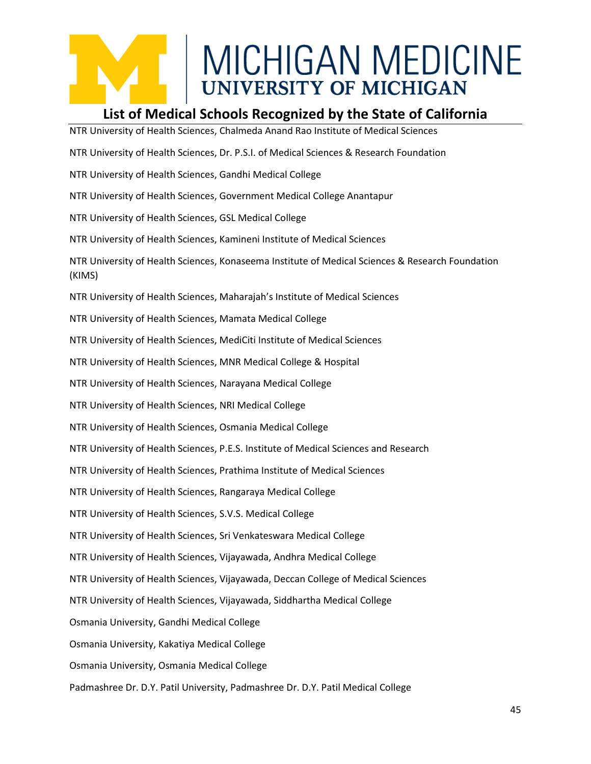#### **List of Medical Schools Recognized by the State of California**

NTR University of Health Sciences, Chalmeda Anand Rao Institute of Medical Sciences NTR University of Health Sciences, Dr. P.S.I. of Medical Sciences & Research Foundation NTR University of Health Sciences, Gandhi Medical College NTR University of Health Sciences, Government Medical College Anantapur NTR University of Health Sciences, GSL Medical College NTR University of Health Sciences, Kamineni Institute of Medical Sciences NTR University of Health Sciences, Konaseema Institute of Medical Sciences & Research Foundation (KIMS) NTR University of Health Sciences, Maharajah's Institute of Medical Sciences NTR University of Health Sciences, Mamata Medical College NTR University of Health Sciences, MediCiti Institute of Medical Sciences NTR University of Health Sciences, MNR Medical College & Hospital NTR University of Health Sciences, Narayana Medical College NTR University of Health Sciences, NRI Medical College NTR University of Health Sciences, Osmania Medical College NTR University of Health Sciences, P.E.S. Institute of Medical Sciences and Research NTR University of Health Sciences, Prathima Institute of Medical Sciences NTR University of Health Sciences, Rangaraya Medical College NTR University of Health Sciences, S.V.S. Medical College NTR University of Health Sciences, Sri Venkateswara Medical College NTR University of Health Sciences, Vijayawada, Andhra Medical College NTR University of Health Sciences, Vijayawada, Deccan College of Medical Sciences NTR University of Health Sciences, Vijayawada, Siddhartha Medical College Osmania University, Gandhi Medical College Osmania University, Kakatiya Medical College Osmania University, Osmania Medical College Padmashree Dr. D.Y. Patil University, Padmashree Dr. D.Y. Patil Medical College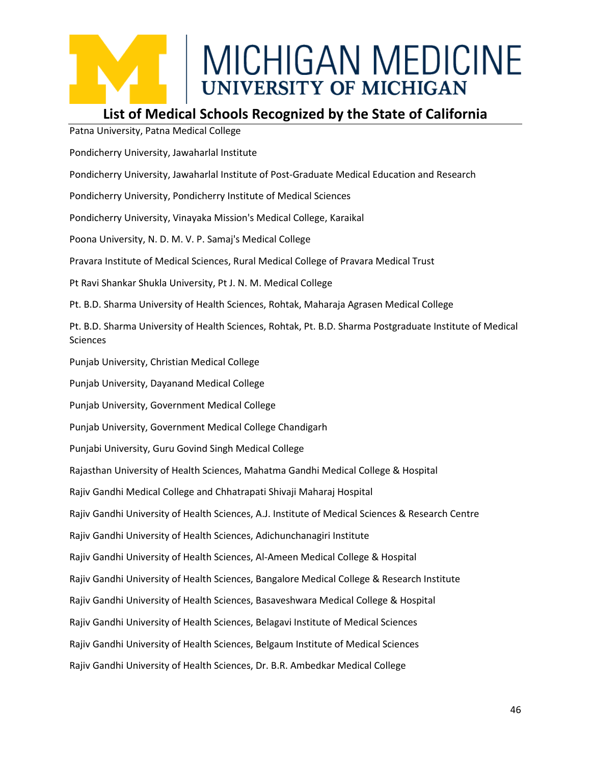#### **List of Medical Schools Recognized by the State of California**

Patna University, Patna Medical College

Pondicherry University, Jawaharlal Institute

Pondicherry University, Jawaharlal Institute of Post-Graduate Medical Education and Research

Pondicherry University, Pondicherry Institute of Medical Sciences

Pondicherry University, Vinayaka Mission's Medical College, Karaikal

Poona University, N. D. M. V. P. Samaj's Medical College

Pravara Institute of Medical Sciences, Rural Medical College of Pravara Medical Trust

Pt Ravi Shankar Shukla University, Pt J. N. M. Medical College

Pt. B.D. Sharma University of Health Sciences, Rohtak, Maharaja Agrasen Medical College

Pt. B.D. Sharma University of Health Sciences, Rohtak, Pt. B.D. Sharma Postgraduate Institute of Medical Sciences

Punjab University, Christian Medical College

Punjab University, Dayanand Medical College

Punjab University, Government Medical College

Punjab University, Government Medical College Chandigarh

Punjabi University, Guru Govind Singh Medical College

Rajasthan University of Health Sciences, Mahatma Gandhi Medical College & Hospital

Rajiv Gandhi Medical College and Chhatrapati Shivaji Maharaj Hospital

Rajiv Gandhi University of Health Sciences, A.J. Institute of Medical Sciences & Research Centre

Rajiv Gandhi University of Health Sciences, Adichunchanagiri Institute

Rajiv Gandhi University of Health Sciences, Al-Ameen Medical College & Hospital

Rajiv Gandhi University of Health Sciences, Bangalore Medical College & Research Institute

Rajiv Gandhi University of Health Sciences, Basaveshwara Medical College & Hospital

Rajiv Gandhi University of Health Sciences, Belagavi Institute of Medical Sciences

Rajiv Gandhi University of Health Sciences, Belgaum Institute of Medical Sciences

Rajiv Gandhi University of Health Sciences, Dr. B.R. Ambedkar Medical College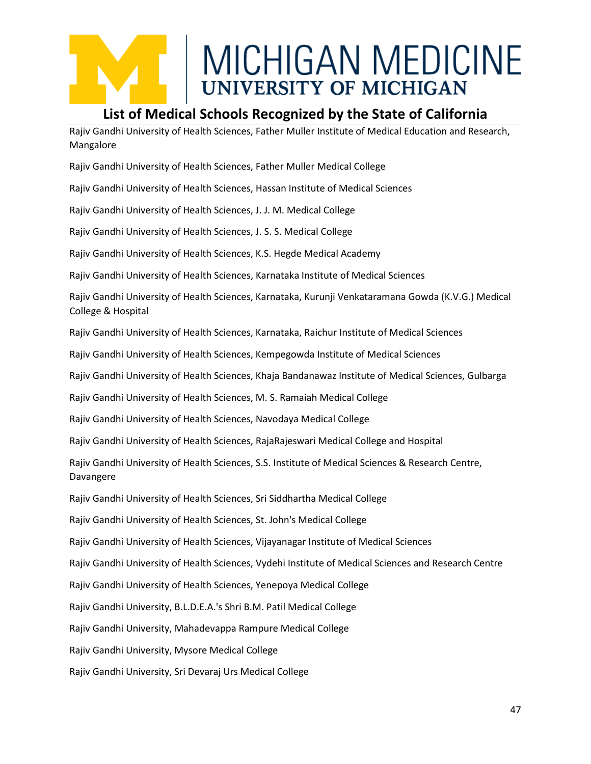#### **List of Medical Schools Recognized by the State of California**

Rajiv Gandhi University of Health Sciences, Father Muller Institute of Medical Education and Research, Mangalore

Rajiv Gandhi University of Health Sciences, Father Muller Medical College

Rajiv Gandhi University of Health Sciences, Hassan Institute of Medical Sciences

Rajiv Gandhi University of Health Sciences, J. J. M. Medical College

Rajiv Gandhi University of Health Sciences, J. S. S. Medical College

Rajiv Gandhi University of Health Sciences, K.S. Hegde Medical Academy

Rajiv Gandhi University of Health Sciences, Karnataka Institute of Medical Sciences

Rajiv Gandhi University of Health Sciences, Karnataka, Kurunji Venkataramana Gowda (K.V.G.) Medical College & Hospital

Rajiv Gandhi University of Health Sciences, Karnataka, Raichur Institute of Medical Sciences

Rajiv Gandhi University of Health Sciences, Kempegowda Institute of Medical Sciences

Rajiv Gandhi University of Health Sciences, Khaja Bandanawaz Institute of Medical Sciences, Gulbarga

Rajiv Gandhi University of Health Sciences, M. S. Ramaiah Medical College

Rajiv Gandhi University of Health Sciences, Navodaya Medical College

Rajiv Gandhi University of Health Sciences, RajaRajeswari Medical College and Hospital

Rajiv Gandhi University of Health Sciences, S.S. Institute of Medical Sciences & Research Centre, Davangere

Rajiv Gandhi University of Health Sciences, Sri Siddhartha Medical College

Rajiv Gandhi University of Health Sciences, St. John's Medical College

Rajiv Gandhi University of Health Sciences, Vijayanagar Institute of Medical Sciences

Rajiv Gandhi University of Health Sciences, Vydehi Institute of Medical Sciences and Research Centre

Rajiv Gandhi University of Health Sciences, Yenepoya Medical College

Rajiv Gandhi University, B.L.D.E.A.'s Shri B.M. Patil Medical College

Rajiv Gandhi University, Mahadevappa Rampure Medical College

Rajiv Gandhi University, Mysore Medical College

Rajiv Gandhi University, Sri Devaraj Urs Medical College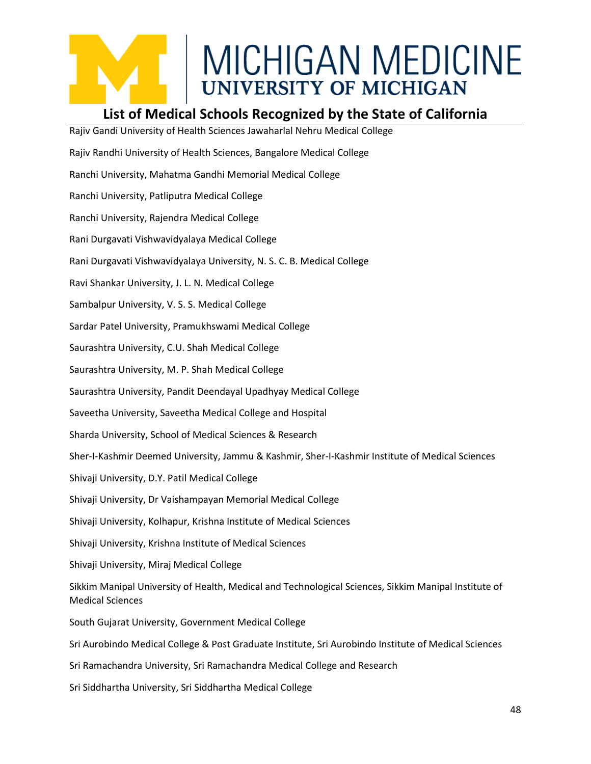

#### **List of Medical Schools Recognized by the State of California**

Rajiv Gandi University of Health Sciences Jawaharlal Nehru Medical College Rajiv Randhi University of Health Sciences, Bangalore Medical College Ranchi University, Mahatma Gandhi Memorial Medical College Ranchi University, Patliputra Medical College Ranchi University, Rajendra Medical College Rani Durgavati Vishwavidyalaya Medical College Rani Durgavati Vishwavidyalaya University, N. S. C. B. Medical College Ravi Shankar University, J. L. N. Medical College Sambalpur University, V. S. S. Medical College Sardar Patel University, Pramukhswami Medical College Saurashtra University, C.U. Shah Medical College Saurashtra University, M. P. Shah Medical College Saurashtra University, Pandit Deendayal Upadhyay Medical College Saveetha University, Saveetha Medical College and Hospital Sharda University, School of Medical Sciences & Research Sher-I-Kashmir Deemed University, Jammu & Kashmir, Sher-I-Kashmir Institute of Medical Sciences Shivaji University, D.Y. Patil Medical College Shivaji University, Dr Vaishampayan Memorial Medical College Shivaji University, Kolhapur, Krishna Institute of Medical Sciences Shivaji University, Krishna Institute of Medical Sciences Shivaji University, Miraj Medical College Sikkim Manipal University of Health, Medical and Technological Sciences, Sikkim Manipal Institute of Medical Sciences South Gujarat University, Government Medical College Sri Aurobindo Medical College & Post Graduate Institute, Sri Aurobindo Institute of Medical Sciences Sri Ramachandra University, Sri Ramachandra Medical College and Research

Sri Siddhartha University, Sri Siddhartha Medical College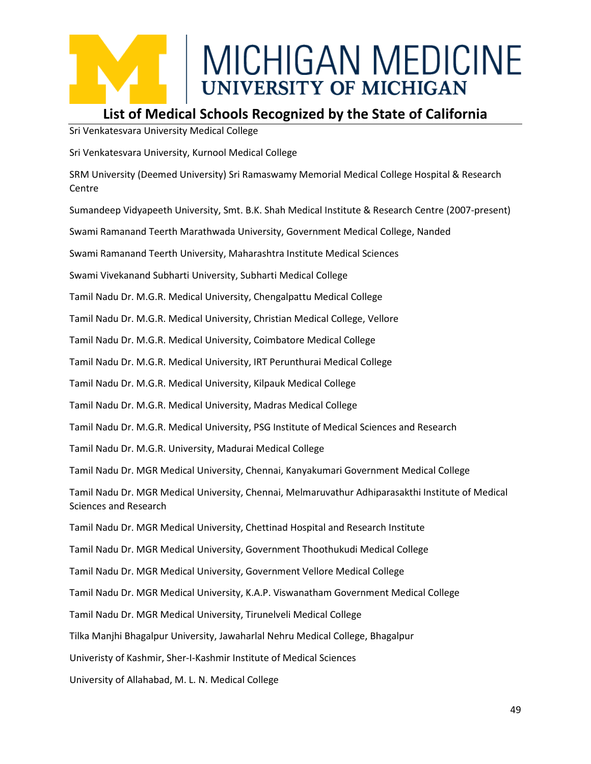#### **List of Medical Schools Recognized by the State of California**

Sri Venkatesvara University Medical College

Sri Venkatesvara University, Kurnool Medical College

SRM University (Deemed University) Sri Ramaswamy Memorial Medical College Hospital & Research **Centre** 

Sumandeep Vidyapeeth University, Smt. B.K. Shah Medical Institute & Research Centre (2007-present)

Swami Ramanand Teerth Marathwada University, Government Medical College, Nanded

Swami Ramanand Teerth University, Maharashtra Institute Medical Sciences

Swami Vivekanand Subharti University, Subharti Medical College

Tamil Nadu Dr. M.G.R. Medical University, Chengalpattu Medical College

Tamil Nadu Dr. M.G.R. Medical University, Christian Medical College, Vellore

Tamil Nadu Dr. M.G.R. Medical University, Coimbatore Medical College

Tamil Nadu Dr. M.G.R. Medical University, IRT Perunthurai Medical College

Tamil Nadu Dr. M.G.R. Medical University, Kilpauk Medical College

Tamil Nadu Dr. M.G.R. Medical University, Madras Medical College

Tamil Nadu Dr. M.G.R. Medical University, PSG Institute of Medical Sciences and Research

Tamil Nadu Dr. M.G.R. University, Madurai Medical College

Tamil Nadu Dr. MGR Medical University, Chennai, Kanyakumari Government Medical College

Tamil Nadu Dr. MGR Medical University, Chennai, Melmaruvathur Adhiparasakthi Institute of Medical Sciences and Research

Tamil Nadu Dr. MGR Medical University, Chettinad Hospital and Research Institute

Tamil Nadu Dr. MGR Medical University, Government Thoothukudi Medical College

Tamil Nadu Dr. MGR Medical University, Government Vellore Medical College

Tamil Nadu Dr. MGR Medical University, K.A.P. Viswanatham Government Medical College

Tamil Nadu Dr. MGR Medical University, Tirunelveli Medical College

Tilka Manjhi Bhagalpur University, Jawaharlal Nehru Medical College, Bhagalpur

Univeristy of Kashmir, Sher-I-Kashmir Institute of Medical Sciences

University of Allahabad, M. L. N. Medical College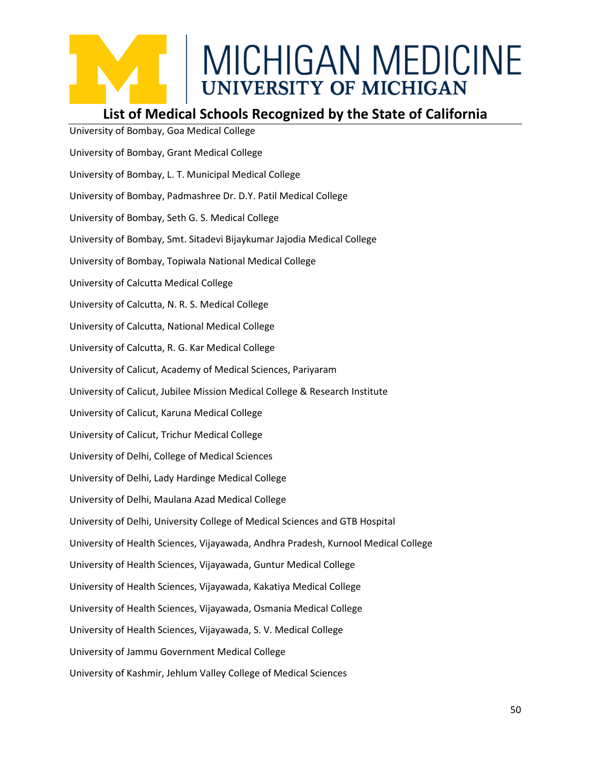### **List of Medical Schools Recognized by the State of California**

University of Bombay, Goa Medical College University of Bombay, Grant Medical College University of Bombay, L. T. Municipal Medical College University of Bombay, Padmashree Dr. D.Y. Patil Medical College University of Bombay, Seth G. S. Medical College University of Bombay, Smt. Sitadevi Bijaykumar Jajodia Medical College University of Bombay, Topiwala National Medical College University of Calcutta Medical College University of Calcutta, N. R. S. Medical College University of Calcutta, National Medical College University of Calcutta, R. G. Kar Medical College University of Calicut, Academy of Medical Sciences, Pariyaram University of Calicut, Jubilee Mission Medical College & Research Institute University of Calicut, Karuna Medical College University of Calicut, Trichur Medical College University of Delhi, College of Medical Sciences University of Delhi, Lady Hardinge Medical College University of Delhi, Maulana Azad Medical College University of Delhi, University College of Medical Sciences and GTB Hospital University of Health Sciences, Vijayawada, Andhra Pradesh, Kurnool Medical College University of Health Sciences, Vijayawada, Guntur Medical College University of Health Sciences, Vijayawada, Kakatiya Medical College University of Health Sciences, Vijayawada, Osmania Medical College University of Health Sciences, Vijayawada, S. V. Medical College University of Jammu Government Medical College University of Kashmir, Jehlum Valley College of Medical Sciences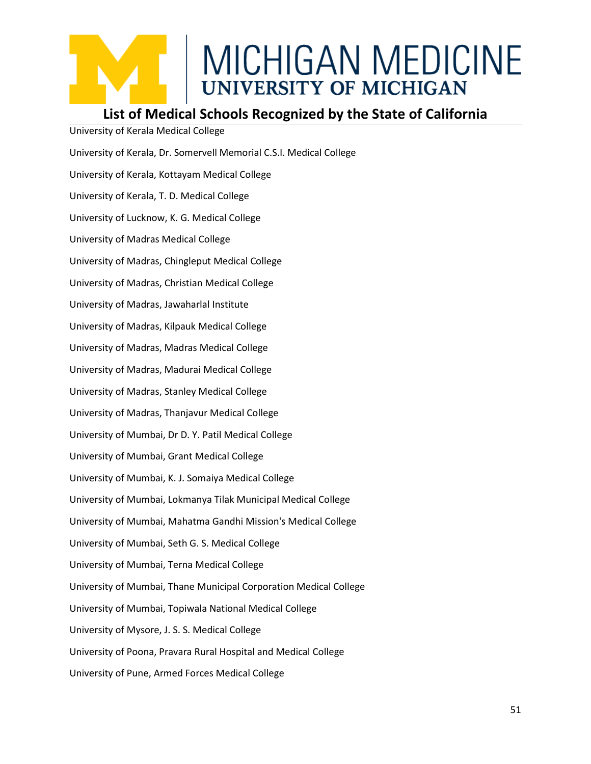#### **List of Medical Schools Recognized by the State of California**

University of Kerala Medical College University of Kerala, Dr. Somervell Memorial C.S.I. Medical College University of Kerala, Kottayam Medical College University of Kerala, T. D. Medical College University of Lucknow, K. G. Medical College University of Madras Medical College University of Madras, Chingleput Medical College University of Madras, Christian Medical College University of Madras, Jawaharlal Institute University of Madras, Kilpauk Medical College University of Madras, Madras Medical College University of Madras, Madurai Medical College University of Madras, Stanley Medical College University of Madras, Thanjavur Medical College University of Mumbai, Dr D. Y. Patil Medical College University of Mumbai, Grant Medical College University of Mumbai, K. J. Somaiya Medical College University of Mumbai, Lokmanya Tilak Municipal Medical College University of Mumbai, Mahatma Gandhi Mission's Medical College University of Mumbai, Seth G. S. Medical College University of Mumbai, Terna Medical College University of Mumbai, Thane Municipal Corporation Medical College University of Mumbai, Topiwala National Medical College University of Mysore, J. S. S. Medical College University of Poona, Pravara Rural Hospital and Medical College University of Pune, Armed Forces Medical College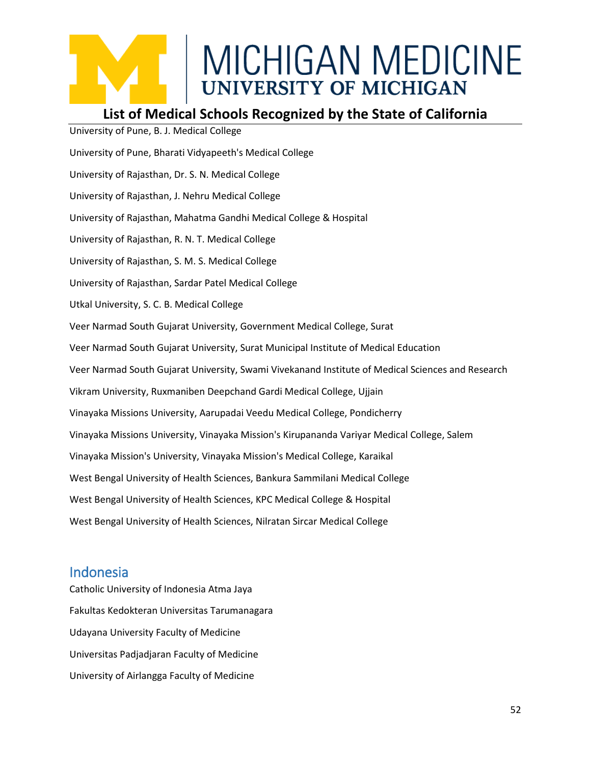#### **List of Medical Schools Recognized by the State of California**

University of Pune, B. J. Medical College University of Pune, Bharati Vidyapeeth's Medical College University of Rajasthan, Dr. S. N. Medical College University of Rajasthan, J. Nehru Medical College University of Rajasthan, Mahatma Gandhi Medical College & Hospital University of Rajasthan, R. N. T. Medical College University of Rajasthan, S. M. S. Medical College University of Rajasthan, Sardar Patel Medical College Utkal University, S. C. B. Medical College Veer Narmad South Gujarat University, Government Medical College, Surat Veer Narmad South Gujarat University, Surat Municipal Institute of Medical Education Veer Narmad South Gujarat University, Swami Vivekanand Institute of Medical Sciences and Research Vikram University, Ruxmaniben Deepchand Gardi Medical College, Ujjain Vinayaka Missions University, Aarupadai Veedu Medical College, Pondicherry Vinayaka Missions University, Vinayaka Mission's Kirupananda Variyar Medical College, Salem Vinayaka Mission's University, Vinayaka Mission's Medical College, Karaikal West Bengal University of Health Sciences, Bankura Sammilani Medical College West Bengal University of Health Sciences, KPC Medical College & Hospital West Bengal University of Health Sciences, Nilratan Sircar Medical College

#### Indonesia

Catholic University of Indonesia Atma Jaya Fakultas Kedokteran Universitas Tarumanagara Udayana University Faculty of Medicine Universitas Padjadjaran Faculty of Medicine University of Airlangga Faculty of Medicine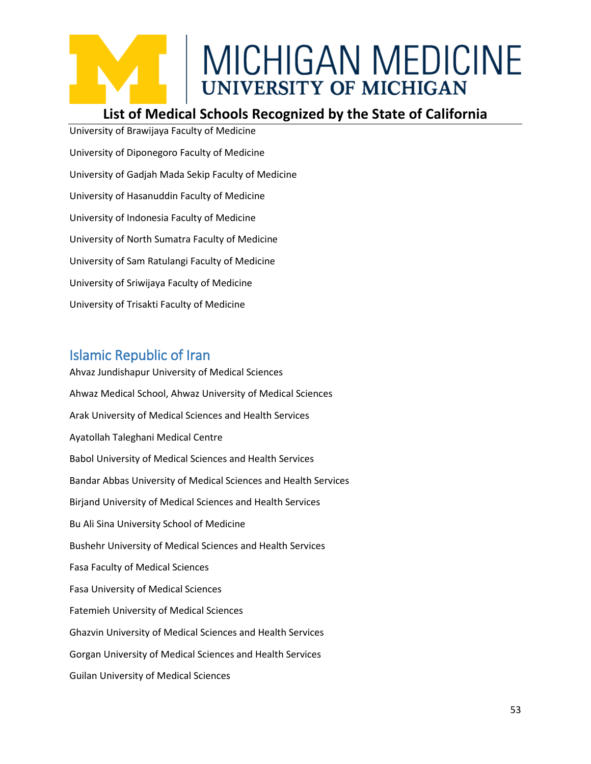#### **List of Medical Schools Recognized by the State of California**

University of Brawijaya Faculty of Medicine University of Diponegoro Faculty of Medicine University of Gadjah Mada Sekip Faculty of Medicine University of Hasanuddin Faculty of Medicine University of Indonesia Faculty of Medicine University of North Sumatra Faculty of Medicine University of Sam Ratulangi Faculty of Medicine University of Sriwijaya Faculty of Medicine University of Trisakti Faculty of Medicine

#### Islamic Republic of Iran

Ahvaz Jundishapur University of Medical Sciences Ahwaz Medical School, Ahwaz University of Medical Sciences Arak University of Medical Sciences and Health Services Ayatollah Taleghani Medical Centre Babol University of Medical Sciences and Health Services Bandar Abbas University of Medical Sciences and Health Services Birjand University of Medical Sciences and Health Services Bu Ali Sina University School of Medicine Bushehr University of Medical Sciences and Health Services Fasa Faculty of Medical Sciences Fasa University of Medical Sciences Fatemieh University of Medical Sciences Ghazvin University of Medical Sciences and Health Services Gorgan University of Medical Sciences and Health Services Guilan University of Medical Sciences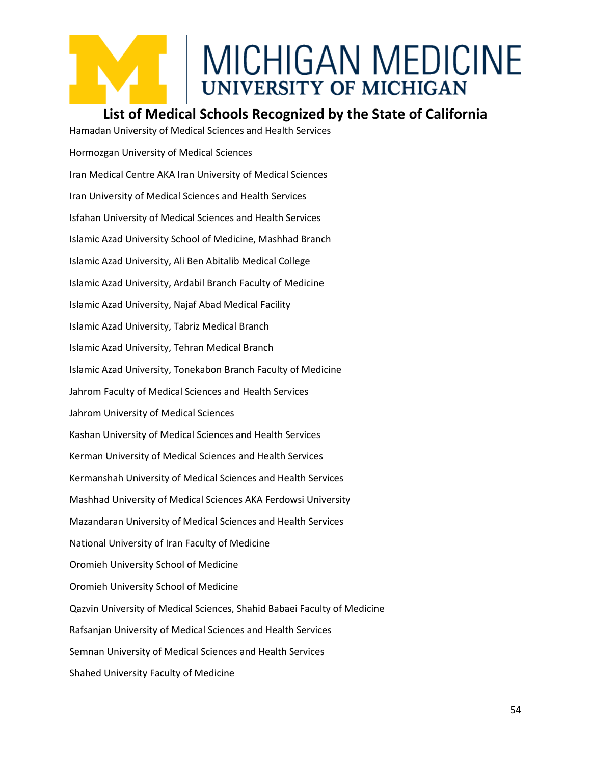#### **List of Medical Schools Recognized by the State of California**

Hamadan University of Medical Sciences and Health Services Hormozgan University of Medical Sciences Iran Medical Centre AKA Iran University of Medical Sciences Iran University of Medical Sciences and Health Services Isfahan University of Medical Sciences and Health Services Islamic Azad University School of Medicine, Mashhad Branch Islamic Azad University, Ali Ben Abitalib Medical College Islamic Azad University, Ardabil Branch Faculty of Medicine Islamic Azad University, Najaf Abad Medical Facility Islamic Azad University, Tabriz Medical Branch Islamic Azad University, Tehran Medical Branch Islamic Azad University, Tonekabon Branch Faculty of Medicine Jahrom Faculty of Medical Sciences and Health Services Jahrom University of Medical Sciences Kashan University of Medical Sciences and Health Services Kerman University of Medical Sciences and Health Services Kermanshah University of Medical Sciences and Health Services Mashhad University of Medical Sciences AKA Ferdowsi University Mazandaran University of Medical Sciences and Health Services National University of Iran Faculty of Medicine Oromieh University School of Medicine Oromieh University School of Medicine Qazvin University of Medical Sciences, Shahid Babaei Faculty of Medicine Rafsanjan University of Medical Sciences and Health Services Semnan University of Medical Sciences and Health Services Shahed University Faculty of Medicine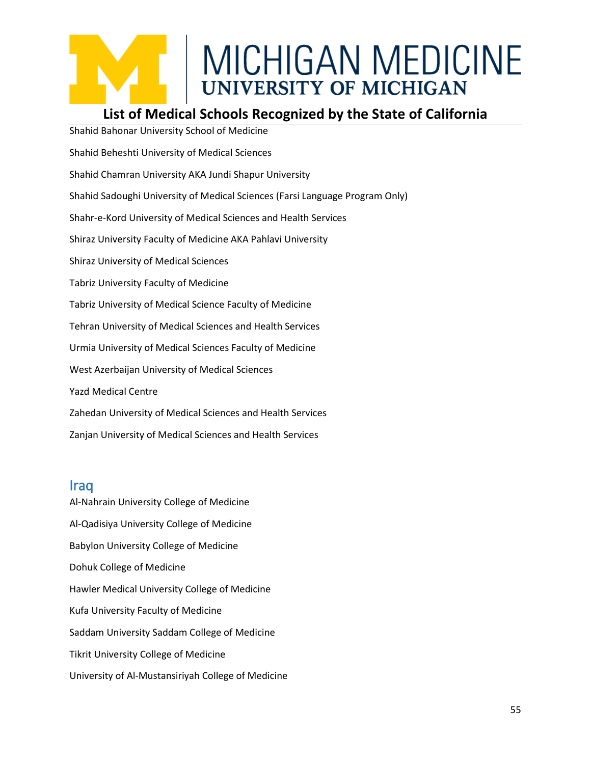#### **List of Medical Schools Recognized by the State of California**

Shahid Bahonar University School of Medicine Shahid Beheshti University of Medical Sciences Shahid Chamran University AKA Jundi Shapur University Shahid Sadoughi University of Medical Sciences (Farsi Language Program Only) Shahr-e-Kord University of Medical Sciences and Health Services Shiraz University Faculty of Medicine AKA Pahlavi University Shiraz University of Medical Sciences Tabriz University Faculty of Medicine Tabriz University of Medical Science Faculty of Medicine Tehran University of Medical Sciences and Health Services Urmia University of Medical Sciences Faculty of Medicine West Azerbaijan University of Medical Sciences Yazd Medical Centre Zahedan University of Medical Sciences and Health Services Zanjan University of Medical Sciences and Health Services

#### Iraq

Al-Nahrain University College of Medicine Al-Qadisiya University College of Medicine Babylon University College of Medicine Dohuk College of Medicine Hawler Medical University College of Medicine Kufa University Faculty of Medicine Saddam University Saddam College of Medicine Tikrit University College of Medicine University of Al-Mustansiriyah College of Medicine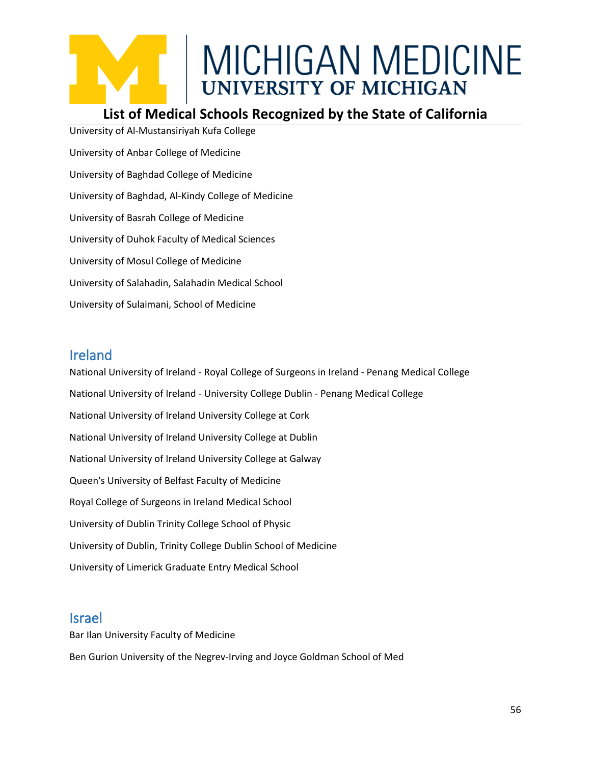#### **List of Medical Schools Recognized by the State of California**

University of Al-Mustansiriyah Kufa College University of Anbar College of Medicine University of Baghdad College of Medicine University of Baghdad, Al-Kindy College of Medicine University of Basrah College of Medicine University of Duhok Faculty of Medical Sciences University of Mosul College of Medicine University of Salahadin, Salahadin Medical School University of Sulaimani, School of Medicine

#### Ireland

National University of Ireland - Royal College of Surgeons in Ireland - Penang Medical College National University of Ireland - University College Dublin - Penang Medical College National University of Ireland University College at Cork National University of Ireland University College at Dublin National University of Ireland University College at Galway Queen's University of Belfast Faculty of Medicine Royal College of Surgeons in Ireland Medical School University of Dublin Trinity College School of Physic University of Dublin, Trinity College Dublin School of Medicine University of Limerick Graduate Entry Medical School

#### Israel

Bar Ilan University Faculty of Medicine Ben Gurion University of the Negrev-Irving and Joyce Goldman School of Med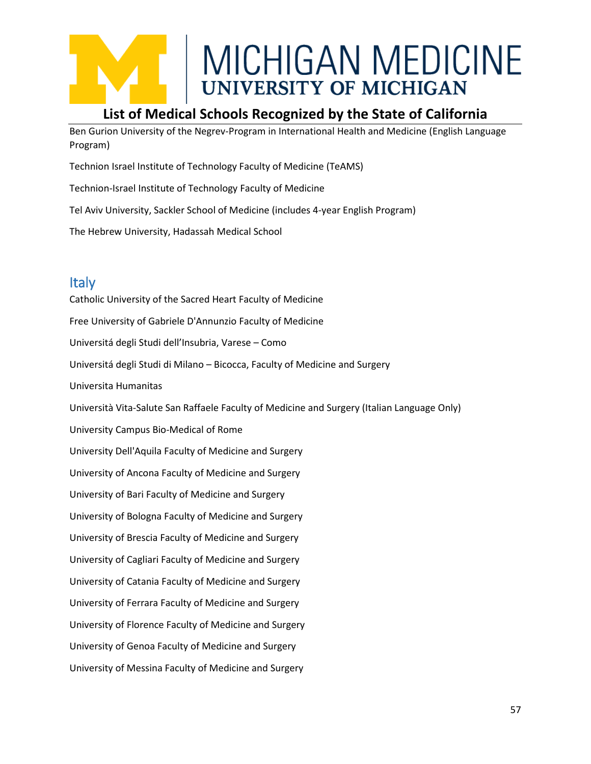### **List of Medical Schools Recognized by the State of California**

Ben Gurion University of the Negrev-Program in International Health and Medicine (English Language Program)

Technion Israel Institute of Technology Faculty of Medicine (TeAMS)

Technion-Israel Institute of Technology Faculty of Medicine

Tel Aviv University, Sackler School of Medicine (includes 4-year English Program)

The Hebrew University, Hadassah Medical School

#### Italy

Catholic University of the Sacred Heart Faculty of Medicine Free University of Gabriele D'Annunzio Faculty of Medicine Universitá degli Studi dell'Insubria, Varese – Como Universitá degli Studi di Milano – Bicocca, Faculty of Medicine and Surgery Universita Humanitas Università Vita-Salute San Raffaele Faculty of Medicine and Surgery (Italian Language Only) University Campus Bio-Medical of Rome University Dell'Aquila Faculty of Medicine and Surgery University of Ancona Faculty of Medicine and Surgery University of Bari Faculty of Medicine and Surgery University of Bologna Faculty of Medicine and Surgery University of Brescia Faculty of Medicine and Surgery University of Cagliari Faculty of Medicine and Surgery University of Catania Faculty of Medicine and Surgery University of Ferrara Faculty of Medicine and Surgery University of Florence Faculty of Medicine and Surgery University of Genoa Faculty of Medicine and Surgery University of Messina Faculty of Medicine and Surgery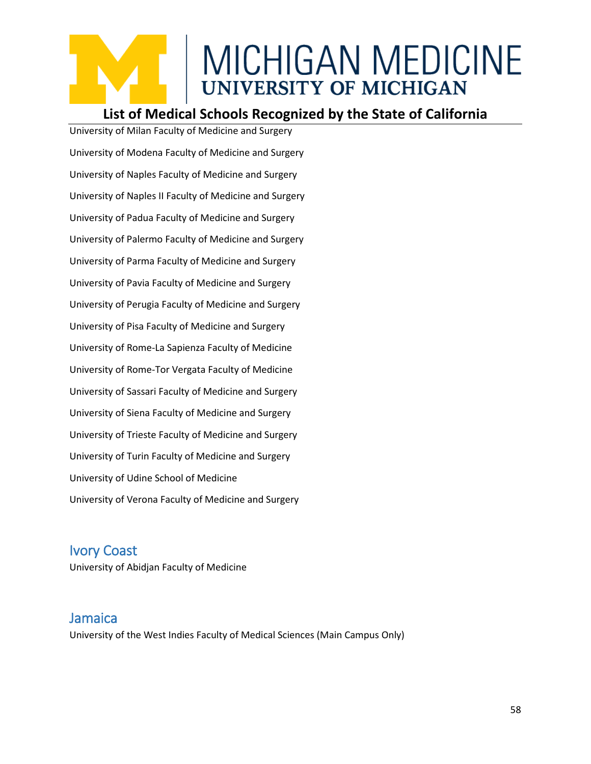#### **List of Medical Schools Recognized by the State of California**

University of Milan Faculty of Medicine and Surgery University of Modena Faculty of Medicine and Surgery University of Naples Faculty of Medicine and Surgery University of Naples II Faculty of Medicine and Surgery University of Padua Faculty of Medicine and Surgery University of Palermo Faculty of Medicine and Surgery University of Parma Faculty of Medicine and Surgery University of Pavia Faculty of Medicine and Surgery University of Perugia Faculty of Medicine and Surgery University of Pisa Faculty of Medicine and Surgery University of Rome-La Sapienza Faculty of Medicine University of Rome-Tor Vergata Faculty of Medicine University of Sassari Faculty of Medicine and Surgery University of Siena Faculty of Medicine and Surgery University of Trieste Faculty of Medicine and Surgery University of Turin Faculty of Medicine and Surgery University of Udine School of Medicine University of Verona Faculty of Medicine and Surgery

#### Ivory Coast

University of Abidjan Faculty of Medicine

#### Jamaica

University of the West Indies Faculty of Medical Sciences (Main Campus Only)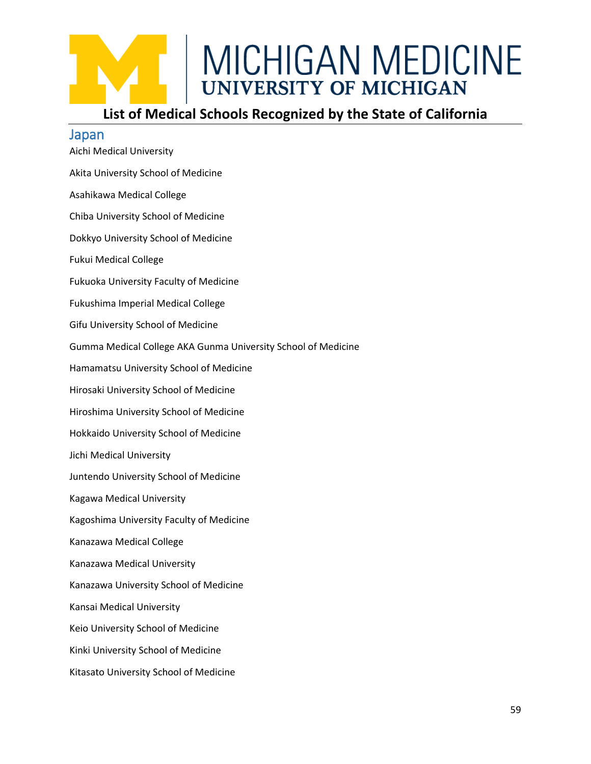### **List of Medical Schools Recognized by the State of California**

| Japan                                                         |
|---------------------------------------------------------------|
| Aichi Medical University                                      |
| Akita University School of Medicine                           |
| Asahikawa Medical College                                     |
| Chiba University School of Medicine                           |
| Dokkyo University School of Medicine                          |
| <b>Fukui Medical College</b>                                  |
| Fukuoka University Faculty of Medicine                        |
| Fukushima Imperial Medical College                            |
| Gifu University School of Medicine                            |
| Gumma Medical College AKA Gunma University School of Medicine |
| Hamamatsu University School of Medicine                       |
| Hirosaki University School of Medicine                        |
| Hiroshima University School of Medicine                       |
| Hokkaido University School of Medicine                        |
| Jichi Medical University                                      |
| Juntendo University School of Medicine                        |
| Kagawa Medical University                                     |
| Kagoshima University Faculty of Medicine                      |
| Kanazawa Medical College                                      |
| Kanazawa Medical University                                   |
| Kanazawa University School of Medicine                        |
| Kansai Medical University                                     |
| Keio University School of Medicine                            |
| Kinki University School of Medicine                           |
| Kitasato University School of Medicine                        |
|                                                               |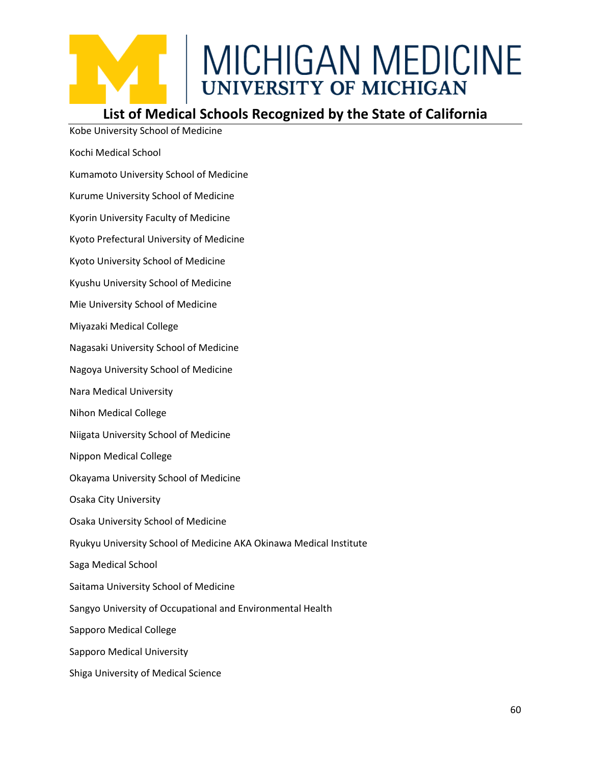#### **List of Medical Schools Recognized by the State of California**

Kobe University School of Medicine

- Kochi Medical School
- Kumamoto University School of Medicine
- Kurume University School of Medicine
- Kyorin University Faculty of Medicine
- Kyoto Prefectural University of Medicine
- Kyoto University School of Medicine
- Kyushu University School of Medicine
- Mie University School of Medicine
- Miyazaki Medical College
- Nagasaki University School of Medicine
- Nagoya University School of Medicine
- Nara Medical University
- Nihon Medical College
- Niigata University School of Medicine
- Nippon Medical College
- Okayama University School of Medicine
- Osaka City University
- Osaka University School of Medicine
- Ryukyu University School of Medicine AKA Okinawa Medical Institute
- Saga Medical School
- Saitama University School of Medicine
- Sangyo University of Occupational and Environmental Health
- Sapporo Medical College
- Sapporo Medical University
- Shiga University of Medical Science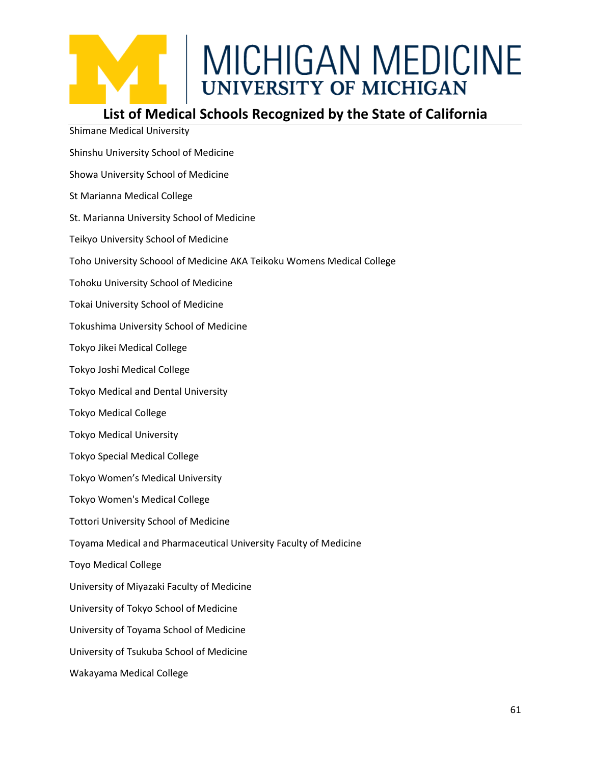

Shimane Medical University

## MICHIGAN MEDICINE<br>UNIVERSITY OF MICHIGAN

#### **List of Medical Schools Recognized by the State of California**

Shinshu University School of Medicine Showa University School of Medicine St Marianna Medical College St. Marianna University School of Medicine Teikyo University School of Medicine Toho University Schoool of Medicine AKA Teikoku Womens Medical College Tohoku University School of Medicine Tokai University School of Medicine Tokushima University School of Medicine Tokyo Jikei Medical College Tokyo Joshi Medical College Tokyo Medical and Dental University Tokyo Medical College Tokyo Medical University Tokyo Special Medical College Tokyo Women's Medical University Tokyo Women's Medical College Tottori University School of Medicine Toyama Medical and Pharmaceutical University Faculty of Medicine Toyo Medical College University of Miyazaki Faculty of Medicine University of Tokyo School of Medicine University of Toyama School of Medicine University of Tsukuba School of Medicine Wakayama Medical College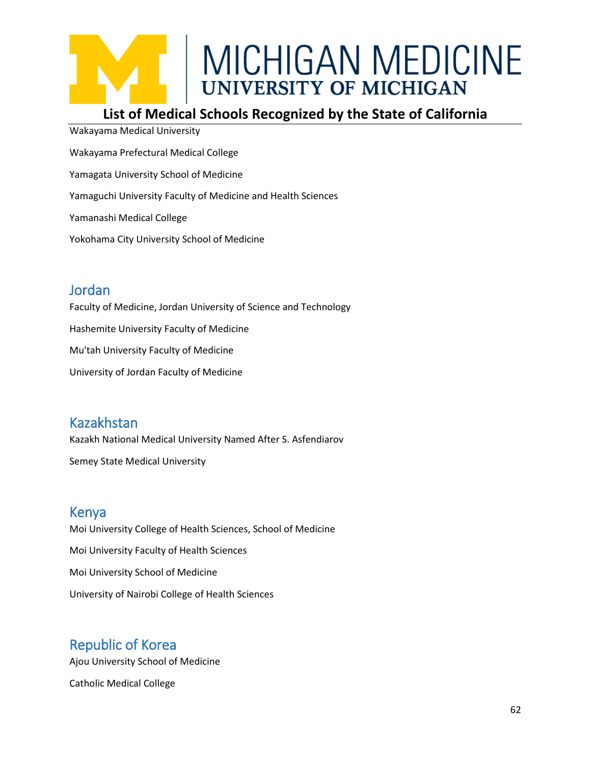#### **List of Medical Schools Recognized by the State of California**

Wakayama Medical University Wakayama Prefectural Medical College Yamagata University School of Medicine Yamaguchi University Faculty of Medicine and Health Sciences Yamanashi Medical College Yokohama City University School of Medicine

#### **Jordan**

Faculty of Medicine, Jordan University of Science and Technology Hashemite University Faculty of Medicine Mu'tah University Faculty of Medicine University of Jordan Faculty of Medicine

#### Kazakhstan

Kazakh National Medical University Named After S. Asfendiarov Semey State Medical University

#### Kenya

Moi University College of Health Sciences, School of Medicine Moi University Faculty of Health Sciences Moi University School of Medicine University of Nairobi College of Health Sciences

#### Republic of Korea

Ajou University School of Medicine

Catholic Medical College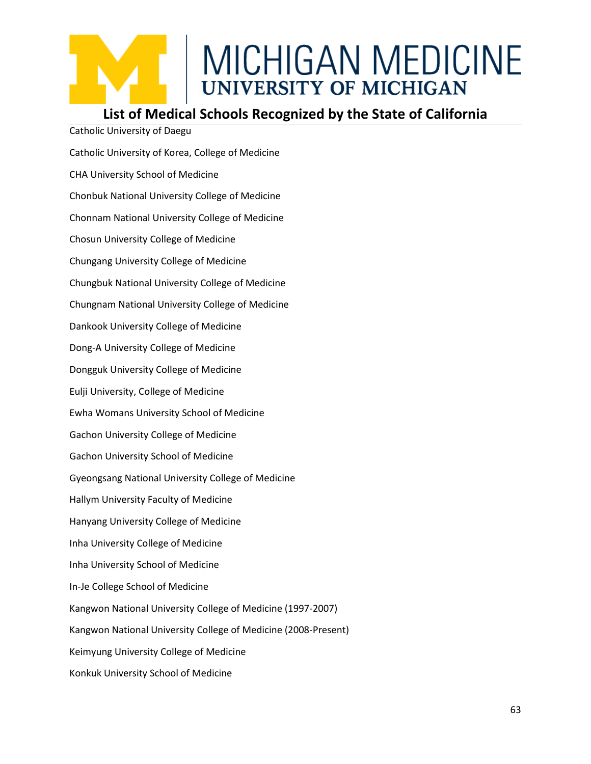#### **List of Medical Schools Recognized by the State of California**

Catholic University of Korea, College of Medicine CHA University School of Medicine Chonbuk National University College of Medicine Chonnam National University College of Medicine Chosun University College of Medicine Chungang University College of Medicine Chungbuk National University College of Medicine Chungnam National University College of Medicine Dankook University College of Medicine Dong-A University College of Medicine Dongguk University College of Medicine Eulji University, College of Medicine Ewha Womans University School of Medicine Gachon University College of Medicine Gachon University School of Medicine Gyeongsang National University College of Medicine Hallym University Faculty of Medicine Hanyang University College of Medicine Inha University College of Medicine Inha University School of Medicine In-Je College School of Medicine Kangwon National University College of Medicine (1997-2007) Kangwon National University College of Medicine (2008-Present) Keimyung University College of Medicine Konkuk University School of Medicine

Catholic University of Daegu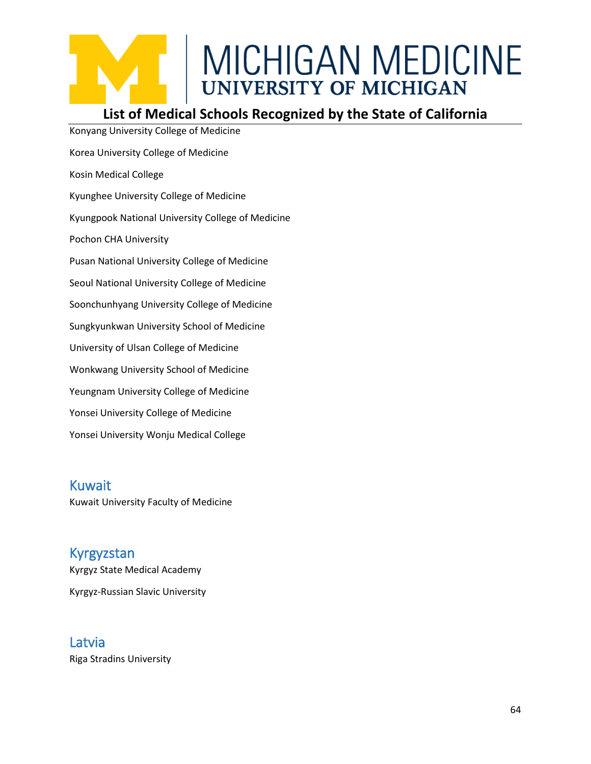#### **List of Medical Schools Recognized by the State of California**

Konyang University College of Medicine Korea University College of Medicine Kosin Medical College Kyunghee University College of Medicine Kyungpook National University College of Medicine Pochon CHA University Pusan National University College of Medicine Seoul National University College of Medicine Soonchunhyang University College of Medicine Sungkyunkwan University School of Medicine University of Ulsan College of Medicine Wonkwang University School of Medicine Yeungnam University College of Medicine Yonsei University College of Medicine Yonsei University Wonju Medical College

Kuwait Kuwait University Faculty of Medicine

Kyrgyzstan Kyrgyz State Medical Academy Kyrgyz-Russian Slavic University

#### Latvia

Riga Stradins University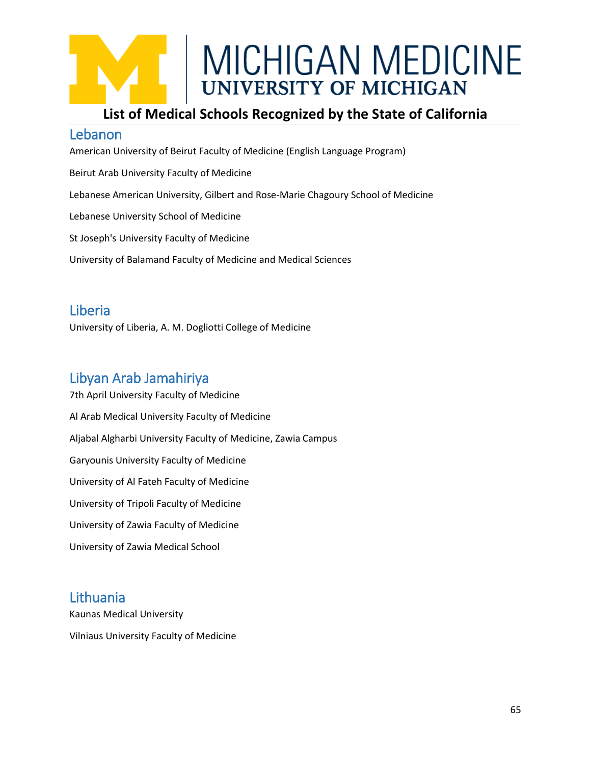

#### **List of Medical Schools Recognized by the State of California**

#### Lebanon

American University of Beirut Faculty of Medicine (English Language Program) Beirut Arab University Faculty of Medicine Lebanese American University, Gilbert and Rose-Marie Chagoury School of Medicine Lebanese University School of Medicine St Joseph's University Faculty of Medicine University of Balamand Faculty of Medicine and Medical Sciences

#### Liberia

University of Liberia, A. M. Dogliotti College of Medicine

#### Libyan Arab Jamahiriya

7th April University Faculty of Medicine Al Arab Medical University Faculty of Medicine Aljabal Algharbi University Faculty of Medicine, Zawia Campus Garyounis University Faculty of Medicine University of Al Fateh Faculty of Medicine University of Tripoli Faculty of Medicine University of Zawia Faculty of Medicine University of Zawia Medical School

#### Lithuania

Kaunas Medical University Vilniaus University Faculty of Medicine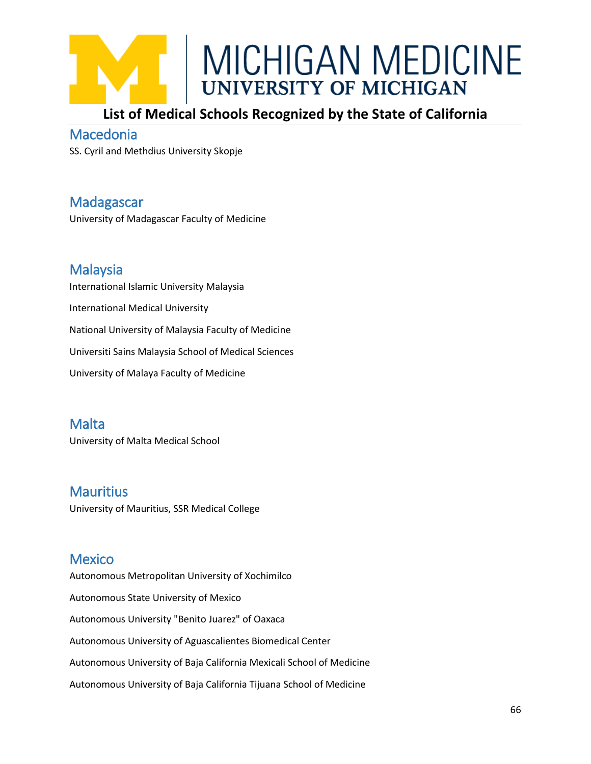

#### **List of Medical Schools Recognized by the State of California**

#### Macedonia

SS. Cyril and Methdius University Skopje

#### Madagascar

University of Madagascar Faculty of Medicine

#### Malaysia

International Islamic University Malaysia International Medical University National University of Malaysia Faculty of Medicine Universiti Sains Malaysia School of Medical Sciences University of Malaya Faculty of Medicine

#### Malta

University of Malta Medical School

#### **Mauritius**

University of Mauritius, SSR Medical College

#### **Mexico**

Autonomous Metropolitan University of Xochimilco Autonomous State University of Mexico Autonomous University "Benito Juarez" of Oaxaca Autonomous University of Aguascalientes Biomedical Center Autonomous University of Baja California Mexicali School of Medicine Autonomous University of Baja California Tijuana School of Medicine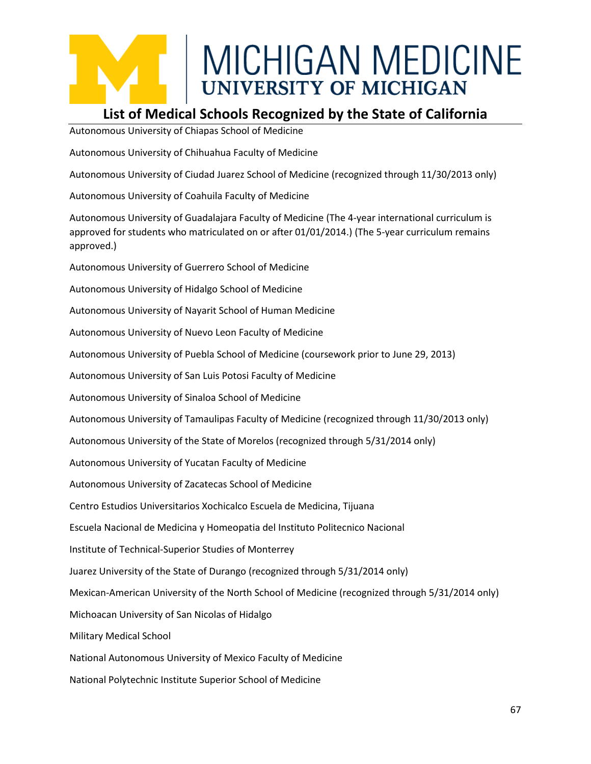#### **List of Medical Schools Recognized by the State of California**

Autonomous University of Chiapas School of Medicine

Autonomous University of Chihuahua Faculty of Medicine

Autonomous University of Ciudad Juarez School of Medicine (recognized through 11/30/2013 only)

Autonomous University of Coahuila Faculty of Medicine

Autonomous University of Guadalajara Faculty of Medicine (The 4-year international curriculum is approved for students who matriculated on or after 01/01/2014.) (The 5-year curriculum remains approved.)

Autonomous University of Guerrero School of Medicine

Autonomous University of Hidalgo School of Medicine

Autonomous University of Nayarit School of Human Medicine

Autonomous University of Nuevo Leon Faculty of Medicine

Autonomous University of Puebla School of Medicine (coursework prior to June 29, 2013)

Autonomous University of San Luis Potosi Faculty of Medicine

Autonomous University of Sinaloa School of Medicine

Autonomous University of Tamaulipas Faculty of Medicine (recognized through 11/30/2013 only)

Autonomous University of the State of Morelos (recognized through 5/31/2014 only)

Autonomous University of Yucatan Faculty of Medicine

Autonomous University of Zacatecas School of Medicine

Centro Estudios Universitarios Xochicalco Escuela de Medicina, Tijuana

Escuela Nacional de Medicina y Homeopatia del Instituto Politecnico Nacional

Institute of Technical-Superior Studies of Monterrey

Juarez University of the State of Durango (recognized through 5/31/2014 only)

Mexican-American University of the North School of Medicine (recognized through 5/31/2014 only)

Michoacan University of San Nicolas of Hidalgo

Military Medical School

National Autonomous University of Mexico Faculty of Medicine

National Polytechnic Institute Superior School of Medicine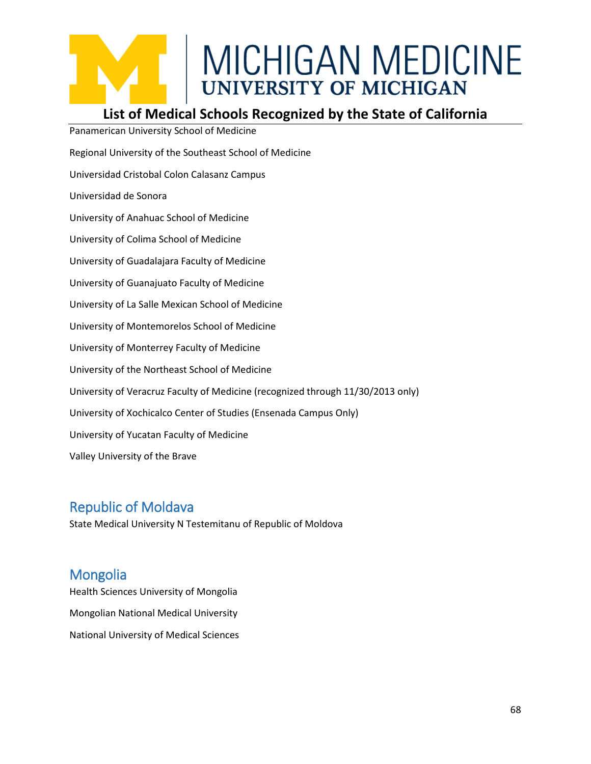#### **List of Medical Schools Recognized by the State of California**

Panamerican University School of Medicine Regional University of the Southeast School of Medicine Universidad Cristobal Colon Calasanz Campus Universidad de Sonora University of Anahuac School of Medicine University of Colima School of Medicine University of Guadalajara Faculty of Medicine University of Guanajuato Faculty of Medicine University of La Salle Mexican School of Medicine University of Montemorelos School of Medicine University of Monterrey Faculty of Medicine University of the Northeast School of Medicine University of Veracruz Faculty of Medicine (recognized through 11/30/2013 only) University of Xochicalco Center of Studies (Ensenada Campus Only) University of Yucatan Faculty of Medicine Valley University of the Brave

#### Republic of Moldava

State Medical University N Testemitanu of Republic of Moldova

#### **Mongolia**

Health Sciences University of Mongolia Mongolian National Medical University National University of Medical Sciences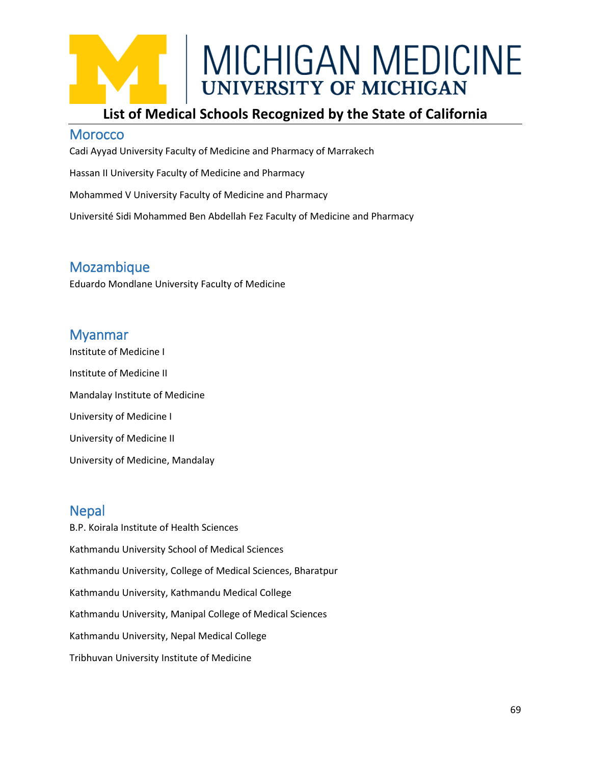#### **List of Medical Schools Recognized by the State of California**

#### **Morocco**

Cadi Ayyad University Faculty of Medicine and Pharmacy of Marrakech

Hassan II University Faculty of Medicine and Pharmacy

Mohammed V University Faculty of Medicine and Pharmacy

Université Sidi Mohammed Ben Abdellah Fez Faculty of Medicine and Pharmacy

#### Mozambique

Eduardo Mondlane University Faculty of Medicine

#### Myanmar

Institute of Medicine I Institute of Medicine II Mandalay Institute of Medicine University of Medicine I University of Medicine II University of Medicine, Mandalay

#### **Nepal**

B.P. Koirala Institute of Health Sciences Kathmandu University School of Medical Sciences Kathmandu University, College of Medical Sciences, Bharatpur Kathmandu University, Kathmandu Medical College Kathmandu University, Manipal College of Medical Sciences Kathmandu University, Nepal Medical College Tribhuvan University Institute of Medicine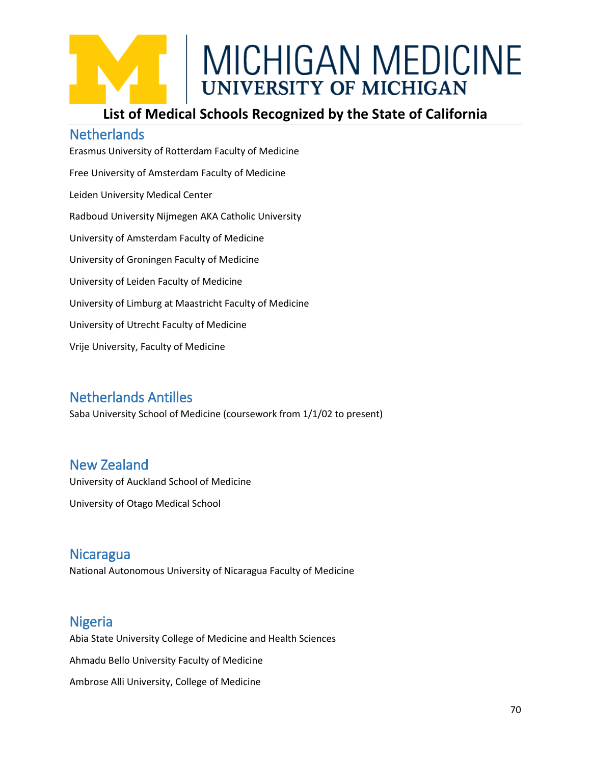#### **List of Medical Schools Recognized by the State of California**

#### **Netherlands**

Erasmus University of Rotterdam Faculty of Medicine Free University of Amsterdam Faculty of Medicine Leiden University Medical Center Radboud University Nijmegen AKA Catholic University University of Amsterdam Faculty of Medicine University of Groningen Faculty of Medicine University of Leiden Faculty of Medicine University of Limburg at Maastricht Faculty of Medicine University of Utrecht Faculty of Medicine Vrije University, Faculty of Medicine

#### Netherlands Antilles

Saba University School of Medicine (coursework from 1/1/02 to present)

#### New Zealand

University of Auckland School of Medicine

University of Otago Medical School

### **Nicaragua**

National Autonomous University of Nicaragua Faculty of Medicine

#### Nigeria

Abia State University College of Medicine and Health Sciences Ahmadu Bello University Faculty of Medicine Ambrose Alli University, College of Medicine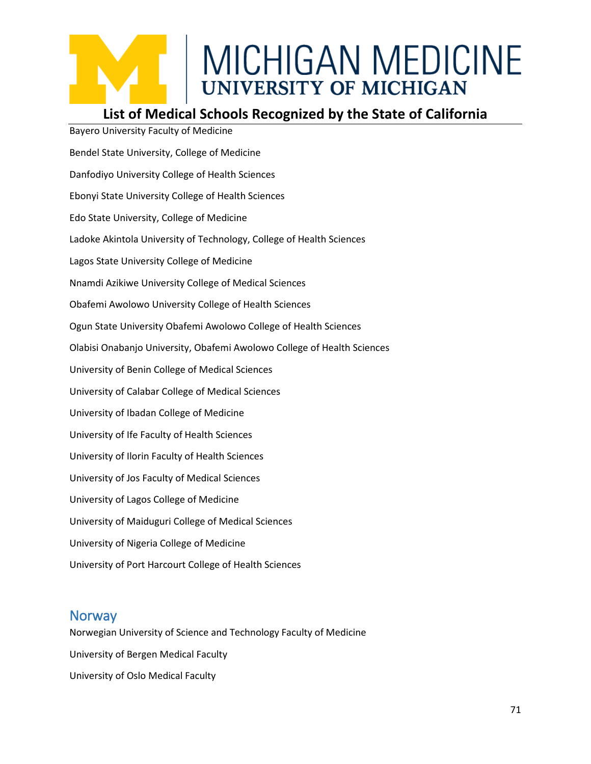#### **List of Medical Schools Recognized by the State of California**

Bayero University Faculty of Medicine Bendel State University, College of Medicine Danfodiyo University College of Health Sciences Ebonyi State University College of Health Sciences Edo State University, College of Medicine Ladoke Akintola University of Technology, College of Health Sciences Lagos State University College of Medicine Nnamdi Azikiwe University College of Medical Sciences Obafemi Awolowo University College of Health Sciences Ogun State University Obafemi Awolowo College of Health Sciences Olabisi Onabanjo University, Obafemi Awolowo College of Health Sciences University of Benin College of Medical Sciences University of Calabar College of Medical Sciences University of Ibadan College of Medicine University of Ife Faculty of Health Sciences University of Ilorin Faculty of Health Sciences University of Jos Faculty of Medical Sciences University of Lagos College of Medicine University of Maiduguri College of Medical Sciences University of Nigeria College of Medicine University of Port Harcourt College of Health Sciences

#### **Norway**

Norwegian University of Science and Technology Faculty of Medicine University of Bergen Medical Faculty University of Oslo Medical Faculty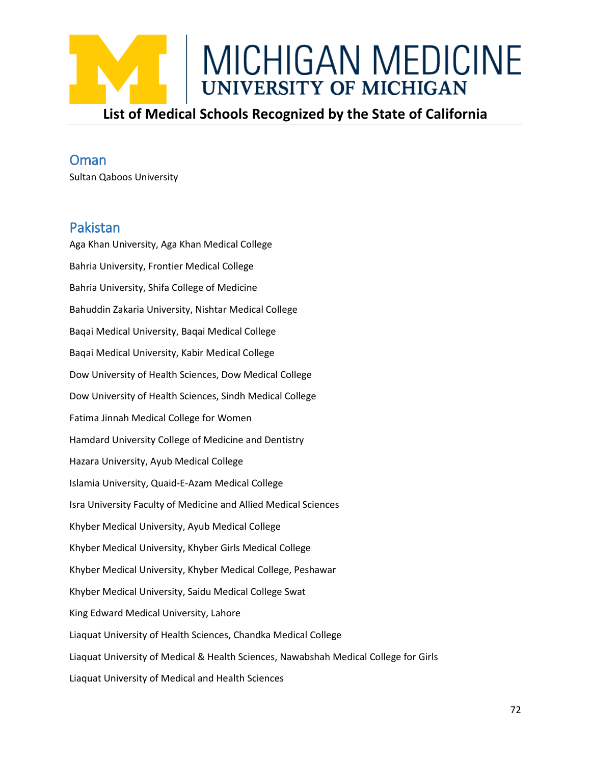

#### **Oman**

Sultan Qaboos University

#### Pakistan

Aga Khan University, Aga Khan Medical College Bahria University, Frontier Medical College Bahria University, Shifa College of Medicine Bahuddin Zakaria University, Nishtar Medical College Baqai Medical University, Baqai Medical College Baqai Medical University, Kabir Medical College Dow University of Health Sciences, Dow Medical College Dow University of Health Sciences, Sindh Medical College Fatima Jinnah Medical College for Women Hamdard University College of Medicine and Dentistry Hazara University, Ayub Medical College Islamia University, Quaid-E-Azam Medical College Isra University Faculty of Medicine and Allied Medical Sciences Khyber Medical University, Ayub Medical College Khyber Medical University, Khyber Girls Medical College Khyber Medical University, Khyber Medical College, Peshawar Khyber Medical University, Saidu Medical College Swat King Edward Medical University, Lahore Liaquat University of Health Sciences, Chandka Medical College Liaquat University of Medical & Health Sciences, Nawabshah Medical College for Girls Liaquat University of Medical and Health Sciences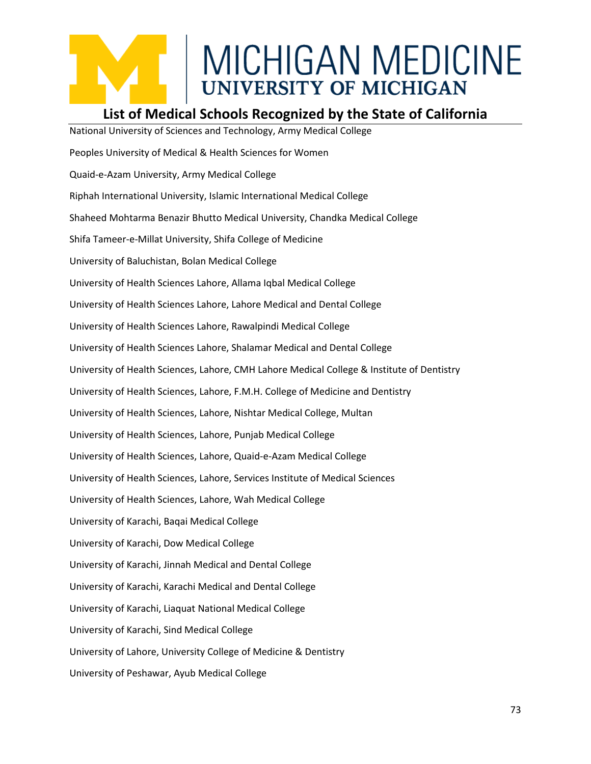#### **List of Medical Schools Recognized by the State of California**

National University of Sciences and Technology, Army Medical College Peoples University of Medical & Health Sciences for Women Quaid-e-Azam University, Army Medical College Riphah International University, Islamic International Medical College Shaheed Mohtarma Benazir Bhutto Medical University, Chandka Medical College Shifa Tameer-e-Millat University, Shifa College of Medicine University of Baluchistan, Bolan Medical College University of Health Sciences Lahore, Allama Iqbal Medical College University of Health Sciences Lahore, Lahore Medical and Dental College University of Health Sciences Lahore, Rawalpindi Medical College University of Health Sciences Lahore, Shalamar Medical and Dental College University of Health Sciences, Lahore, CMH Lahore Medical College & Institute of Dentistry University of Health Sciences, Lahore, F.M.H. College of Medicine and Dentistry University of Health Sciences, Lahore, Nishtar Medical College, Multan University of Health Sciences, Lahore, Punjab Medical College University of Health Sciences, Lahore, Quaid-e-Azam Medical College University of Health Sciences, Lahore, Services Institute of Medical Sciences University of Health Sciences, Lahore, Wah Medical College University of Karachi, Baqai Medical College University of Karachi, Dow Medical College University of Karachi, Jinnah Medical and Dental College University of Karachi, Karachi Medical and Dental College University of Karachi, Liaquat National Medical College University of Karachi, Sind Medical College University of Lahore, University College of Medicine & Dentistry University of Peshawar, Ayub Medical College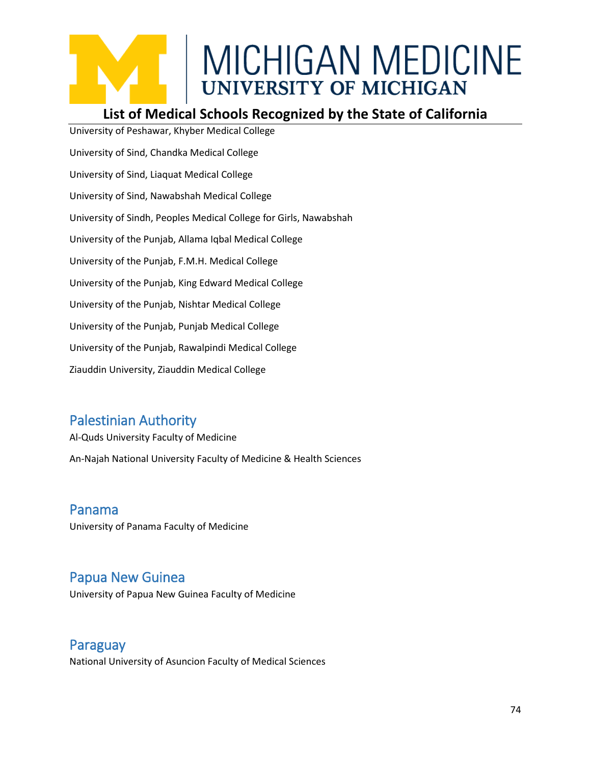#### **List of Medical Schools Recognized by the State of California**

University of Peshawar, Khyber Medical College University of Sind, Chandka Medical College University of Sind, Liaquat Medical College University of Sind, Nawabshah Medical College University of Sindh, Peoples Medical College for Girls, Nawabshah University of the Punjab, Allama Iqbal Medical College University of the Punjab, F.M.H. Medical College University of the Punjab, King Edward Medical College University of the Punjab, Nishtar Medical College University of the Punjab, Punjab Medical College University of the Punjab, Rawalpindi Medical College Ziauddin University, Ziauddin Medical College

#### Palestinian Authority

Al-Quds University Faculty of Medicine

An-Najah National University Faculty of Medicine & Health Sciences

Panama University of Panama Faculty of Medicine

#### Papua New Guinea

University of Papua New Guinea Faculty of Medicine

Paraguay

National University of Asuncion Faculty of Medical Sciences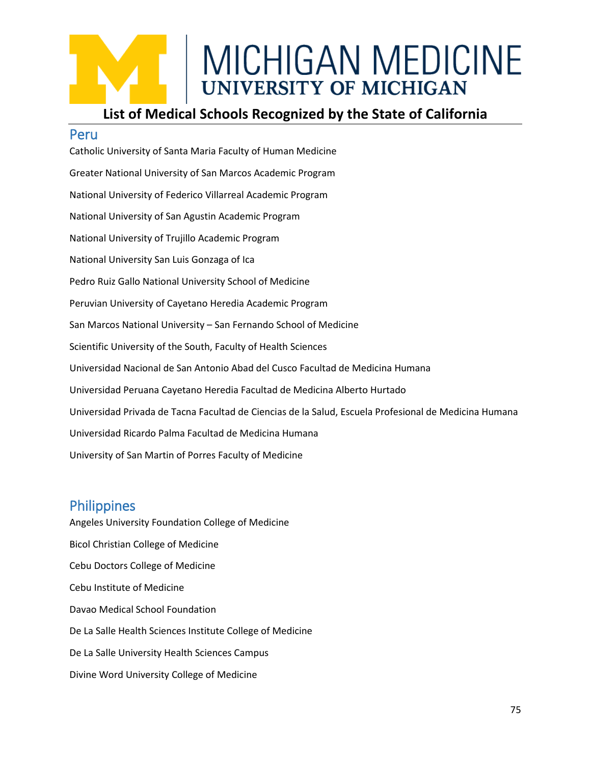#### **List of Medical Schools Recognized by the State of California**

#### Peru

Catholic University of Santa Maria Faculty of Human Medicine Greater National University of San Marcos Academic Program National University of Federico Villarreal Academic Program National University of San Agustin Academic Program National University of Trujillo Academic Program National University San Luis Gonzaga of Ica Pedro Ruiz Gallo National University School of Medicine Peruvian University of Cayetano Heredia Academic Program San Marcos National University – San Fernando School of Medicine Scientific University of the South, Faculty of Health Sciences Universidad Nacional de San Antonio Abad del Cusco Facultad de Medicina Humana Universidad Peruana Cayetano Heredia Facultad de Medicina Alberto Hurtado Universidad Privada de Tacna Facultad de Ciencias de la Salud, Escuela Profesional de Medicina Humana Universidad Ricardo Palma Facultad de Medicina Humana University of San Martin of Porres Faculty of Medicine

#### **Philippines**

Angeles University Foundation College of Medicine Bicol Christian College of Medicine Cebu Doctors College of Medicine Cebu Institute of Medicine Davao Medical School Foundation De La Salle Health Sciences Institute College of Medicine De La Salle University Health Sciences Campus Divine Word University College of Medicine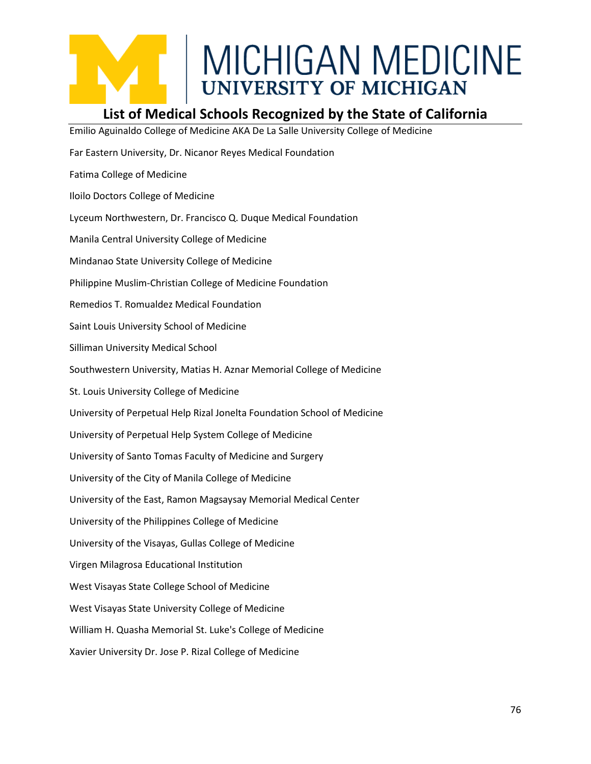

#### **List of Medical Schools Recognized by the State of California**

Emilio Aguinaldo College of Medicine AKA De La Salle University College of Medicine Far Eastern University, Dr. Nicanor Reyes Medical Foundation Fatima College of Medicine Iloilo Doctors College of Medicine Lyceum Northwestern, Dr. Francisco Q. Duque Medical Foundation Manila Central University College of Medicine Mindanao State University College of Medicine Philippine Muslim-Christian College of Medicine Foundation Remedios T. Romualdez Medical Foundation Saint Louis University School of Medicine Silliman University Medical School Southwestern University, Matias H. Aznar Memorial College of Medicine St. Louis University College of Medicine University of Perpetual Help Rizal Jonelta Foundation School of Medicine University of Perpetual Help System College of Medicine University of Santo Tomas Faculty of Medicine and Surgery University of the City of Manila College of Medicine University of the East, Ramon Magsaysay Memorial Medical Center University of the Philippines College of Medicine University of the Visayas, Gullas College of Medicine Virgen Milagrosa Educational Institution West Visayas State College School of Medicine West Visayas State University College of Medicine William H. Quasha Memorial St. Luke's College of Medicine Xavier University Dr. Jose P. Rizal College of Medicine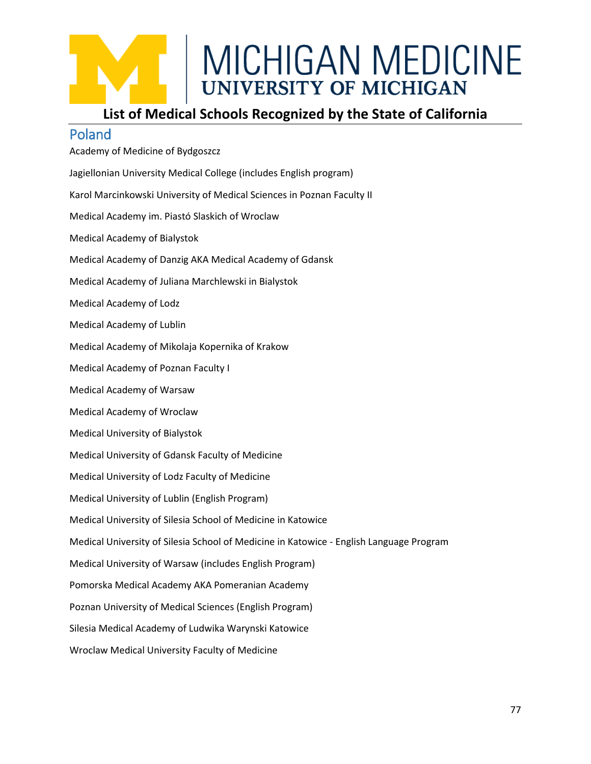#### **List of Medical Schools Recognized by the State of California**

#### Poland

Academy of Medicine of Bydgoszcz Jagiellonian University Medical College (includes English program) Karol Marcinkowski University of Medical Sciences in Poznan Faculty II Medical Academy im. Piastó Slaskich of Wroclaw Medical Academy of Bialystok Medical Academy of Danzig AKA Medical Academy of Gdansk Medical Academy of Juliana Marchlewski in Bialystok Medical Academy of Lodz Medical Academy of Lublin Medical Academy of Mikolaja Kopernika of Krakow Medical Academy of Poznan Faculty I Medical Academy of Warsaw Medical Academy of Wroclaw Medical University of Bialystok Medical University of Gdansk Faculty of Medicine Medical University of Lodz Faculty of Medicine Medical University of Lublin (English Program) Medical University of Silesia School of Medicine in Katowice Medical University of Silesia School of Medicine in Katowice - English Language Program Medical University of Warsaw (includes English Program) Pomorska Medical Academy AKA Pomeranian Academy Poznan University of Medical Sciences (English Program) Silesia Medical Academy of Ludwika Warynski Katowice Wroclaw Medical University Faculty of Medicine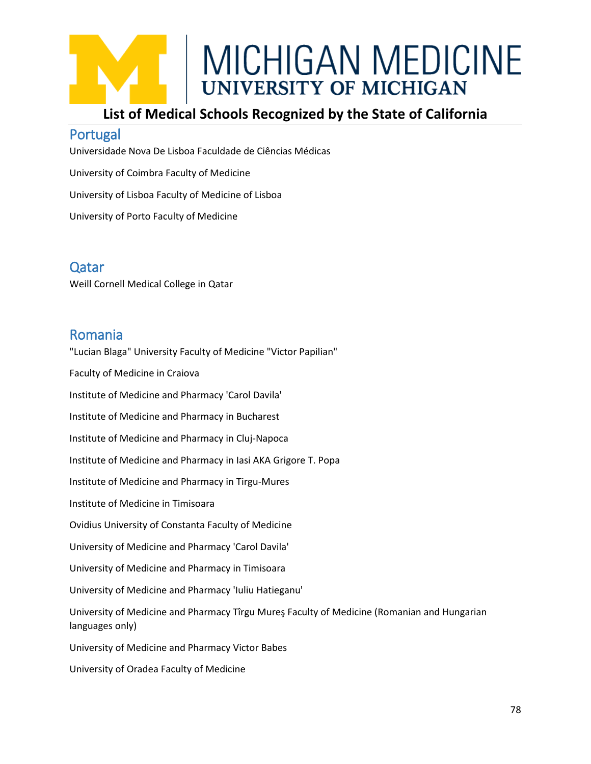#### **List of Medical Schools Recognized by the State of California**

#### Portugal

Universidade Nova De Lisboa Faculdade de Ciências Médicas University of Coimbra Faculty of Medicine University of Lisboa Faculty of Medicine of Lisboa University of Porto Faculty of Medicine

#### Qatar

Weill Cornell Medical College in Qatar

#### Romania

"Lucian Blaga" University Faculty of Medicine "Victor Papilian"

Faculty of Medicine in Craiova

Institute of Medicine and Pharmacy 'Carol Davila'

Institute of Medicine and Pharmacy in Bucharest

Institute of Medicine and Pharmacy in Cluj-Napoca

Institute of Medicine and Pharmacy in Iasi AKA Grigore T. Popa

Institute of Medicine and Pharmacy in Tirgu-Mures

Institute of Medicine in Timisoara

Ovidius University of Constanta Faculty of Medicine

University of Medicine and Pharmacy 'Carol Davila'

University of Medicine and Pharmacy in Timisoara

University of Medicine and Pharmacy 'Iuliu Hatieganu'

University of Medicine and Pharmacy Tîrgu Mureş Faculty of Medicine (Romanian and Hungarian languages only)

University of Medicine and Pharmacy Victor Babes

University of Oradea Faculty of Medicine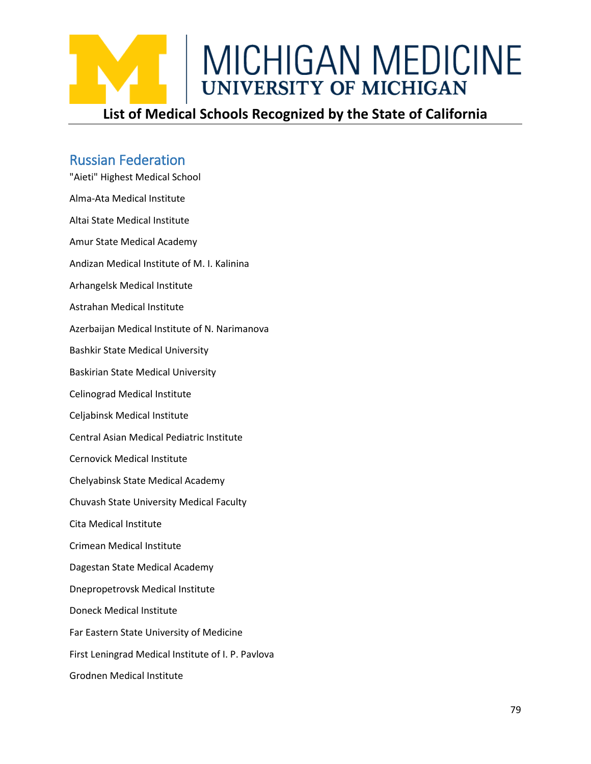

### Russian Federation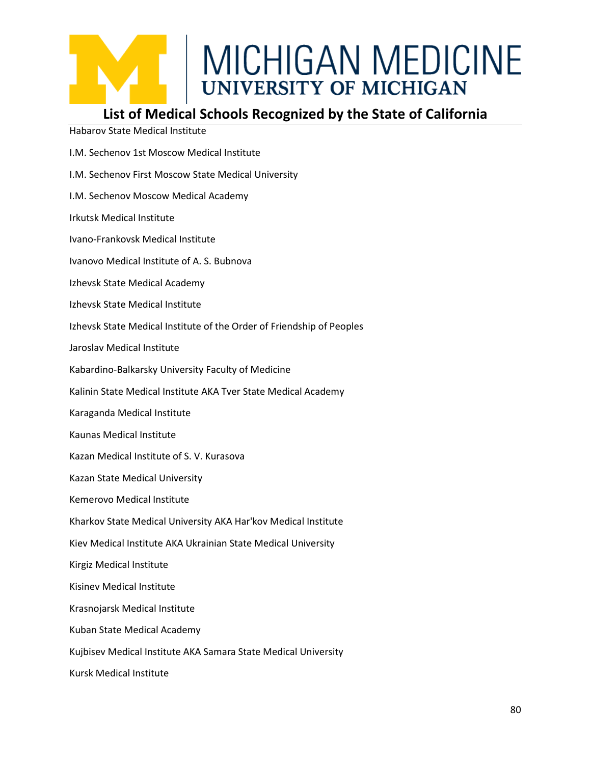#### **List of Medical Schools Recognized by the State of California**

Habarov State Medical Institute

- I.M. Sechenov 1st Moscow Medical Institute
- I.M. Sechenov First Moscow State Medical University
- I.M. Sechenov Moscow Medical Academy
- Irkutsk Medical Institute
- Ivano-Frankovsk Medical Institute
- Ivanovo Medical Institute of A. S. Bubnova
- Izhevsk State Medical Academy
- Izhevsk State Medical Institute
- Izhevsk State Medical Institute of the Order of Friendship of Peoples
- Jaroslav Medical Institute
- Kabardino-Balkarsky University Faculty of Medicine
- Kalinin State Medical Institute AKA Tver State Medical Academy
- Karaganda Medical Institute
- Kaunas Medical Institute
- Kazan Medical Institute of S. V. Kurasova
- Kazan State Medical University
- Kemerovo Medical Institute
- Kharkov State Medical University AKA Har'kov Medical Institute
- Kiev Medical Institute AKA Ukrainian State Medical University
- Kirgiz Medical Institute
- Kisinev Medical Institute
- Krasnojarsk Medical Institute
- Kuban State Medical Academy
- Kujbisev Medical Institute AKA Samara State Medical University
- Kursk Medical Institute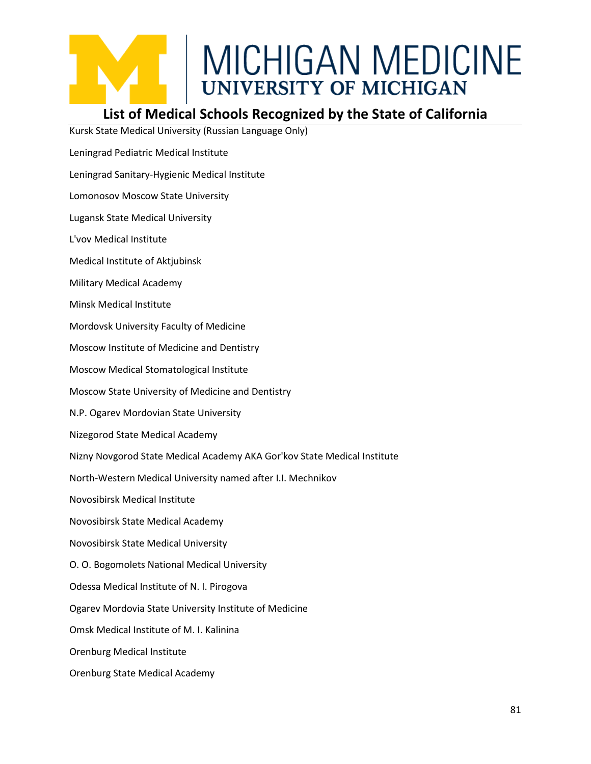#### **List of Medical Schools Recognized by the State of California**

Kursk State Medical University (Russian Language Only)

- Leningrad Pediatric Medical Institute
- Leningrad Sanitary-Hygienic Medical Institute
- Lomonosov Moscow State University
- Lugansk State Medical University
- L'vov Medical Institute
- Medical Institute of Aktjubinsk
- Military Medical Academy
- Minsk Medical Institute
- Mordovsk University Faculty of Medicine
- Moscow Institute of Medicine and Dentistry
- Moscow Medical Stomatological Institute
- Moscow State University of Medicine and Dentistry
- N.P. Ogarev Mordovian State University
- Nizegorod State Medical Academy
- Nizny Novgorod State Medical Academy AKA Gor'kov State Medical Institute
- North-Western Medical University named after I.I. Mechnikov
- Novosibirsk Medical Institute
- Novosibirsk State Medical Academy
- Novosibirsk State Medical University
- O. O. Bogomolets National Medical University
- Odessa Medical Institute of N. I. Pirogova
- Ogarev Mordovia State University Institute of Medicine
- Omsk Medical Institute of M. I. Kalinina
- Orenburg Medical Institute
- Orenburg State Medical Academy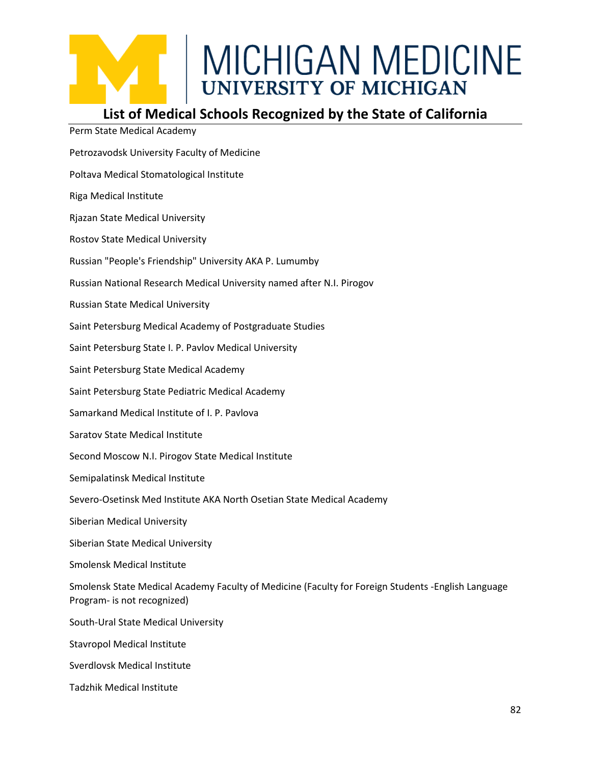#### **List of Medical Schools Recognized by the State of California** Perm State Medical Academy

| Perm State Medical Academy                                                                                                         |
|------------------------------------------------------------------------------------------------------------------------------------|
| Petrozavodsk University Faculty of Medicine                                                                                        |
| Poltava Medical Stomatological Institute                                                                                           |
| Riga Medical Institute                                                                                                             |
| Rjazan State Medical University                                                                                                    |
| <b>Rostov State Medical University</b>                                                                                             |
| Russian "People's Friendship" University AKA P. Lumumby                                                                            |
| Russian National Research Medical University named after N.I. Pirogov                                                              |
| <b>Russian State Medical University</b>                                                                                            |
| Saint Petersburg Medical Academy of Postgraduate Studies                                                                           |
| Saint Petersburg State I. P. Pavlov Medical University                                                                             |
| Saint Petersburg State Medical Academy                                                                                             |
| Saint Petersburg State Pediatric Medical Academy                                                                                   |
| Samarkand Medical Institute of I. P. Pavlova                                                                                       |
| <b>Saratov State Medical Institute</b>                                                                                             |
| Second Moscow N.I. Pirogov State Medical Institute                                                                                 |
| Semipalatinsk Medical Institute                                                                                                    |
| Severo-Osetinsk Med Institute AKA North Osetian State Medical Academy                                                              |
| Siberian Medical University                                                                                                        |
| Siberian State Medical University                                                                                                  |
| <b>Smolensk Medical Institute</b>                                                                                                  |
| Smolensk State Medical Academy Faculty of Medicine (Faculty for Foreign Students - English Language<br>Program- is not recognized) |
| South-Ural State Medical University                                                                                                |
| <b>Stavropol Medical Institute</b>                                                                                                 |
| Sverdlovsk Medical Institute                                                                                                       |
| <b>Tadzhik Medical Institute</b>                                                                                                   |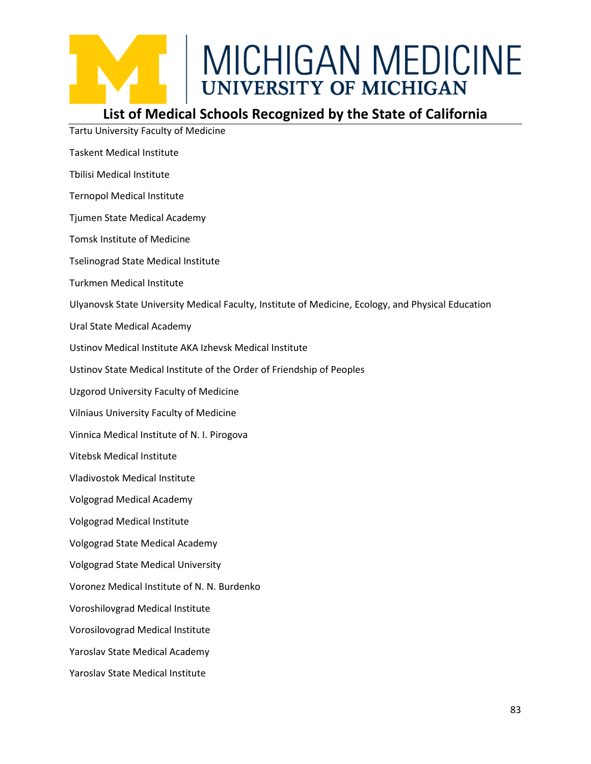

#### **List of Medical Schools Recognized by the State of California**

Tartu University Faculty of Medicine

- Taskent Medical Institute
- Tbilisi Medical Institute
- Ternopol Medical Institute
- Tjumen State Medical Academy
- Tomsk Institute of Medicine
- Tselinograd State Medical Institute
- Turkmen Medical Institute
- Ulyanovsk State University Medical Faculty, Institute of Medicine, Ecology, and Physical Education
- Ural State Medical Academy
- Ustinov Medical Institute AKA Izhevsk Medical Institute
- Ustinov State Medical Institute of the Order of Friendship of Peoples
- Uzgorod University Faculty of Medicine
- Vilniaus University Faculty of Medicine
- Vinnica Medical Institute of N. I. Pirogova
- Vitebsk Medical Institute
- Vladivostok Medical Institute
- Volgograd Medical Academy
- Volgograd Medical Institute
- Volgograd State Medical Academy
- Volgograd State Medical University
- Voronez Medical Institute of N. N. Burdenko
- Voroshilovgrad Medical Institute
- Vorosilovograd Medical Institute
- Yaroslav State Medical Academy
- Yaroslav State Medical Institute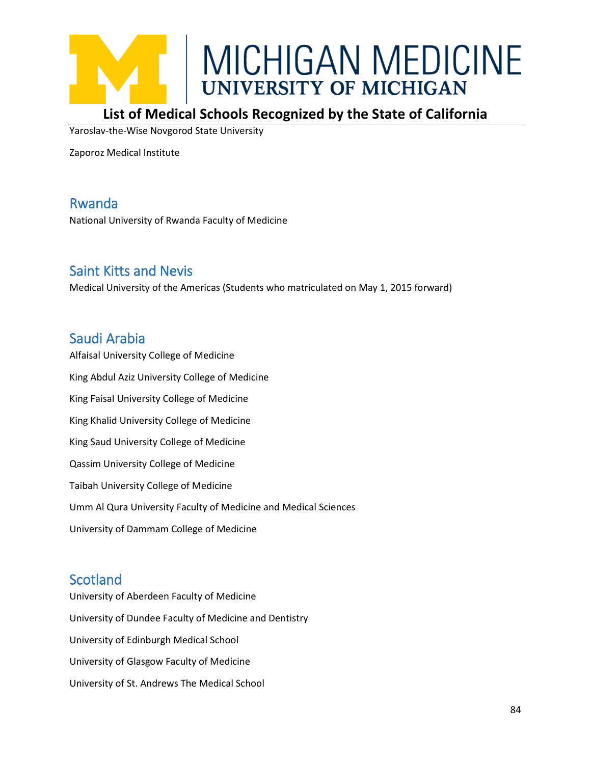

#### **List of Medical Schools Recognized by the State of California**

Yaroslav-the-Wise Novgorod State University

Zaporoz Medical Institute

#### Rwanda

National University of Rwanda Faculty of Medicine

#### Saint Kitts and Nevis

Medical University of the Americas (Students who matriculated on May 1, 2015 forward)

#### Saudi Arabia

Alfaisal University College of Medicine King Abdul Aziz University College of Medicine King Faisal University College of Medicine King Khalid University College of Medicine King Saud University College of Medicine Qassim University College of Medicine Taibah University College of Medicine Umm Al Qura University Faculty of Medicine and Medical Sciences University of Dammam College of Medicine

#### **Scotland**

University of Aberdeen Faculty of Medicine University of Dundee Faculty of Medicine and Dentistry University of Edinburgh Medical School University of Glasgow Faculty of Medicine University of St. Andrews The Medical School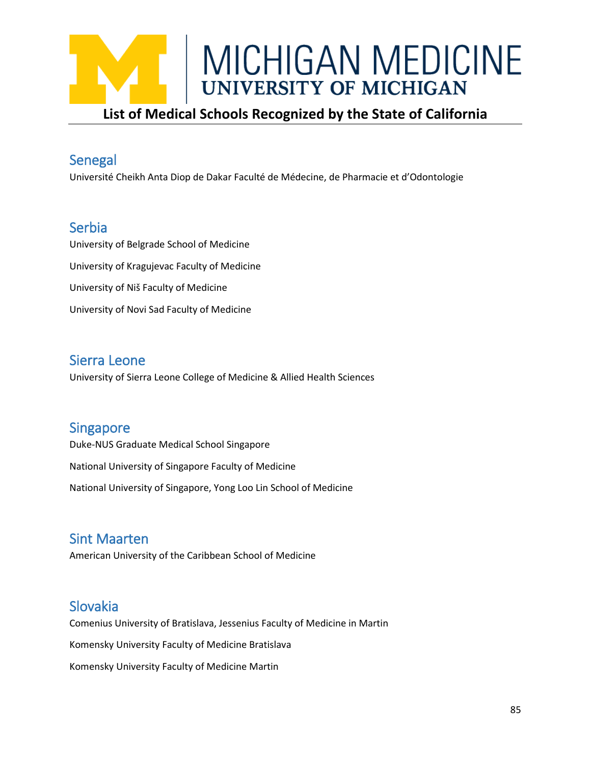

#### Senegal

Université Cheikh Anta Diop de Dakar Faculté de Médecine, de Pharmacie et d'Odontologie

#### Serbia

University of Belgrade School of Medicine University of Kragujevac Faculty of Medicine University of Niš Faculty of Medicine University of Novi Sad Faculty of Medicine

#### Sierra Leone

University of Sierra Leone College of Medicine & Allied Health Sciences

#### **Singapore**

Duke-NUS Graduate Medical School Singapore

National University of Singapore Faculty of Medicine

National University of Singapore, Yong Loo Lin School of Medicine

#### Sint Maarten

American University of the Caribbean School of Medicine

#### Slovakia

Comenius University of Bratislava, Jessenius Faculty of Medicine in Martin Komensky University Faculty of Medicine Bratislava Komensky University Faculty of Medicine Martin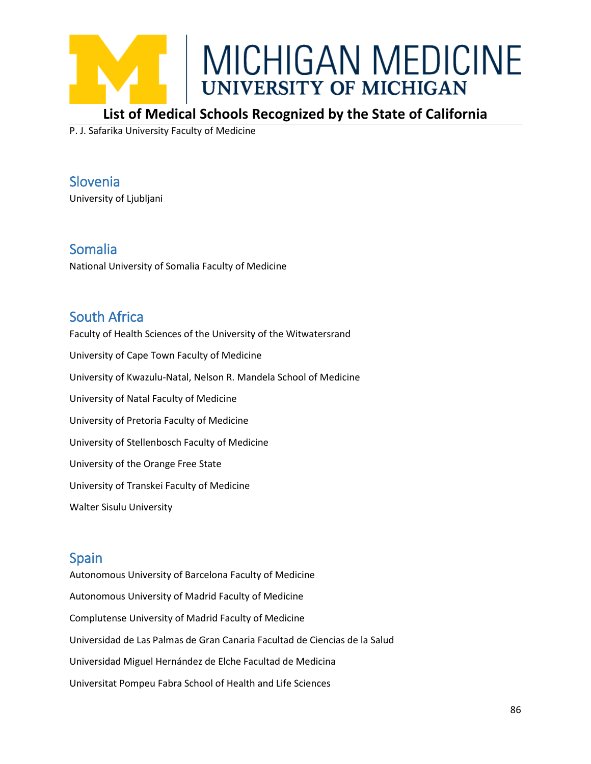

#### **List of Medical Schools Recognized by the State of California**

P. J. Safarika University Faculty of Medicine

Slovenia University of Ljubljani

Somalia National University of Somalia Faculty of Medicine

#### South Africa

Faculty of Health Sciences of the University of the Witwatersrand University of Cape Town Faculty of Medicine University of Kwazulu-Natal, Nelson R. Mandela School of Medicine University of Natal Faculty of Medicine University of Pretoria Faculty of Medicine University of Stellenbosch Faculty of Medicine University of the Orange Free State University of Transkei Faculty of Medicine Walter Sisulu University

#### Spain

Autonomous University of Barcelona Faculty of Medicine Autonomous University of Madrid Faculty of Medicine Complutense University of Madrid Faculty of Medicine Universidad de Las Palmas de Gran Canaria Facultad de Ciencias de la Salud Universidad Miguel Hernández de Elche Facultad de Medicina Universitat Pompeu Fabra School of Health and Life Sciences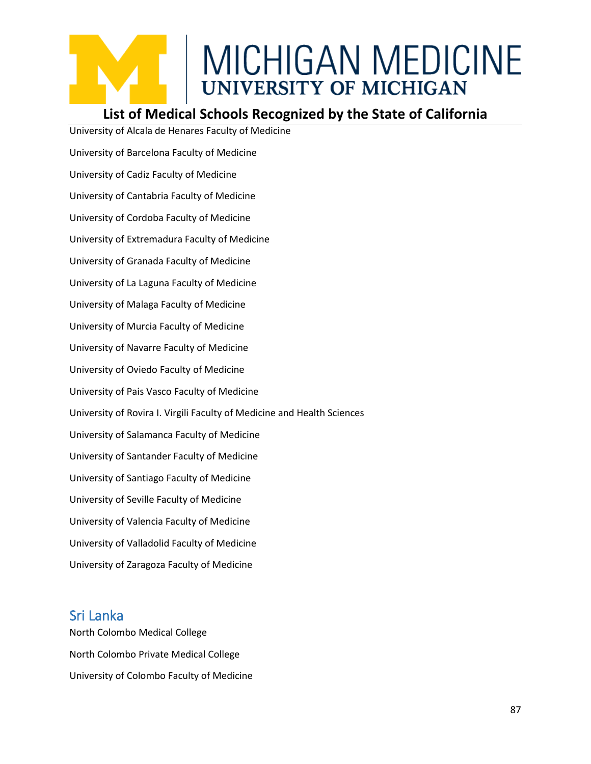#### **List of Medical Schools Recognized by the State of California**

University of Alcala de Henares Faculty of Medicine University of Barcelona Faculty of Medicine University of Cadiz Faculty of Medicine University of Cantabria Faculty of Medicine University of Cordoba Faculty of Medicine University of Extremadura Faculty of Medicine University of Granada Faculty of Medicine University of La Laguna Faculty of Medicine University of Malaga Faculty of Medicine University of Murcia Faculty of Medicine University of Navarre Faculty of Medicine University of Oviedo Faculty of Medicine University of Pais Vasco Faculty of Medicine University of Rovira I. Virgili Faculty of Medicine and Health Sciences University of Salamanca Faculty of Medicine University of Santander Faculty of Medicine University of Santiago Faculty of Medicine University of Seville Faculty of Medicine University of Valencia Faculty of Medicine University of Valladolid Faculty of Medicine University of Zaragoza Faculty of Medicine

#### Sri Lanka

North Colombo Medical College North Colombo Private Medical College University of Colombo Faculty of Medicine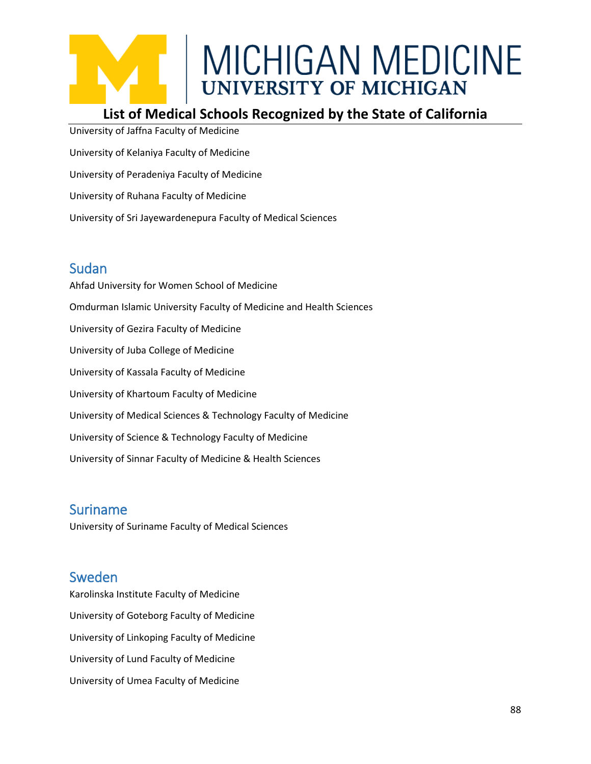#### **List of Medical Schools Recognized by the State of California**

University of Jaffna Faculty of Medicine University of Kelaniya Faculty of Medicine University of Peradeniya Faculty of Medicine University of Ruhana Faculty of Medicine University of Sri Jayewardenepura Faculty of Medical Sciences

#### Sudan

Ahfad University for Women School of Medicine Omdurman Islamic University Faculty of Medicine and Health Sciences University of Gezira Faculty of Medicine University of Juba College of Medicine University of Kassala Faculty of Medicine University of Khartoum Faculty of Medicine University of Medical Sciences & Technology Faculty of Medicine University of Science & Technology Faculty of Medicine University of Sinnar Faculty of Medicine & Health Sciences

#### Suriname

University of Suriname Faculty of Medical Sciences

#### Sweden

Karolinska Institute Faculty of Medicine University of Goteborg Faculty of Medicine University of Linkoping Faculty of Medicine University of Lund Faculty of Medicine University of Umea Faculty of Medicine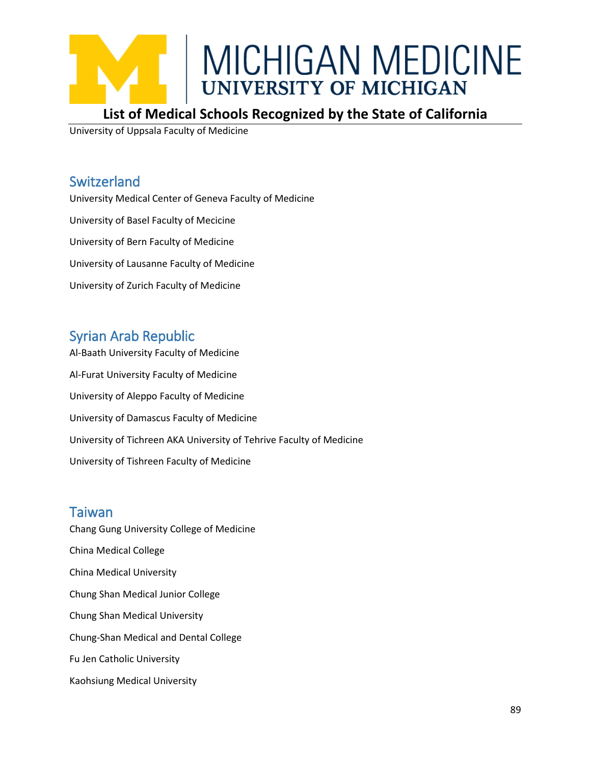

#### **List of Medical Schools Recognized by the State of California**

University of Uppsala Faculty of Medicine

#### Switzerland

University Medical Center of Geneva Faculty of Medicine University of Basel Faculty of Mecicine University of Bern Faculty of Medicine University of Lausanne Faculty of Medicine University of Zurich Faculty of Medicine

#### Syrian Arab Republic

Al-Baath University Faculty of Medicine Al-Furat University Faculty of Medicine University of Aleppo Faculty of Medicine University of Damascus Faculty of Medicine University of Tichreen AKA University of Tehrive Faculty of Medicine University of Tishreen Faculty of Medicine

#### Taiwan

Chang Gung University College of Medicine China Medical College China Medical University Chung Shan Medical Junior College Chung Shan Medical University Chung-Shan Medical and Dental College Fu Jen Catholic University Kaohsiung Medical University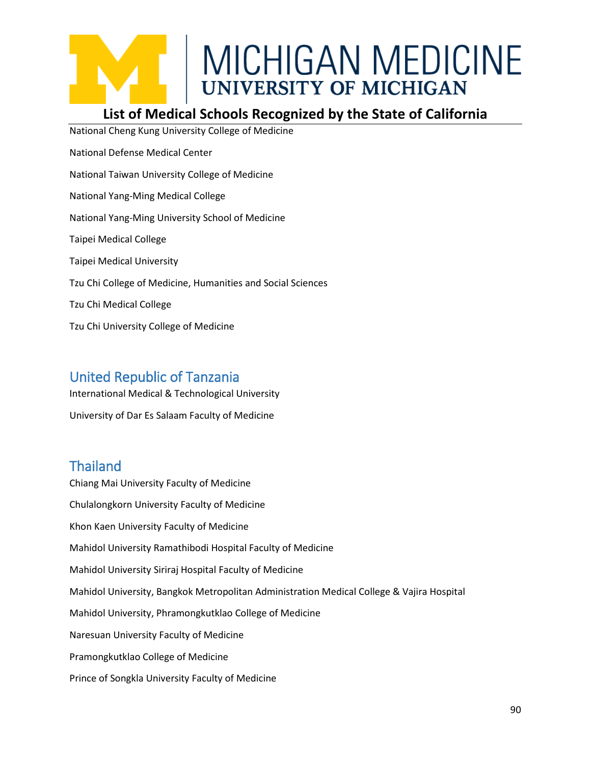#### **List of Medical Schools Recognized by the State of California**

National Cheng Kung University College of Medicine National Defense Medical Center National Taiwan University College of Medicine National Yang-Ming Medical College National Yang-Ming University School of Medicine Taipei Medical College Taipei Medical University Tzu Chi College of Medicine, Humanities and Social Sciences Tzu Chi Medical College Tzu Chi University College of Medicine

#### United Republic of Tanzania

International Medical & Technological University

University of Dar Es Salaam Faculty of Medicine

#### **Thailand**

Chiang Mai University Faculty of Medicine Chulalongkorn University Faculty of Medicine Khon Kaen University Faculty of Medicine Mahidol University Ramathibodi Hospital Faculty of Medicine Mahidol University Siriraj Hospital Faculty of Medicine Mahidol University, Bangkok Metropolitan Administration Medical College & Vajira Hospital Mahidol University, Phramongkutklao College of Medicine Naresuan University Faculty of Medicine Pramongkutklao College of Medicine Prince of Songkla University Faculty of Medicine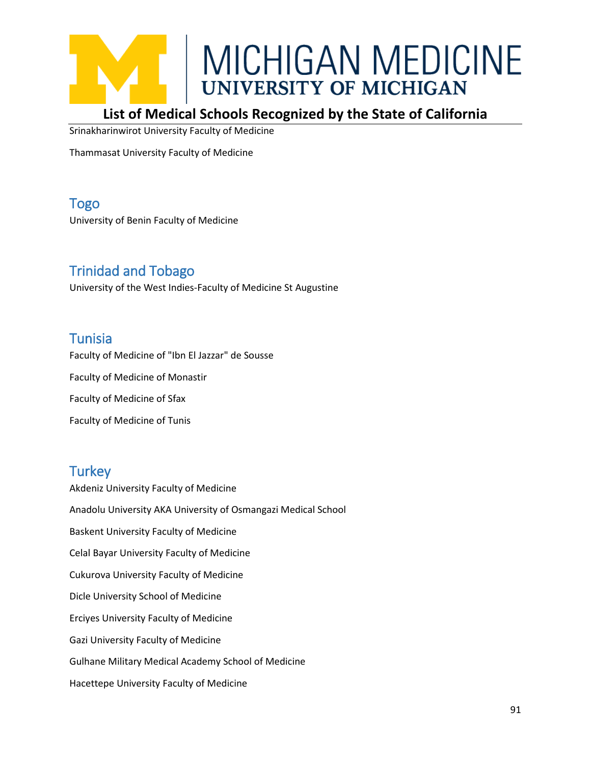

#### **List of Medical Schools Recognized by the State of California**

Srinakharinwirot University Faculty of Medicine

Thammasat University Faculty of Medicine

Togo University of Benin Faculty of Medicine

#### Trinidad and Tobago

University of the West Indies-Faculty of Medicine St Augustine

#### **Tunisia**

Faculty of Medicine of "Ibn El Jazzar" de Sousse Faculty of Medicine of Monastir Faculty of Medicine of Sfax Faculty of Medicine of Tunis

#### **Turkey**

Akdeniz University Faculty of Medicine Anadolu University AKA University of Osmangazi Medical School Baskent University Faculty of Medicine Celal Bayar University Faculty of Medicine Cukurova University Faculty of Medicine Dicle University School of Medicine Erciyes University Faculty of Medicine Gazi University Faculty of Medicine Gulhane Military Medical Academy School of Medicine Hacettepe University Faculty of Medicine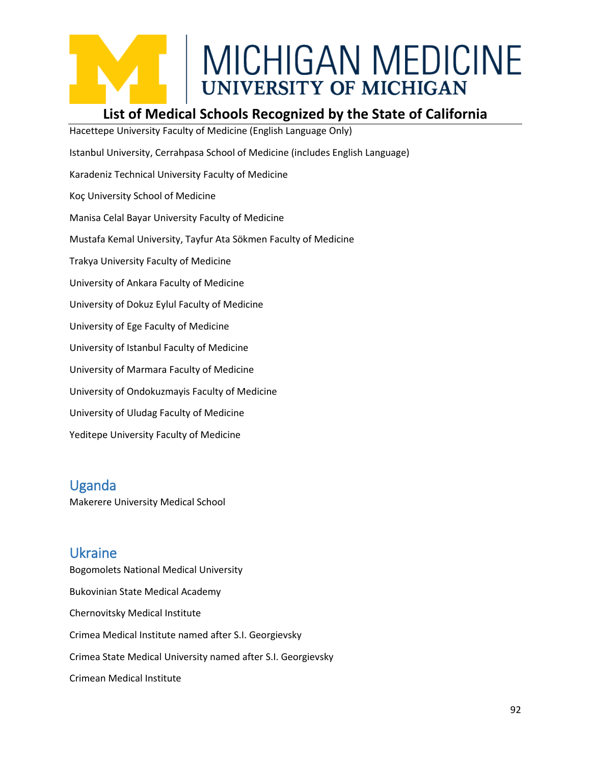

#### **List of Medical Schools Recognized by the State of California**

Hacettepe University Faculty of Medicine (English Language Only) Istanbul University, Cerrahpasa School of Medicine (includes English Language) Karadeniz Technical University Faculty of Medicine Koç University School of Medicine Manisa Celal Bayar University Faculty of Medicine Mustafa Kemal University, Tayfur Ata Sökmen Faculty of Medicine Trakya University Faculty of Medicine University of Ankara Faculty of Medicine University of Dokuz Eylul Faculty of Medicine University of Ege Faculty of Medicine University of Istanbul Faculty of Medicine University of Marmara Faculty of Medicine University of Ondokuzmayis Faculty of Medicine University of Uludag Faculty of Medicine Yeditepe University Faculty of Medicine

#### Uganda

Makerere University Medical School

#### Ukraine

Bogomolets National Medical University Bukovinian State Medical Academy Chernovitsky Medical Institute Crimea Medical Institute named after S.I. Georgievsky Crimea State Medical University named after S.I. Georgievsky Crimean Medical Institute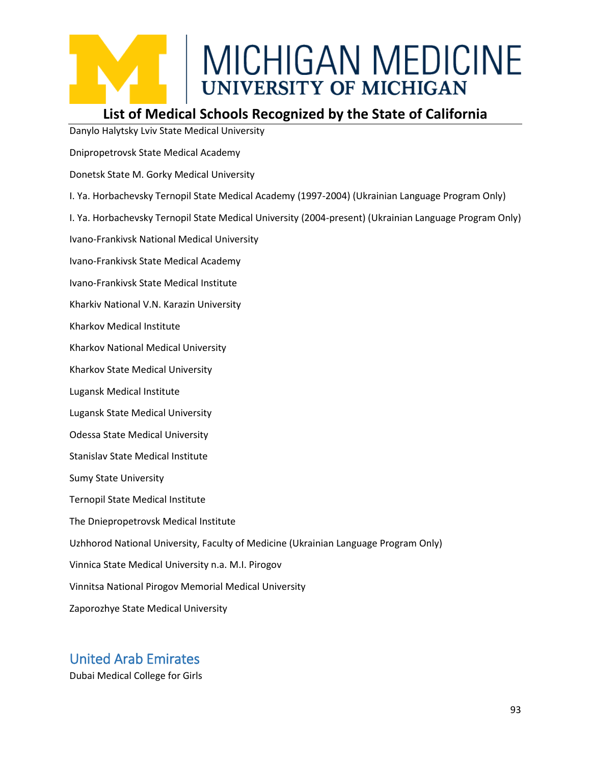#### **List of Medical Schools Recognized by the State of California**

Danylo Halytsky Lviv State Medical University

Dnipropetrovsk State Medical Academy

Donetsk State M. Gorky Medical University

I. Ya. Horbachevsky Ternopil State Medical Academy (1997-2004) (Ukrainian Language Program Only)

I. Ya. Horbachevsky Ternopil State Medical University (2004-present) (Ukrainian Language Program Only)

Ivano-Frankivsk National Medical University

Ivano-Frankivsk State Medical Academy

Ivano-Frankivsk State Medical Institute

Kharkiv National V.N. Karazin University

Kharkov Medical Institute

Kharkov National Medical University

Kharkov State Medical University

Lugansk Medical Institute

Lugansk State Medical University

Odessa State Medical University

Stanislav State Medical Institute

Sumy State University

Ternopil State Medical Institute

The Dniepropetrovsk Medical Institute

Uzhhorod National University, Faculty of Medicine (Ukrainian Language Program Only)

Vinnica State Medical University n.a. M.I. Pirogov

Vinnitsa National Pirogov Memorial Medical University

Zaporozhye State Medical University

#### United Arab Emirates

Dubai Medical College for Girls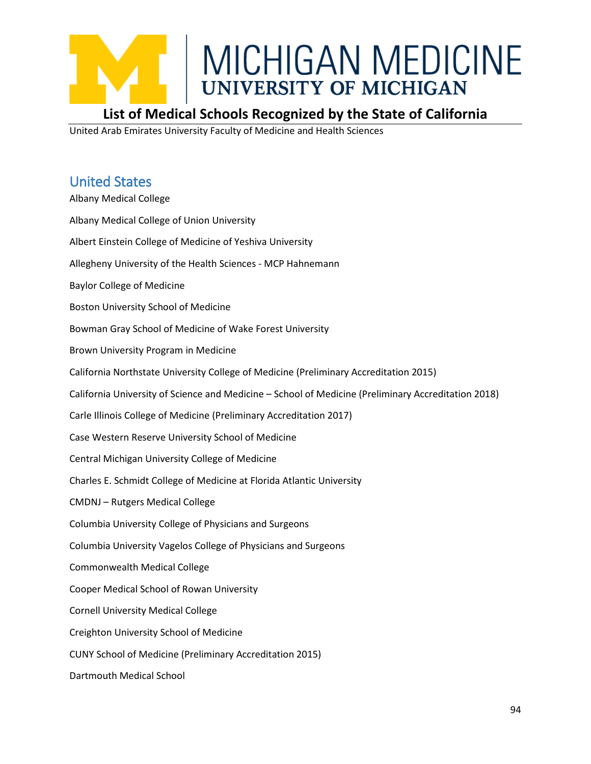

#### **List of Medical Schools Recognized by the State of California**

United Arab Emirates University Faculty of Medicine and Health Sciences

#### United States

Albany Medical College Albany Medical College of Union University Albert Einstein College of Medicine of Yeshiva University Allegheny University of the Health Sciences - MCP Hahnemann Baylor College of Medicine Boston University School of Medicine Bowman Gray School of Medicine of Wake Forest University Brown University Program in Medicine California Northstate University College of Medicine (Preliminary Accreditation 2015) California University of Science and Medicine – School of Medicine (Preliminary Accreditation 2018) Carle Illinois College of Medicine (Preliminary Accreditation 2017) Case Western Reserve University School of Medicine Central Michigan University College of Medicine Charles E. Schmidt College of Medicine at Florida Atlantic University CMDNJ – Rutgers Medical College Columbia University College of Physicians and Surgeons Columbia University Vagelos College of Physicians and Surgeons Commonwealth Medical College Cooper Medical School of Rowan University Cornell University Medical College Creighton University School of Medicine CUNY School of Medicine (Preliminary Accreditation 2015) Dartmouth Medical School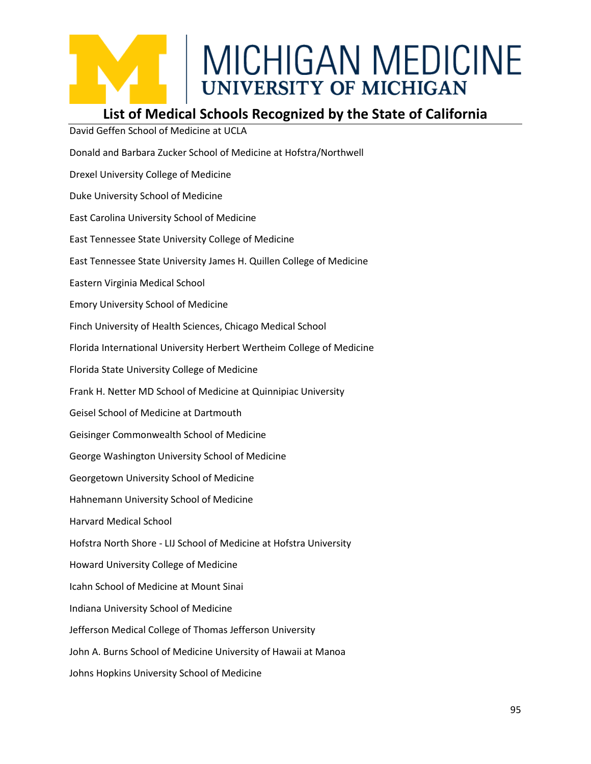#### **List of Medical Schools Recognized by the State of California**

David Geffen School of Medicine at UCLA Donald and Barbara Zucker School of Medicine at Hofstra/Northwell Drexel University College of Medicine Duke University School of Medicine East Carolina University School of Medicine East Tennessee State University College of Medicine East Tennessee State University James H. Quillen College of Medicine Eastern Virginia Medical School Emory University School of Medicine Finch University of Health Sciences, Chicago Medical School Florida International University Herbert Wertheim College of Medicine Florida State University College of Medicine Frank H. Netter MD School of Medicine at Quinnipiac University Geisel School of Medicine at Dartmouth Geisinger Commonwealth School of Medicine George Washington University School of Medicine Georgetown University School of Medicine Hahnemann University School of Medicine Harvard Medical School Hofstra North Shore - LIJ School of Medicine at Hofstra University Howard University College of Medicine Icahn School of Medicine at Mount Sinai Indiana University School of Medicine Jefferson Medical College of Thomas Jefferson University John A. Burns School of Medicine University of Hawaii at Manoa Johns Hopkins University School of Medicine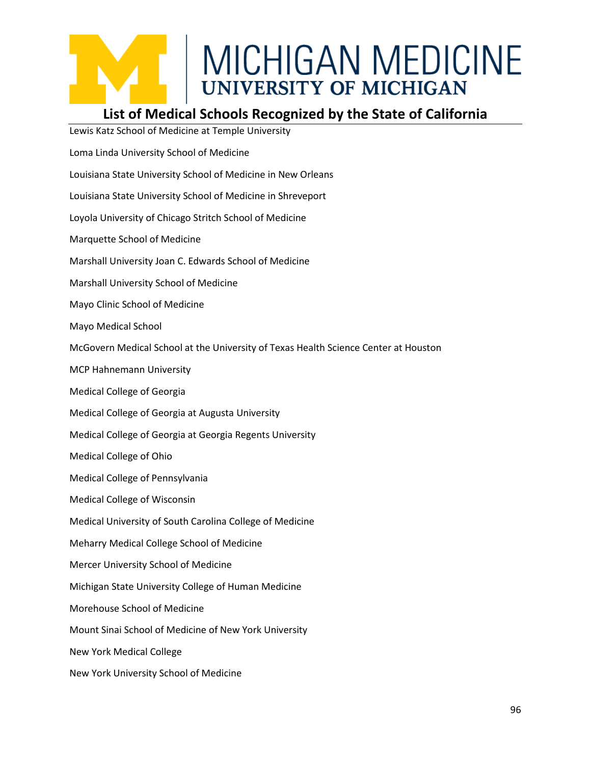#### **List of Medical Schools Recognized by the State of California**

Lewis Katz School of Medicine at Temple University Loma Linda University School of Medicine Louisiana State University School of Medicine in New Orleans Louisiana State University School of Medicine in Shreveport Loyola University of Chicago Stritch School of Medicine Marquette School of Medicine Marshall University Joan C. Edwards School of Medicine Marshall University School of Medicine Mayo Clinic School of Medicine Mayo Medical School McGovern Medical School at the University of Texas Health Science Center at Houston MCP Hahnemann University Medical College of Georgia Medical College of Georgia at Augusta University Medical College of Georgia at Georgia Regents University Medical College of Ohio Medical College of Pennsylvania Medical College of Wisconsin Medical University of South Carolina College of Medicine Meharry Medical College School of Medicine Mercer University School of Medicine Michigan State University College of Human Medicine Morehouse School of Medicine Mount Sinai School of Medicine of New York University New York Medical College New York University School of Medicine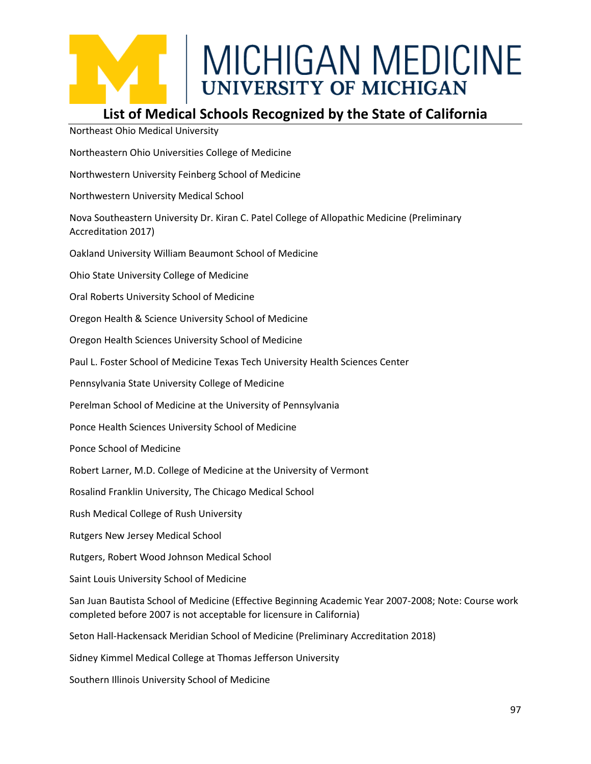#### **List of Medical Schools Recognized by the State of California**

Northeast Ohio Medical University

Northeastern Ohio Universities College of Medicine

Northwestern University Feinberg School of Medicine

Northwestern University Medical School

Nova Southeastern University Dr. Kiran C. Patel College of Allopathic Medicine (Preliminary Accreditation 2017)

Oakland University William Beaumont School of Medicine

Ohio State University College of Medicine

Oral Roberts University School of Medicine

Oregon Health & Science University School of Medicine

Oregon Health Sciences University School of Medicine

Paul L. Foster School of Medicine Texas Tech University Health Sciences Center

Pennsylvania State University College of Medicine

Perelman School of Medicine at the University of Pennsylvania

Ponce Health Sciences University School of Medicine

Ponce School of Medicine

Robert Larner, M.D. College of Medicine at the University of Vermont

Rosalind Franklin University, The Chicago Medical School

Rush Medical College of Rush University

Rutgers New Jersey Medical School

Rutgers, Robert Wood Johnson Medical School

Saint Louis University School of Medicine

San Juan Bautista School of Medicine (Effective Beginning Academic Year 2007-2008; Note: Course work completed before 2007 is not acceptable for licensure in California)

Seton Hall-Hackensack Meridian School of Medicine (Preliminary Accreditation 2018)

Sidney Kimmel Medical College at Thomas Jefferson University

Southern Illinois University School of Medicine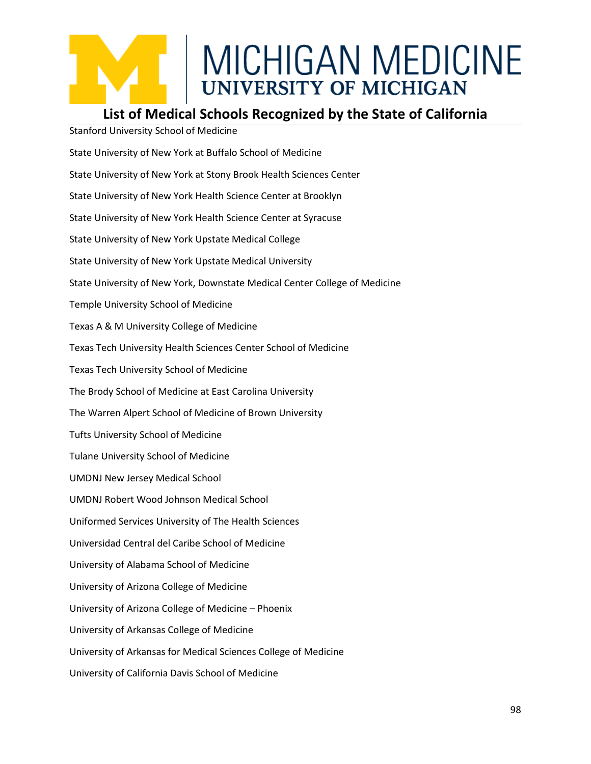#### **List of Medical Schools Recognized by the State of California**

Stanford University School of Medicine State University of New York at Buffalo School of Medicine State University of New York at Stony Brook Health Sciences Center State University of New York Health Science Center at Brooklyn State University of New York Health Science Center at Syracuse State University of New York Upstate Medical College State University of New York Upstate Medical University State University of New York, Downstate Medical Center College of Medicine Temple University School of Medicine Texas A & M University College of Medicine Texas Tech University Health Sciences Center School of Medicine Texas Tech University School of Medicine The Brody School of Medicine at East Carolina University The Warren Alpert School of Medicine of Brown University Tufts University School of Medicine Tulane University School of Medicine UMDNJ New Jersey Medical School UMDNJ Robert Wood Johnson Medical School Uniformed Services University of The Health Sciences Universidad Central del Caribe School of Medicine University of Alabama School of Medicine University of Arizona College of Medicine University of Arizona College of Medicine – Phoenix University of Arkansas College of Medicine University of Arkansas for Medical Sciences College of Medicine University of California Davis School of Medicine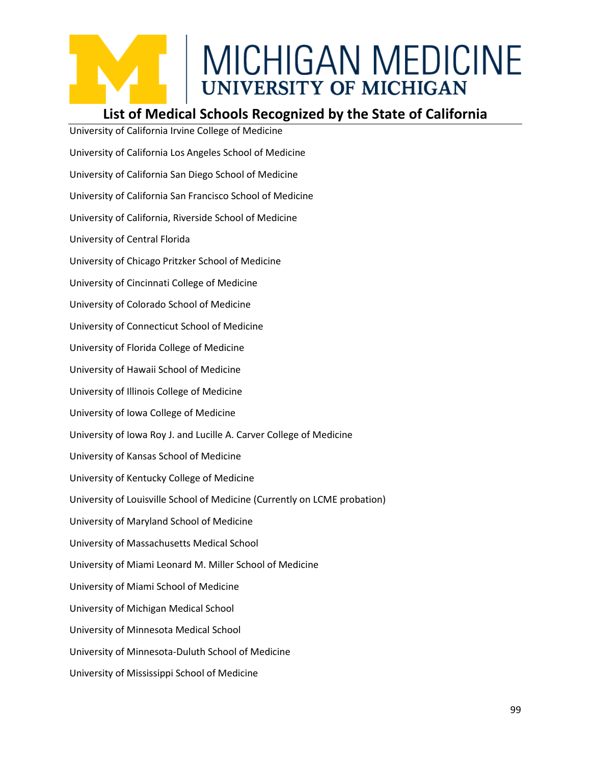#### **List of Medical Schools Recognized by the State of California**

University of California Irvine College of Medicine University of California Los Angeles School of Medicine University of California San Diego School of Medicine University of California San Francisco School of Medicine University of California, Riverside School of Medicine University of Central Florida University of Chicago Pritzker School of Medicine University of Cincinnati College of Medicine University of Colorado School of Medicine University of Connecticut School of Medicine University of Florida College of Medicine University of Hawaii School of Medicine University of Illinois College of Medicine University of Iowa College of Medicine University of Iowa Roy J. and Lucille A. Carver College of Medicine University of Kansas School of Medicine University of Kentucky College of Medicine University of Louisville School of Medicine (Currently on LCME probation) University of Maryland School of Medicine University of Massachusetts Medical School University of Miami Leonard M. Miller School of Medicine University of Miami School of Medicine University of Michigan Medical School University of Minnesota Medical School University of Minnesota-Duluth School of Medicine University of Mississippi School of Medicine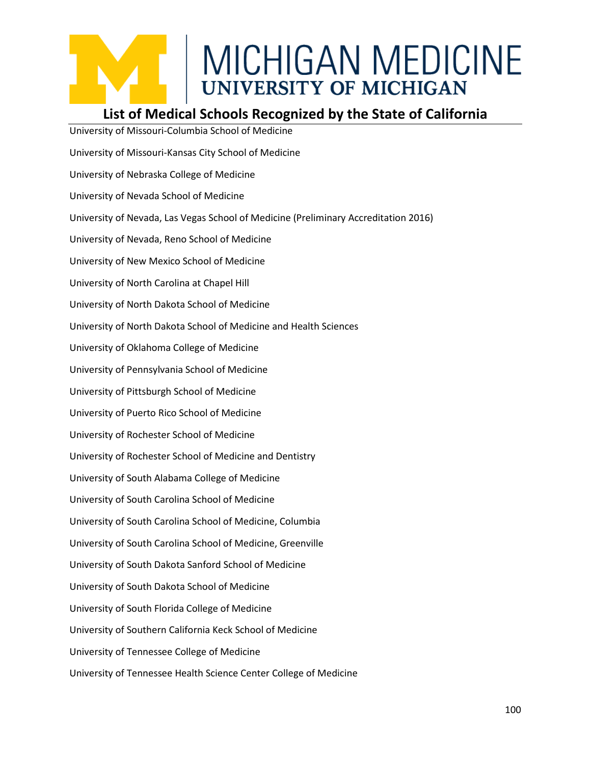#### **List of Medical Schools Recognized by the State of California**

University of Missouri-Columbia School of Medicine University of Missouri-Kansas City School of Medicine University of Nebraska College of Medicine University of Nevada School of Medicine University of Nevada, Las Vegas School of Medicine (Preliminary Accreditation 2016) University of Nevada, Reno School of Medicine University of New Mexico School of Medicine University of North Carolina at Chapel Hill University of North Dakota School of Medicine University of North Dakota School of Medicine and Health Sciences University of Oklahoma College of Medicine University of Pennsylvania School of Medicine University of Pittsburgh School of Medicine University of Puerto Rico School of Medicine University of Rochester School of Medicine University of Rochester School of Medicine and Dentistry University of South Alabama College of Medicine University of South Carolina School of Medicine University of South Carolina School of Medicine, Columbia University of South Carolina School of Medicine, Greenville University of South Dakota Sanford School of Medicine University of South Dakota School of Medicine University of South Florida College of Medicine University of Southern California Keck School of Medicine University of Tennessee College of Medicine University of Tennessee Health Science Center College of Medicine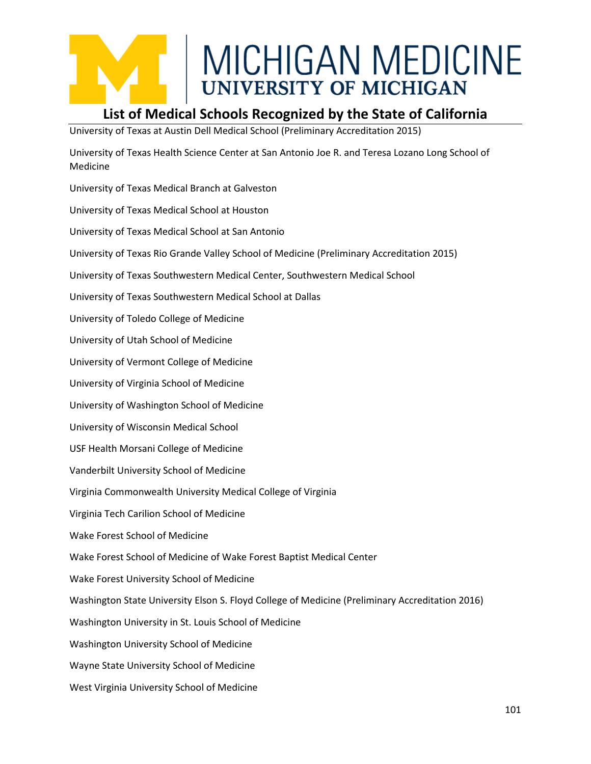#### **List of Medical Schools Recognized by the State of California**

University of Texas at Austin Dell Medical School (Preliminary Accreditation 2015)

University of Texas Health Science Center at San Antonio Joe R. and Teresa Lozano Long School of Medicine

University of Texas Medical Branch at Galveston

University of Texas Medical School at Houston

University of Texas Medical School at San Antonio

University of Texas Rio Grande Valley School of Medicine (Preliminary Accreditation 2015)

University of Texas Southwestern Medical Center, Southwestern Medical School

University of Texas Southwestern Medical School at Dallas

University of Toledo College of Medicine

University of Utah School of Medicine

University of Vermont College of Medicine

University of Virginia School of Medicine

University of Washington School of Medicine

University of Wisconsin Medical School

USF Health Morsani College of Medicine

Vanderbilt University School of Medicine

Virginia Commonwealth University Medical College of Virginia

Virginia Tech Carilion School of Medicine

Wake Forest School of Medicine

Wake Forest School of Medicine of Wake Forest Baptist Medical Center

Wake Forest University School of Medicine

Washington State University Elson S. Floyd College of Medicine (Preliminary Accreditation 2016)

Washington University in St. Louis School of Medicine

Washington University School of Medicine

Wayne State University School of Medicine

West Virginia University School of Medicine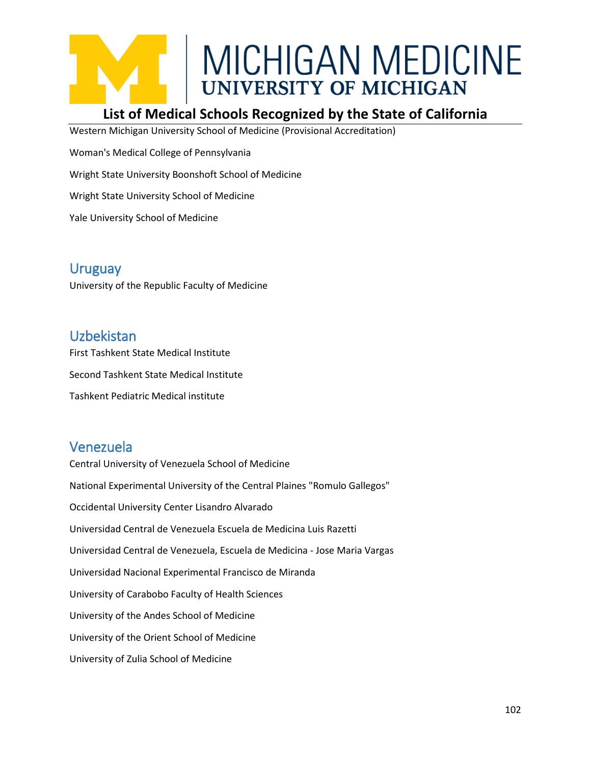

#### **List of Medical Schools Recognized by the State of California**

Western Michigan University School of Medicine (Provisional Accreditation)

Woman's Medical College of Pennsylvania

Wright State University Boonshoft School of Medicine

Wright State University School of Medicine

Yale University School of Medicine

#### Uruguay

University of the Republic Faculty of Medicine

#### Uzbekistan

First Tashkent State Medical Institute Second Tashkent State Medical Institute Tashkent Pediatric Medical institute

#### Venezuela

Central University of Venezuela School of Medicine National Experimental University of the Central Plaines "Romulo Gallegos" Occidental University Center Lisandro Alvarado Universidad Central de Venezuela Escuela de Medicina Luis Razetti Universidad Central de Venezuela, Escuela de Medicina - Jose Maria Vargas Universidad Nacional Experimental Francisco de Miranda University of Carabobo Faculty of Health Sciences University of the Andes School of Medicine University of the Orient School of Medicine University of Zulia School of Medicine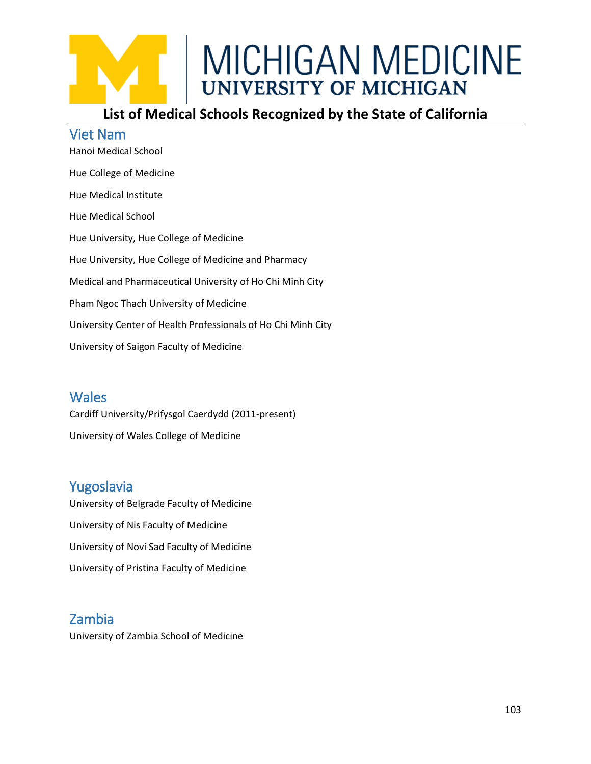#### **List of Medical Schools Recognized by the State of California**

#### Viet Nam

Hanoi Medical School Hue College of Medicine Hue Medical Institute Hue Medical School Hue University, Hue College of Medicine Hue University, Hue College of Medicine and Pharmacy Medical and Pharmaceutical University of Ho Chi Minh City Pham Ngoc Thach University of Medicine University Center of Health Professionals of Ho Chi Minh City University of Saigon Faculty of Medicine

#### **Wales**

Cardiff University/Prifysgol Caerdydd (2011-present) University of Wales College of Medicine

#### Yugoslavia

University of Belgrade Faculty of Medicine University of Nis Faculty of Medicine University of Novi Sad Faculty of Medicine University of Pristina Faculty of Medicine

#### Zambia

University of Zambia School of Medicine